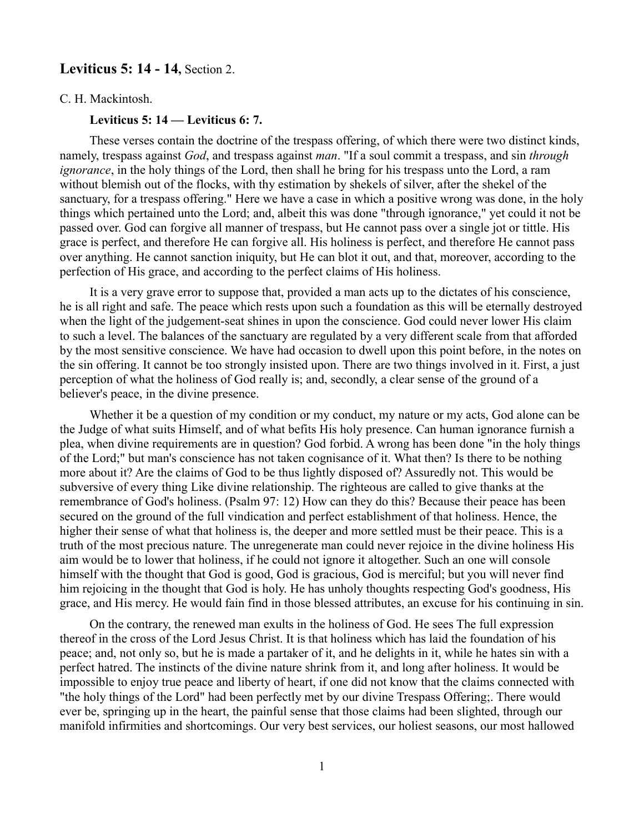# **Leviticus 5: 14 - 14, Section 2.**

C. H. Mackintosh.

**Leviticus 5: 14 — Leviticus 6: 7.**

These verses contain the doctrine of the trespass offering, of which there were two distinct kinds, namely, trespass against *God*, and trespass against *man*. "If a soul commit a trespass, and sin *through ignorance*, in the holy things of the Lord, then shall he bring for his trespass unto the Lord, a ram without blemish out of the flocks, with thy estimation by shekels of silver, after the shekel of the sanctuary, for a trespass offering." Here we have a case in which a positive wrong was done, in the holy things which pertained unto the Lord; and, albeit this was done "through ignorance," yet could it not be passed over. God can forgive all manner of trespass, but He cannot pass over a single jot or tittle. His grace is perfect, and therefore He can forgive all. His holiness is perfect, and therefore He cannot pass over anything. He cannot sanction iniquity, but He can blot it out, and that, moreover, according to the perfection of His grace, and according to the perfect claims of His holiness.

It is a very grave error to suppose that, provided a man acts up to the dictates of his conscience, he is all right and safe. The peace which rests upon such a foundation as this will be eternally destroyed when the light of the judgement-seat shines in upon the conscience. God could never lower His claim to such a level. The balances of the sanctuary are regulated by a very different scale from that afforded by the most sensitive conscience. We have had occasion to dwell upon this point before, in the notes on the sin offering. It cannot be too strongly insisted upon. There are two things involved in it. First, a just perception of what the holiness of God really is; and, secondly, a clear sense of the ground of a believer's peace, in the divine presence.

Whether it be a question of my condition or my conduct, my nature or my acts, God alone can be the Judge of what suits Himself, and of what befits His holy presence. Can human ignorance furnish a plea, when divine requirements are in question? God forbid. A wrong has been done "in the holy things of the Lord;" but man's conscience has not taken cognisance of it. What then? Is there to be nothing more about it? Are the claims of God to be thus lightly disposed of? Assuredly not. This would be subversive of every thing Like divine relationship. The righteous are called to give thanks at the remembrance of God's holiness. (Psalm 97: 12) How can they do this? Because their peace has been secured on the ground of the full vindication and perfect establishment of that holiness. Hence, the higher their sense of what that holiness is, the deeper and more settled must be their peace. This is a truth of the most precious nature. The unregenerate man could never rejoice in the divine holiness His aim would be to lower that holiness, if he could not ignore it altogether. Such an one will console himself with the thought that God is good, God is gracious, God is merciful; but you will never find him rejoicing in the thought that God is holy. He has unholy thoughts respecting God's goodness, His grace, and His mercy. He would fain find in those blessed attributes, an excuse for his continuing in sin.

On the contrary, the renewed man exults in the holiness of God. He sees The full expression thereof in the cross of the Lord Jesus Christ. It is that holiness which has laid the foundation of his peace; and, not only so, but he is made a partaker of it, and he delights in it, while he hates sin with a perfect hatred. The instincts of the divine nature shrink from it, and long after holiness. It would be impossible to enjoy true peace and liberty of heart, if one did not know that the claims connected with "the holy things of the Lord" had been perfectly met by our divine Trespass Offering;. There would ever be, springing up in the heart, the painful sense that those claims had been slighted, through our manifold infirmities and shortcomings. Our very best services, our holiest seasons, our most hallowed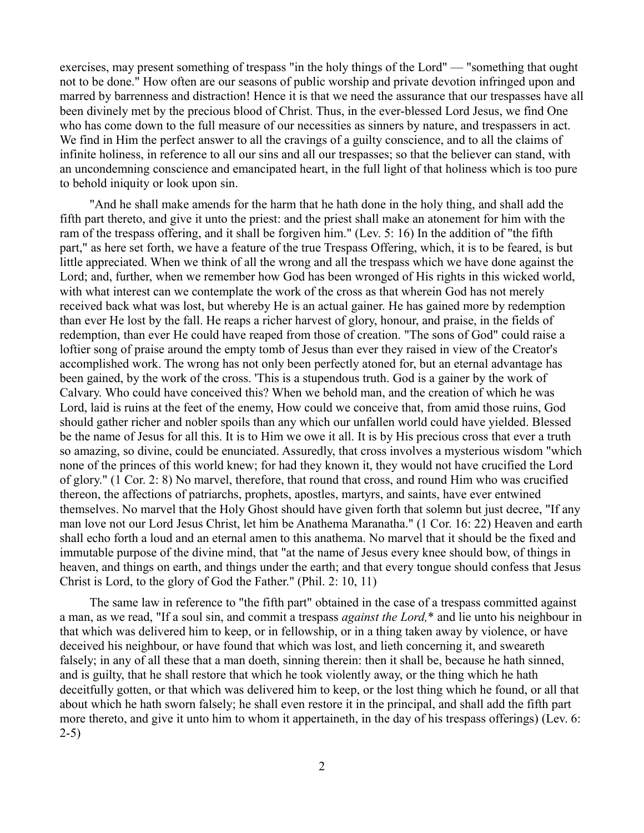exercises, may present something of trespass "in the holy things of the Lord" — "something that ought not to be done." How often are our seasons of public worship and private devotion infringed upon and marred by barrenness and distraction! Hence it is that we need the assurance that our trespasses have all been divinely met by the precious blood of Christ. Thus, in the ever-blessed Lord Jesus, we find One who has come down to the full measure of our necessities as sinners by nature, and trespassers in act. We find in Him the perfect answer to all the cravings of a guilty conscience, and to all the claims of infinite holiness, in reference to all our sins and all our trespasses; so that the believer can stand, with an uncondemning conscience and emancipated heart, in the full light of that holiness which is too pure to behold iniquity or look upon sin.

"And he shall make amends for the harm that he hath done in the holy thing, and shall add the fifth part thereto, and give it unto the priest: and the priest shall make an atonement for him with the ram of the trespass offering, and it shall be forgiven him." (Lev. 5: 16) In the addition of "the fifth part," as here set forth, we have a feature of the true Trespass Offering, which, it is to be feared, is but little appreciated. When we think of all the wrong and all the trespass which we have done against the Lord; and, further, when we remember how God has been wronged of His rights in this wicked world, with what interest can we contemplate the work of the cross as that wherein God has not merely received back what was lost, but whereby He is an actual gainer. He has gained more by redemption than ever He lost by the fall. He reaps a richer harvest of glory, honour, and praise, in the fields of redemption, than ever He could have reaped from those of creation. "The sons of God" could raise a loftier song of praise around the empty tomb of Jesus than ever they raised in view of the Creator's accomplished work. The wrong has not only been perfectly atoned for, but an eternal advantage has been gained, by the work of the cross. 'This is a stupendous truth. God is a gainer by the work of Calvary. Who could have conceived this? When we behold man, and the creation of which he was Lord, laid is ruins at the feet of the enemy, How could we conceive that, from amid those ruins, God should gather richer and nobler spoils than any which our unfallen world could have yielded. Blessed be the name of Jesus for all this. It is to Him we owe it all. It is by His precious cross that ever a truth so amazing, so divine, could be enunciated. Assuredly, that cross involves a mysterious wisdom "which none of the princes of this world knew; for had they known it, they would not have crucified the Lord of glory." (1 Cor. 2: 8) No marvel, therefore, that round that cross, and round Him who was crucified thereon, the affections of patriarchs, prophets, apostles, martyrs, and saints, have ever entwined themselves. No marvel that the Holy Ghost should have given forth that solemn but just decree, "If any man love not our Lord Jesus Christ, let him be Anathema Maranatha." (1 Cor. 16: 22) Heaven and earth shall echo forth a loud and an eternal amen to this anathema. No marvel that it should be the fixed and immutable purpose of the divine mind, that "at the name of Jesus every knee should bow, of things in heaven, and things on earth, and things under the earth; and that every tongue should confess that Jesus Christ is Lord, to the glory of God the Father." (Phil. 2: 10, 11)

The same law in reference to "the fifth part" obtained in the case of a trespass committed against a man, as we read, "If a soul sin, and commit a trespass *against the Lord,*\* and lie unto his neighbour in that which was delivered him to keep, or in fellowship, or in a thing taken away by violence, or have deceived his neighbour, or have found that which was lost, and lieth concerning it, and sweareth falsely; in any of all these that a man doeth, sinning therein: then it shall be, because he hath sinned, and is guilty, that he shall restore that which he took violently away, or the thing which he hath deceitfully gotten, or that which was delivered him to keep, or the lost thing which he found, or all that about which he hath sworn falsely; he shall even restore it in the principal, and shall add the fifth part more thereto, and give it unto him to whom it appertaineth, in the day of his trespass offerings) (Lev. 6: 2-5)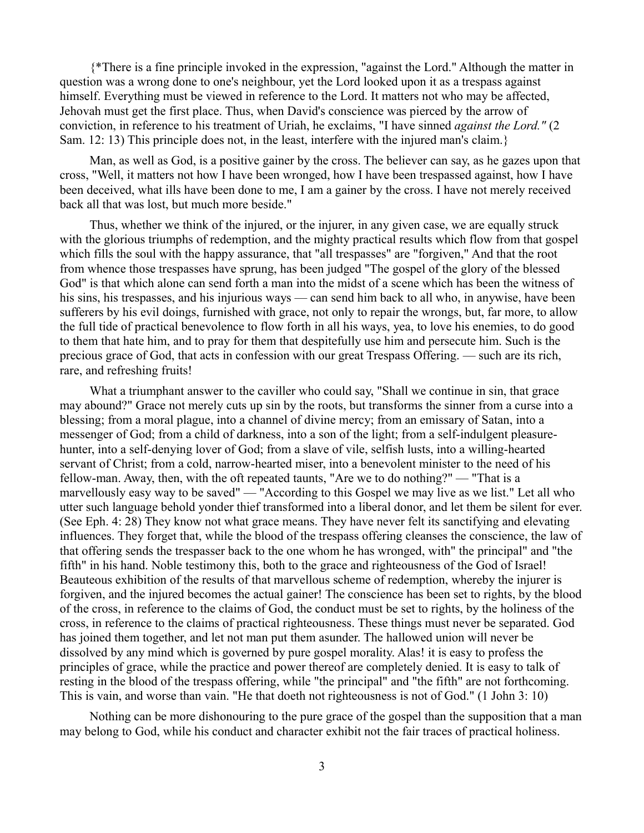{\*There is a fine principle invoked in the expression, "against the Lord." Although the matter in question was a wrong done to one's neighbour, yet the Lord looked upon it as a trespass against himself. Everything must be viewed in reference to the Lord. It matters not who may be affected, Jehovah must get the first place. Thus, when David's conscience was pierced by the arrow of conviction, in reference to his treatment of Uriah, he exclaims, "I have sinned *against the Lord."* (2 Sam. 12: 13) This principle does not, in the least, interfere with the injured man's claim.}

Man, as well as God, is a positive gainer by the cross. The believer can say, as he gazes upon that cross, "Well, it matters not how I have been wronged, how I have been trespassed against, how I have been deceived, what ills have been done to me, I am a gainer by the cross. I have not merely received back all that was lost, but much more beside."

Thus, whether we think of the injured, or the injurer, in any given case, we are equally struck with the glorious triumphs of redemption, and the mighty practical results which flow from that gospel which fills the soul with the happy assurance, that "all trespasses" are "forgiven," And that the root from whence those trespasses have sprung, has been judged "The gospel of the glory of the blessed God" is that which alone can send forth a man into the midst of a scene which has been the witness of his sins, his trespasses, and his injurious ways — can send him back to all who, in anywise, have been sufferers by his evil doings, furnished with grace, not only to repair the wrongs, but, far more, to allow the full tide of practical benevolence to flow forth in all his ways, yea, to love his enemies, to do good to them that hate him, and to pray for them that despitefully use him and persecute him. Such is the precious grace of God, that acts in confession with our great Trespass Offering. — such are its rich, rare, and refreshing fruits!

What a triumphant answer to the caviller who could say, "Shall we continue in sin, that grace may abound?" Grace not merely cuts up sin by the roots, but transforms the sinner from a curse into a blessing; from a moral plague, into a channel of divine mercy; from an emissary of Satan, into a messenger of God; from a child of darkness, into a son of the light; from a self-indulgent pleasurehunter, into a self-denying lover of God; from a slave of vile, selfish lusts, into a willing-hearted servant of Christ; from a cold, narrow-hearted miser, into a benevolent minister to the need of his fellow-man. Away, then, with the oft repeated taunts, "Are we to do nothing?" — "That is a marvellously easy way to be saved" — "According to this Gospel we may live as we list." Let all who utter such language behold yonder thief transformed into a liberal donor, and let them be silent for ever. (See Eph. 4: 28) They know not what grace means. They have never felt its sanctifying and elevating influences. They forget that, while the blood of the trespass offering cleanses the conscience, the law of that offering sends the trespasser back to the one whom he has wronged, with" the principal" and "the fifth" in his hand. Noble testimony this, both to the grace and righteousness of the God of Israel! Beauteous exhibition of the results of that marvellous scheme of redemption, whereby the injurer is forgiven, and the injured becomes the actual gainer! The conscience has been set to rights, by the blood of the cross, in reference to the claims of God, the conduct must be set to rights, by the holiness of the cross, in reference to the claims of practical righteousness. These things must never be separated. God has joined them together, and let not man put them asunder. The hallowed union will never be dissolved by any mind which is governed by pure gospel morality. Alas! it is easy to profess the principles of grace, while the practice and power thereof are completely denied. It is easy to talk of resting in the blood of the trespass offering, while "the principal" and "the fifth" are not forthcoming. This is vain, and worse than vain. "He that doeth not righteousness is not of God." (1 John 3: 10)

Nothing can be more dishonouring to the pure grace of the gospel than the supposition that a man may belong to God, while his conduct and character exhibit not the fair traces of practical holiness.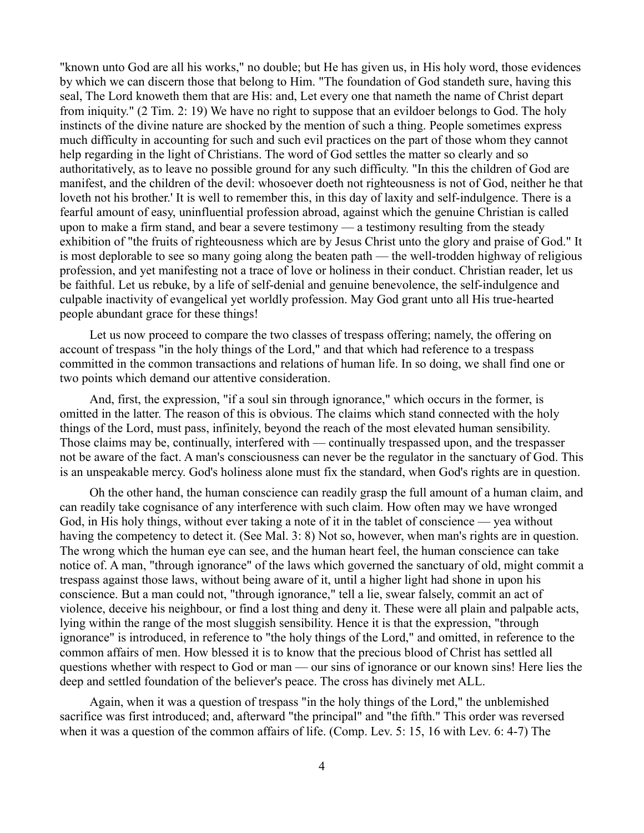"known unto God are all his works," no double; but He has given us, in His holy word, those evidences by which we can discern those that belong to Him. "The foundation of God standeth sure, having this seal, The Lord knoweth them that are His: and, Let every one that nameth the name of Christ depart from iniquity." (2 Tim. 2: 19) We have no right to suppose that an evildoer belongs to God. The holy instincts of the divine nature are shocked by the mention of such a thing. People sometimes express much difficulty in accounting for such and such evil practices on the part of those whom they cannot help regarding in the light of Christians. The word of God settles the matter so clearly and so authoritatively, as to leave no possible ground for any such difficulty. "In this the children of God are manifest, and the children of the devil: whosoever doeth not righteousness is not of God, neither he that loveth not his brother.' It is well to remember this, in this day of laxity and self-indulgence. There is a fearful amount of easy, uninfluential profession abroad, against which the genuine Christian is called upon to make a firm stand, and bear a severe testimony — a testimony resulting from the steady exhibition of "the fruits of righteousness which are by Jesus Christ unto the glory and praise of God." It is most deplorable to see so many going along the beaten path — the well-trodden highway of religious profession, and yet manifesting not a trace of love or holiness in their conduct. Christian reader, let us be faithful. Let us rebuke, by a life of self-denial and genuine benevolence, the self-indulgence and culpable inactivity of evangelical yet worldly profession. May God grant unto all His true-hearted people abundant grace for these things!

Let us now proceed to compare the two classes of trespass offering; namely, the offering on account of trespass "in the holy things of the Lord," and that which had reference to a trespass committed in the common transactions and relations of human life. In so doing, we shall find one or two points which demand our attentive consideration.

And, first, the expression, "if a soul sin through ignorance," which occurs in the former, is omitted in the latter. The reason of this is obvious. The claims which stand connected with the holy things of the Lord, must pass, infinitely, beyond the reach of the most elevated human sensibility. Those claims may be, continually, interfered with — continually trespassed upon, and the trespasser not be aware of the fact. A man's consciousness can never be the regulator in the sanctuary of God. This is an unspeakable mercy. God's holiness alone must fix the standard, when God's rights are in question.

Oh the other hand, the human conscience can readily grasp the full amount of a human claim, and can readily take cognisance of any interference with such claim. How often may we have wronged God, in His holy things, without ever taking a note of it in the tablet of conscience — yea without having the competency to detect it. (See Mal. 3: 8) Not so, however, when man's rights are in question. The wrong which the human eye can see, and the human heart feel, the human conscience can take notice of. A man, "through ignorance" of the laws which governed the sanctuary of old, might commit a trespass against those laws, without being aware of it, until a higher light had shone in upon his conscience. But a man could not, "through ignorance," tell a lie, swear falsely, commit an act of violence, deceive his neighbour, or find a lost thing and deny it. These were all plain and palpable acts, lying within the range of the most sluggish sensibility. Hence it is that the expression, "through ignorance" is introduced, in reference to "the holy things of the Lord," and omitted, in reference to the common affairs of men. How blessed it is to know that the precious blood of Christ has settled all questions whether with respect to God or man — our sins of ignorance or our known sins! Here lies the deep and settled foundation of the believer's peace. The cross has divinely met ALL.

Again, when it was a question of trespass "in the holy things of the Lord," the unblemished sacrifice was first introduced; and, afterward "the principal" and "the fifth." This order was reversed when it was a question of the common affairs of life. (Comp. Lev. 5: 15, 16 with Lev. 6: 4-7) The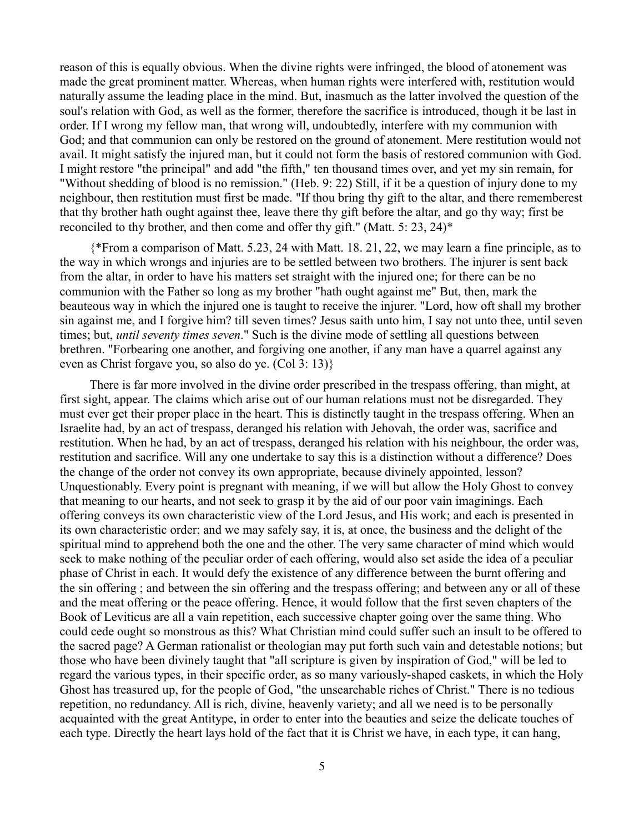reason of this is equally obvious. When the divine rights were infringed, the blood of atonement was made the great prominent matter. Whereas, when human rights were interfered with, restitution would naturally assume the leading place in the mind. But, inasmuch as the latter involved the question of the soul's relation with God, as well as the former, therefore the sacrifice is introduced, though it be last in order. If I wrong my fellow man, that wrong will, undoubtedly, interfere with my communion with God; and that communion can only be restored on the ground of atonement. Mere restitution would not avail. It might satisfy the injured man, but it could not form the basis of restored communion with God. I might restore "the principal" and add "the fifth," ten thousand times over, and yet my sin remain, for "Without shedding of blood is no remission." (Heb. 9: 22) Still, if it be a question of injury done to my neighbour, then restitution must first be made. "If thou bring thy gift to the altar, and there rememberest that thy brother hath ought against thee, leave there thy gift before the altar, and go thy way; first be reconciled to thy brother, and then come and offer thy gift." (Matt. 5: 23, 24)\*

{\*From a comparison of Matt. 5.23, 24 with Matt. 18. 21, 22, we may learn a fine principle, as to the way in which wrongs and injuries are to be settled between two brothers. The injurer is sent back from the altar, in order to have his matters set straight with the injured one; for there can be no communion with the Father so long as my brother "hath ought against me" But, then, mark the beauteous way in which the injured one is taught to receive the injurer. "Lord, how oft shall my brother sin against me, and I forgive him? till seven times? Jesus saith unto him, I say not unto thee, until seven times; but, *until seventy times seven*." Such is the divine mode of settling all questions between brethren. "Forbearing one another, and forgiving one another, if any man have a quarrel against any even as Christ forgave you, so also do ye. (Col 3: 13)}

There is far more involved in the divine order prescribed in the trespass offering, than might, at first sight, appear. The claims which arise out of our human relations must not be disregarded. They must ever get their proper place in the heart. This is distinctly taught in the trespass offering. When an Israelite had, by an act of trespass, deranged his relation with Jehovah, the order was, sacrifice and restitution. When he had, by an act of trespass, deranged his relation with his neighbour, the order was, restitution and sacrifice. Will any one undertake to say this is a distinction without a difference? Does the change of the order not convey its own appropriate, because divinely appointed, lesson? Unquestionably. Every point is pregnant with meaning, if we will but allow the Holy Ghost to convey that meaning to our hearts, and not seek to grasp it by the aid of our poor vain imaginings. Each offering conveys its own characteristic view of the Lord Jesus, and His work; and each is presented in its own characteristic order; and we may safely say, it is, at once, the business and the delight of the spiritual mind to apprehend both the one and the other. The very same character of mind which would seek to make nothing of the peculiar order of each offering, would also set aside the idea of a peculiar phase of Christ in each. It would defy the existence of any difference between the burnt offering and the sin offering ; and between the sin offering and the trespass offering; and between any or all of these and the meat offering or the peace offering. Hence, it would follow that the first seven chapters of the Book of Leviticus are all a vain repetition, each successive chapter going over the same thing. Who could cede ought so monstrous as this? What Christian mind could suffer such an insult to be offered to the sacred page? A German rationalist or theologian may put forth such vain and detestable notions; but those who have been divinely taught that "all scripture is given by inspiration of God," will be led to regard the various types, in their specific order, as so many variously-shaped caskets, in which the Holy Ghost has treasured up, for the people of God, "the unsearchable riches of Christ." There is no tedious repetition, no redundancy. All is rich, divine, heavenly variety; and all we need is to be personally acquainted with the great Antitype, in order to enter into the beauties and seize the delicate touches of each type. Directly the heart lays hold of the fact that it is Christ we have, in each type, it can hang,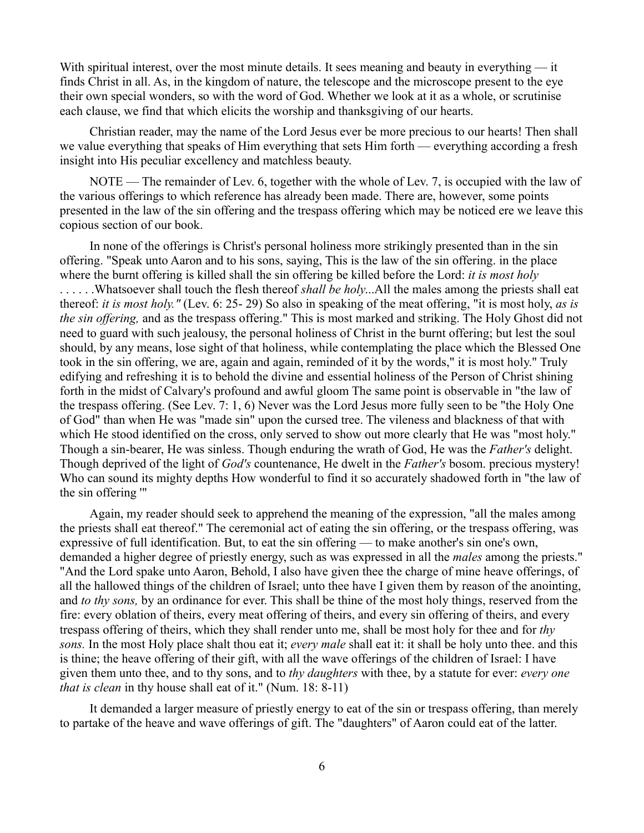With spiritual interest, over the most minute details. It sees meaning and beauty in everything — it finds Christ in all. As, in the kingdom of nature, the telescope and the microscope present to the eye their own special wonders, so with the word of God. Whether we look at it as a whole, or scrutinise each clause, we find that which elicits the worship and thanksgiving of our hearts.

Christian reader, may the name of the Lord Jesus ever be more precious to our hearts! Then shall we value everything that speaks of Him everything that sets Him forth — everything according a fresh insight into His peculiar excellency and matchless beauty.

NOTE — The remainder of Lev. 6, together with the whole of Lev. 7, is occupied with the law of the various offerings to which reference has already been made. There are, however, some points presented in the law of the sin offering and the trespass offering which may be noticed ere we leave this copious section of our book.

In none of the offerings is Christ's personal holiness more strikingly presented than in the sin offering. "Speak unto Aaron and to his sons, saying, This is the law of the sin offering. in the place where the burnt offering is killed shall the sin offering be killed before the Lord: *it is most holy* . . . . . .Whatsoever shall touch the flesh thereof *shall be holy*...All the males among the priests shall eat thereof: *it is most holy."* (Lev. 6: 25- 29) So also in speaking of the meat offering, "it is most holy, *as is the sin offering,* and as the trespass offering." This is most marked and striking. The Holy Ghost did not need to guard with such jealousy, the personal holiness of Christ in the burnt offering; but lest the soul should, by any means, lose sight of that holiness, while contemplating the place which the Blessed One took in the sin offering, we are, again and again, reminded of it by the words," it is most holy." Truly edifying and refreshing it is to behold the divine and essential holiness of the Person of Christ shining forth in the midst of Calvary's profound and awful gloom The same point is observable in "the law of the trespass offering. (See Lev. 7: 1, 6) Never was the Lord Jesus more fully seen to be "the Holy One of God" than when He was "made sin" upon the cursed tree. The vileness and blackness of that with which He stood identified on the cross, only served to show out more clearly that He was "most holy." Though a sin-bearer, He was sinless. Though enduring the wrath of God, He was the *Father's* delight. Though deprived of the light of *God's* countenance, He dwelt in the *Father's* bosom. precious mystery! Who can sound its mighty depths How wonderful to find it so accurately shadowed forth in "the law of the sin offering '"

Again, my reader should seek to apprehend the meaning of the expression, "all the males among the priests shall eat thereof." The ceremonial act of eating the sin offering, or the trespass offering, was expressive of full identification. But, to eat the sin offering — to make another's sin one's own, demanded a higher degree of priestly energy, such as was expressed in all the *males* among the priests." "And the Lord spake unto Aaron, Behold, I also have given thee the charge of mine heave offerings, of all the hallowed things of the children of Israel; unto thee have I given them by reason of the anointing, and *to thy sons,* by an ordinance for ever. This shall be thine of the most holy things, reserved from the fire: every oblation of theirs, every meat offering of theirs, and every sin offering of theirs, and every trespass offering of theirs, which they shall render unto me, shall be most holy for thee and for *thy sons.* In the most Holy place shalt thou eat it; *every male* shall eat it: it shall be holy unto thee. and this is thine; the heave offering of their gift, with all the wave offerings of the children of Israel: I have given them unto thee, and to thy sons, and to *thy daughters* with thee, by a statute for ever: *every one that is clean* in thy house shall eat of it." (Num. 18: 8-11)

It demanded a larger measure of priestly energy to eat of the sin or trespass offering, than merely to partake of the heave and wave offerings of gift. The "daughters" of Aaron could eat of the latter.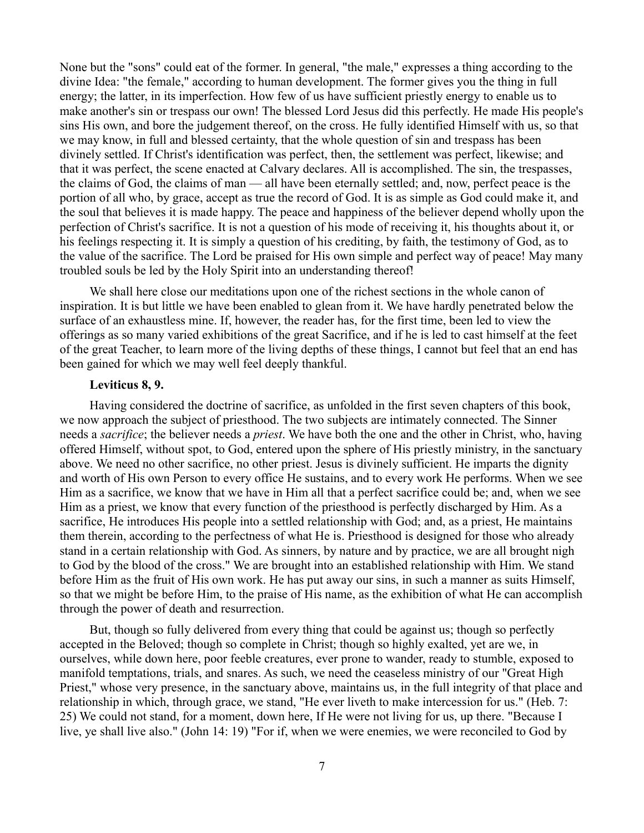None but the "sons" could eat of the former. In general, "the male," expresses a thing according to the divine Idea: "the female," according to human development. The former gives you the thing in full energy; the latter, in its imperfection. How few of us have sufficient priestly energy to enable us to make another's sin or trespass our own! The blessed Lord Jesus did this perfectly. He made His people's sins His own, and bore the judgement thereof, on the cross. He fully identified Himself with us, so that we may know, in full and blessed certainty, that the whole question of sin and trespass has been divinely settled. If Christ's identification was perfect, then, the settlement was perfect, likewise; and that it was perfect, the scene enacted at Calvary declares. All is accomplished. The sin, the trespasses, the claims of God, the claims of man — all have been eternally settled; and, now, perfect peace is the portion of all who, by grace, accept as true the record of God. It is as simple as God could make it, and the soul that believes it is made happy. The peace and happiness of the believer depend wholly upon the perfection of Christ's sacrifice. It is not a question of his mode of receiving it, his thoughts about it, or his feelings respecting it. It is simply a question of his crediting, by faith, the testimony of God, as to the value of the sacrifice. The Lord be praised for His own simple and perfect way of peace! May many troubled souls be led by the Holy Spirit into an understanding thereof!

We shall here close our meditations upon one of the richest sections in the whole canon of inspiration. It is but little we have been enabled to glean from it. We have hardly penetrated below the surface of an exhaustless mine. If, however, the reader has, for the first time, been led to view the offerings as so many varied exhibitions of the great Sacrifice, and if he is led to cast himself at the feet of the great Teacher, to learn more of the living depths of these things, I cannot but feel that an end has been gained for which we may well feel deeply thankful.

## **Leviticus 8, 9.**

Having considered the doctrine of sacrifice, as unfolded in the first seven chapters of this book, we now approach the subject of priesthood. The two subjects are intimately connected. The Sinner needs a *sacrifice*; the believer needs a *priest*. We have both the one and the other in Christ, who, having offered Himself, without spot, to God, entered upon the sphere of His priestly ministry, in the sanctuary above. We need no other sacrifice, no other priest. Jesus is divinely sufficient. He imparts the dignity and worth of His own Person to every office He sustains, and to every work He performs. When we see Him as a sacrifice, we know that we have in Him all that a perfect sacrifice could be; and, when we see Him as a priest, we know that every function of the priesthood is perfectly discharged by Him. As a sacrifice, He introduces His people into a settled relationship with God; and, as a priest, He maintains them therein, according to the perfectness of what He is. Priesthood is designed for those who already stand in a certain relationship with God. As sinners, by nature and by practice, we are all brought nigh to God by the blood of the cross." We are brought into an established relationship with Him. We stand before Him as the fruit of His own work. He has put away our sins, in such a manner as suits Himself, so that we might be before Him, to the praise of His name, as the exhibition of what He can accomplish through the power of death and resurrection.

But, though so fully delivered from every thing that could be against us; though so perfectly accepted in the Beloved; though so complete in Christ; though so highly exalted, yet are we, in ourselves, while down here, poor feeble creatures, ever prone to wander, ready to stumble, exposed to manifold temptations, trials, and snares. As such, we need the ceaseless ministry of our "Great High Priest," whose very presence, in the sanctuary above, maintains us, in the full integrity of that place and relationship in which, through grace, we stand, "He ever liveth to make intercession for us." (Heb. 7: 25) We could not stand, for a moment, down here, If He were not living for us, up there. "Because I live, ye shall live also." (John 14: 19) "For if, when we were enemies, we were reconciled to God by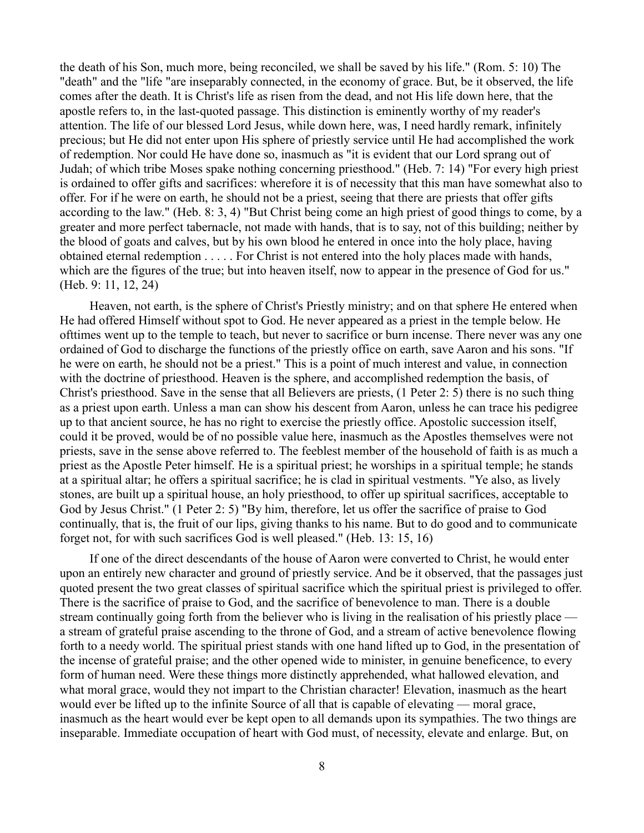the death of his Son, much more, being reconciled, we shall be saved by his life." (Rom. 5: 10) The "death" and the "life "are inseparably connected, in the economy of grace. But, be it observed, the life comes after the death. It is Christ's life as risen from the dead, and not His life down here, that the apostle refers to, in the last-quoted passage. This distinction is eminently worthy of my reader's attention. The life of our blessed Lord Jesus, while down here, was, I need hardly remark, infinitely precious; but He did not enter upon His sphere of priestly service until He had accomplished the work of redemption. Nor could He have done so, inasmuch as "it is evident that our Lord sprang out of Judah; of which tribe Moses spake nothing concerning priesthood." (Heb. 7: 14) "For every high priest is ordained to offer gifts and sacrifices: wherefore it is of necessity that this man have somewhat also to offer. For if he were on earth, he should not be a priest, seeing that there are priests that offer gifts according to the law." (Heb. 8: 3, 4) "But Christ being come an high priest of good things to come, by a greater and more perfect tabernacle, not made with hands, that is to say, not of this building; neither by the blood of goats and calves, but by his own blood he entered in once into the holy place, having obtained eternal redemption . . . . . For Christ is not entered into the holy places made with hands, which are the figures of the true; but into heaven itself, now to appear in the presence of God for us." (Heb. 9: 11, 12, 24)

Heaven, not earth, is the sphere of Christ's Priestly ministry; and on that sphere He entered when He had offered Himself without spot to God. He never appeared as a priest in the temple below. He ofttimes went up to the temple to teach, but never to sacrifice or burn incense. There never was any one ordained of God to discharge the functions of the priestly office on earth, save Aaron and his sons. "If he were on earth, he should not be a priest." This is a point of much interest and value, in connection with the doctrine of priesthood. Heaven is the sphere, and accomplished redemption the basis, of Christ's priesthood. Save in the sense that all Believers are priests, (1 Peter 2: 5) there is no such thing as a priest upon earth. Unless a man can show his descent from Aaron, unless he can trace his pedigree up to that ancient source, he has no right to exercise the priestly office. Apostolic succession itself, could it be proved, would be of no possible value here, inasmuch as the Apostles themselves were not priests, save in the sense above referred to. The feeblest member of the household of faith is as much a priest as the Apostle Peter himself. He is a spiritual priest; he worships in a spiritual temple; he stands at a spiritual altar; he offers a spiritual sacrifice; he is clad in spiritual vestments. "Ye also, as lively stones, are built up a spiritual house, an holy priesthood, to offer up spiritual sacrifices, acceptable to God by Jesus Christ." (1 Peter 2: 5) "By him, therefore, let us offer the sacrifice of praise to God continually, that is, the fruit of our lips, giving thanks to his name. But to do good and to communicate forget not, for with such sacrifices God is well pleased." (Heb. 13: 15, 16)

If one of the direct descendants of the house of Aaron were converted to Christ, he would enter upon an entirely new character and ground of priestly service. And be it observed, that the passages just quoted present the two great classes of spiritual sacrifice which the spiritual priest is privileged to offer. There is the sacrifice of praise to God, and the sacrifice of benevolence to man. There is a double stream continually going forth from the believer who is living in the realisation of his priestly place a stream of grateful praise ascending to the throne of God, and a stream of active benevolence flowing forth to a needy world. The spiritual priest stands with one hand lifted up to God, in the presentation of the incense of grateful praise; and the other opened wide to minister, in genuine beneficence, to every form of human need. Were these things more distinctly apprehended, what hallowed elevation, and what moral grace, would they not impart to the Christian character! Elevation, inasmuch as the heart would ever be lifted up to the infinite Source of all that is capable of elevating — moral grace, inasmuch as the heart would ever be kept open to all demands upon its sympathies. The two things are inseparable. Immediate occupation of heart with God must, of necessity, elevate and enlarge. But, on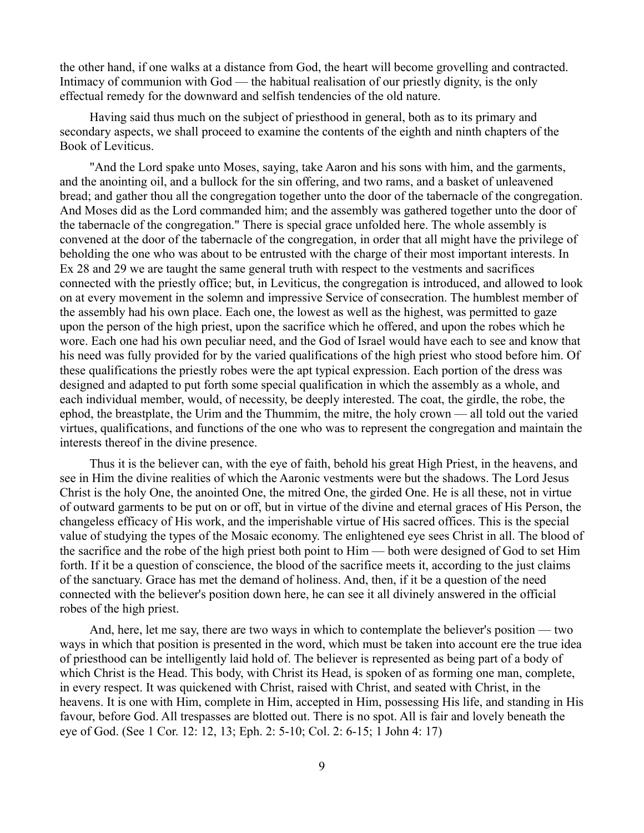the other hand, if one walks at a distance from God, the heart will become grovelling and contracted. Intimacy of communion with God — the habitual realisation of our priestly dignity, is the only effectual remedy for the downward and selfish tendencies of the old nature.

Having said thus much on the subject of priesthood in general, both as to its primary and secondary aspects, we shall proceed to examine the contents of the eighth and ninth chapters of the Book of Leviticus.

"And the Lord spake unto Moses, saying, take Aaron and his sons with him, and the garments, and the anointing oil, and a bullock for the sin offering, and two rams, and a basket of unleavened bread; and gather thou all the congregation together unto the door of the tabernacle of the congregation. And Moses did as the Lord commanded him; and the assembly was gathered together unto the door of the tabernacle of the congregation." There is special grace unfolded here. The whole assembly is convened at the door of the tabernacle of the congregation, in order that all might have the privilege of beholding the one who was about to be entrusted with the charge of their most important interests. In Ex 28 and 29 we are taught the same general truth with respect to the vestments and sacrifices connected with the priestly office; but, in Leviticus, the congregation is introduced, and allowed to look on at every movement in the solemn and impressive Service of consecration. The humblest member of the assembly had his own place. Each one, the lowest as well as the highest, was permitted to gaze upon the person of the high priest, upon the sacrifice which he offered, and upon the robes which he wore. Each one had his own peculiar need, and the God of Israel would have each to see and know that his need was fully provided for by the varied qualifications of the high priest who stood before him. Of these qualifications the priestly robes were the apt typical expression. Each portion of the dress was designed and adapted to put forth some special qualification in which the assembly as a whole, and each individual member, would, of necessity, be deeply interested. The coat, the girdle, the robe, the ephod, the breastplate, the Urim and the Thummim, the mitre, the holy crown — all told out the varied virtues, qualifications, and functions of the one who was to represent the congregation and maintain the interests thereof in the divine presence.

Thus it is the believer can, with the eye of faith, behold his great High Priest, in the heavens, and see in Him the divine realities of which the Aaronic vestments were but the shadows. The Lord Jesus Christ is the holy One, the anointed One, the mitred One, the girded One. He is all these, not in virtue of outward garments to be put on or off, but in virtue of the divine and eternal graces of His Person, the changeless efficacy of His work, and the imperishable virtue of His sacred offices. This is the special value of studying the types of the Mosaic economy. The enlightened eye sees Christ in all. The blood of the sacrifice and the robe of the high priest both point to Him — both were designed of God to set Him forth. If it be a question of conscience, the blood of the sacrifice meets it, according to the just claims of the sanctuary. Grace has met the demand of holiness. And, then, if it be a question of the need connected with the believer's position down here, he can see it all divinely answered in the official robes of the high priest.

And, here, let me say, there are two ways in which to contemplate the believer's position — two ways in which that position is presented in the word, which must be taken into account ere the true idea of priesthood can be intelligently laid hold of. The believer is represented as being part of a body of which Christ is the Head. This body, with Christ its Head, is spoken of as forming one man, complete, in every respect. It was quickened with Christ, raised with Christ, and seated with Christ, in the heavens. It is one with Him, complete in Him, accepted in Him, possessing His life, and standing in His favour, before God. All trespasses are blotted out. There is no spot. All is fair and lovely beneath the eye of God. (See 1 Cor. 12: 12, 13; Eph. 2: 5-10; Col. 2: 6-15; 1 John 4: 17)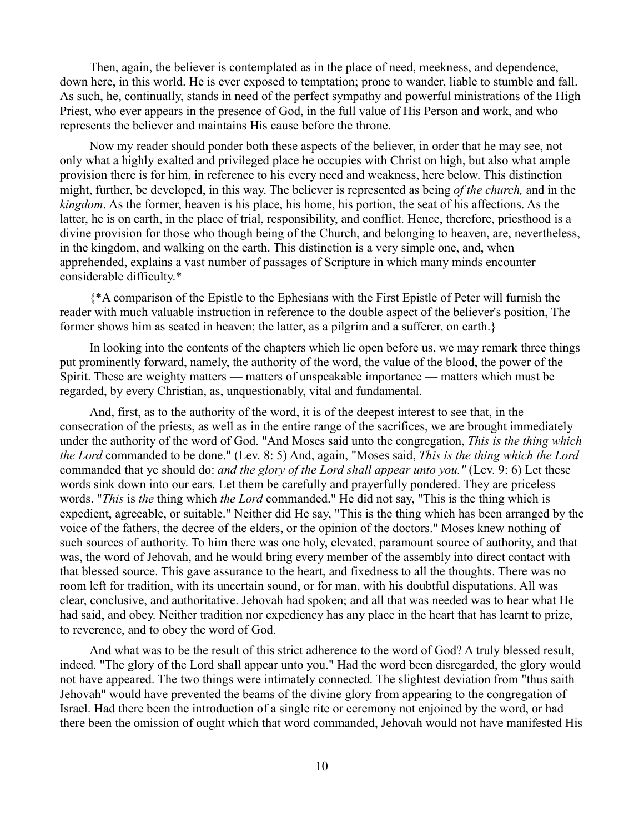Then, again, the believer is contemplated as in the place of need, meekness, and dependence, down here, in this world. He is ever exposed to temptation; prone to wander, liable to stumble and fall. As such, he, continually, stands in need of the perfect sympathy and powerful ministrations of the High Priest, who ever appears in the presence of God, in the full value of His Person and work, and who represents the believer and maintains His cause before the throne.

Now my reader should ponder both these aspects of the believer, in order that he may see, not only what a highly exalted and privileged place he occupies with Christ on high, but also what ample provision there is for him, in reference to his every need and weakness, here below. This distinction might, further, be developed, in this way. The believer is represented as being *of the church,* and in the *kingdom*. As the former, heaven is his place, his home, his portion, the seat of his affections. As the latter, he is on earth, in the place of trial, responsibility, and conflict. Hence, therefore, priesthood is a divine provision for those who though being of the Church, and belonging to heaven, are, nevertheless, in the kingdom, and walking on the earth. This distinction is a very simple one, and, when apprehended, explains a vast number of passages of Scripture in which many minds encounter considerable difficulty.\*

{\*A comparison of the Epistle to the Ephesians with the First Epistle of Peter will furnish the reader with much valuable instruction in reference to the double aspect of the believer's position, The former shows him as seated in heaven; the latter, as a pilgrim and a sufferer, on earth.}

In looking into the contents of the chapters which lie open before us, we may remark three things put prominently forward, namely, the authority of the word, the value of the blood, the power of the Spirit. These are weighty matters — matters of unspeakable importance — matters which must be regarded, by every Christian, as, unquestionably, vital and fundamental.

And, first, as to the authority of the word, it is of the deepest interest to see that, in the consecration of the priests, as well as in the entire range of the sacrifices, we are brought immediately under the authority of the word of God. "And Moses said unto the congregation, *This is the thing which the Lord* commanded to be done." (Lev. 8: 5) And, again, "Moses said, *This is the thing which the Lord* commanded that ye should do: *and the glory of the Lord shall appear unto you."* (Lev. 9: 6) Let these words sink down into our ears. Let them be carefully and prayerfully pondered. They are priceless words. "*This* is *the* thing which *the Lord* commanded." He did not say, "This is the thing which is expedient, agreeable, or suitable." Neither did He say, "This is the thing which has been arranged by the voice of the fathers, the decree of the elders, or the opinion of the doctors." Moses knew nothing of such sources of authority. To him there was one holy, elevated, paramount source of authority, and that was, the word of Jehovah, and he would bring every member of the assembly into direct contact with that blessed source. This gave assurance to the heart, and fixedness to all the thoughts. There was no room left for tradition, with its uncertain sound, or for man, with his doubtful disputations. All was clear, conclusive, and authoritative. Jehovah had spoken; and all that was needed was to hear what He had said, and obey. Neither tradition nor expediency has any place in the heart that has learnt to prize, to reverence, and to obey the word of God.

And what was to be the result of this strict adherence to the word of God? A truly blessed result, indeed. "The glory of the Lord shall appear unto you." Had the word been disregarded, the glory would not have appeared. The two things were intimately connected. The slightest deviation from "thus saith Jehovah" would have prevented the beams of the divine glory from appearing to the congregation of Israel. Had there been the introduction of a single rite or ceremony not enjoined by the word, or had there been the omission of ought which that word commanded, Jehovah would not have manifested His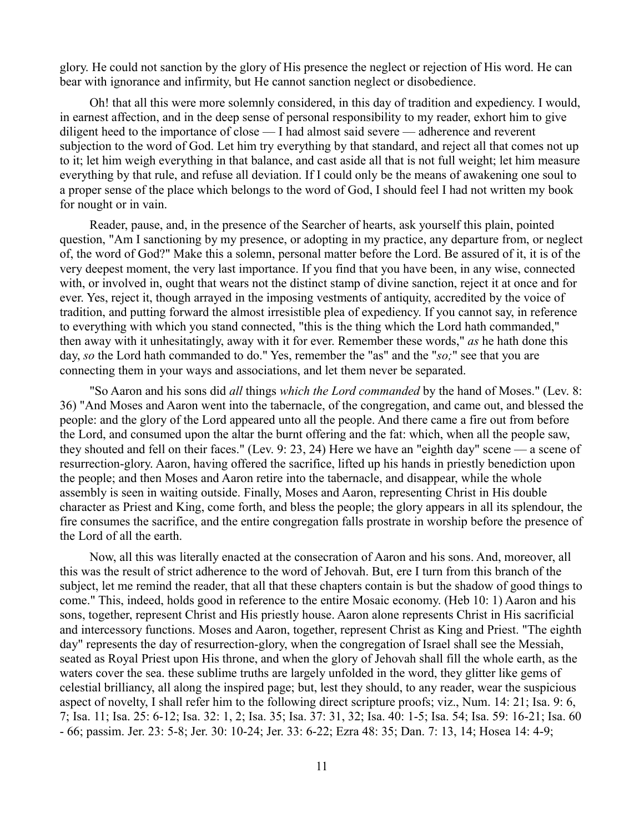glory. He could not sanction by the glory of His presence the neglect or rejection of His word. He can bear with ignorance and infirmity, but He cannot sanction neglect or disobedience.

Oh! that all this were more solemnly considered, in this day of tradition and expediency. I would, in earnest affection, and in the deep sense of personal responsibility to my reader, exhort him to give diligent heed to the importance of close — I had almost said severe — adherence and reverent subjection to the word of God. Let him try everything by that standard, and reject all that comes not up to it; let him weigh everything in that balance, and cast aside all that is not full weight; let him measure everything by that rule, and refuse all deviation. If I could only be the means of awakening one soul to a proper sense of the place which belongs to the word of God, I should feel I had not written my book for nought or in vain.

Reader, pause, and, in the presence of the Searcher of hearts, ask yourself this plain, pointed question, "Am I sanctioning by my presence, or adopting in my practice, any departure from, or neglect of, the word of God?" Make this a solemn, personal matter before the Lord. Be assured of it, it is of the very deepest moment, the very last importance. If you find that you have been, in any wise, connected with, or involved in, ought that wears not the distinct stamp of divine sanction, reject it at once and for ever. Yes, reject it, though arrayed in the imposing vestments of antiquity, accredited by the voice of tradition, and putting forward the almost irresistible plea of expediency. If you cannot say, in reference to everything with which you stand connected, "this is the thing which the Lord hath commanded," then away with it unhesitatingly, away with it for ever. Remember these words," *as* he hath done this day, *so* the Lord hath commanded to do." Yes, remember the "as" and the "*so;*" see that you are connecting them in your ways and associations, and let them never be separated.

"So Aaron and his sons did *all* things *which the Lord commanded* by the hand of Moses." (Lev. 8: 36) "And Moses and Aaron went into the tabernacle, of the congregation, and came out, and blessed the people: and the glory of the Lord appeared unto all the people. And there came a fire out from before the Lord, and consumed upon the altar the burnt offering and the fat: which, when all the people saw, they shouted and fell on their faces." (Lev. 9: 23, 24) Here we have an "eighth day" scene — a scene of resurrection-glory. Aaron, having offered the sacrifice, lifted up his hands in priestly benediction upon the people; and then Moses and Aaron retire into the tabernacle, and disappear, while the whole assembly is seen in waiting outside. Finally, Moses and Aaron, representing Christ in His double character as Priest and King, come forth, and bless the people; the glory appears in all its splendour, the fire consumes the sacrifice, and the entire congregation falls prostrate in worship before the presence of the Lord of all the earth.

Now, all this was literally enacted at the consecration of Aaron and his sons. And, moreover, all this was the result of strict adherence to the word of Jehovah. But, ere I turn from this branch of the subject, let me remind the reader, that all that these chapters contain is but the shadow of good things to come." This, indeed, holds good in reference to the entire Mosaic economy. (Heb 10: 1) Aaron and his sons, together, represent Christ and His priestly house. Aaron alone represents Christ in His sacrificial and intercessory functions. Moses and Aaron, together, represent Christ as King and Priest. "The eighth day" represents the day of resurrection-glory, when the congregation of Israel shall see the Messiah, seated as Royal Priest upon His throne, and when the glory of Jehovah shall fill the whole earth, as the waters cover the sea. these sublime truths are largely unfolded in the word, they glitter like gems of celestial brilliancy, all along the inspired page; but, lest they should, to any reader, wear the suspicious aspect of novelty, I shall refer him to the following direct scripture proofs; viz., Num. 14: 21; Isa. 9: 6, 7; Isa. 11; Isa. 25: 6-12; Isa. 32: 1, 2; Isa. 35; Isa. 37: 31, 32; Isa. 40: 1-5; Isa. 54; Isa. 59: 16-21; Isa. 60 - 66; passim. Jer. 23: 5-8; Jer. 30: 10-24; Jer. 33: 6-22; Ezra 48: 35; Dan. 7: 13, 14; Hosea 14: 4-9;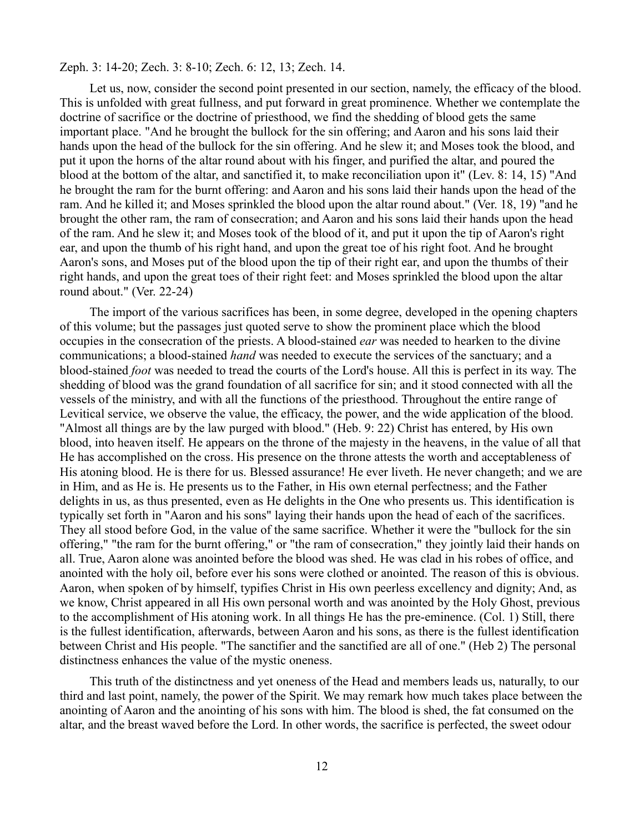### Zeph. 3: 14-20; Zech. 3: 8-10; Zech. 6: 12, 13; Zech. 14.

Let us, now, consider the second point presented in our section, namely, the efficacy of the blood. This is unfolded with great fullness, and put forward in great prominence. Whether we contemplate the doctrine of sacrifice or the doctrine of priesthood, we find the shedding of blood gets the same important place. "And he brought the bullock for the sin offering; and Aaron and his sons laid their hands upon the head of the bullock for the sin offering. And he slew it; and Moses took the blood, and put it upon the horns of the altar round about with his finger, and purified the altar, and poured the blood at the bottom of the altar, and sanctified it, to make reconciliation upon it" (Lev. 8: 14, 15) "And he brought the ram for the burnt offering: and Aaron and his sons laid their hands upon the head of the ram. And he killed it; and Moses sprinkled the blood upon the altar round about." (Ver. 18, 19) "and he brought the other ram, the ram of consecration; and Aaron and his sons laid their hands upon the head of the ram. And he slew it; and Moses took of the blood of it, and put it upon the tip of Aaron's right ear, and upon the thumb of his right hand, and upon the great toe of his right foot. And he brought Aaron's sons, and Moses put of the blood upon the tip of their right ear, and upon the thumbs of their right hands, and upon the great toes of their right feet: and Moses sprinkled the blood upon the altar round about." (Ver. 22-24)

The import of the various sacrifices has been, in some degree, developed in the opening chapters of this volume; but the passages just quoted serve to show the prominent place which the blood occupies in the consecration of the priests. A blood-stained *ear* was needed to hearken to the divine communications; a blood-stained *hand* was needed to execute the services of the sanctuary; and a blood-stained *foot* was needed to tread the courts of the Lord's house. All this is perfect in its way. The shedding of blood was the grand foundation of all sacrifice for sin; and it stood connected with all the vessels of the ministry, and with all the functions of the priesthood. Throughout the entire range of Levitical service, we observe the value, the efficacy, the power, and the wide application of the blood. "Almost all things are by the law purged with blood." (Heb. 9: 22) Christ has entered, by His own blood, into heaven itself. He appears on the throne of the majesty in the heavens, in the value of all that He has accomplished on the cross. His presence on the throne attests the worth and acceptableness of His atoning blood. He is there for us. Blessed assurance! He ever liveth. He never changeth; and we are in Him, and as He is. He presents us to the Father, in His own eternal perfectness; and the Father delights in us, as thus presented, even as He delights in the One who presents us. This identification is typically set forth in "Aaron and his sons" laying their hands upon the head of each of the sacrifices. They all stood before God, in the value of the same sacrifice. Whether it were the "bullock for the sin offering," "the ram for the burnt offering," or "the ram of consecration," they jointly laid their hands on all. True, Aaron alone was anointed before the blood was shed. He was clad in his robes of office, and anointed with the holy oil, before ever his sons were clothed or anointed. The reason of this is obvious. Aaron, when spoken of by himself, typifies Christ in His own peerless excellency and dignity; And, as we know, Christ appeared in all His own personal worth and was anointed by the Holy Ghost, previous to the accomplishment of His atoning work. In all things He has the pre-eminence. (Col. 1) Still, there is the fullest identification, afterwards, between Aaron and his sons, as there is the fullest identification between Christ and His people. "The sanctifier and the sanctified are all of one." (Heb 2) The personal distinctness enhances the value of the mystic oneness.

This truth of the distinctness and yet oneness of the Head and members leads us, naturally, to our third and last point, namely, the power of the Spirit. We may remark how much takes place between the anointing of Aaron and the anointing of his sons with him. The blood is shed, the fat consumed on the altar, and the breast waved before the Lord. In other words, the sacrifice is perfected, the sweet odour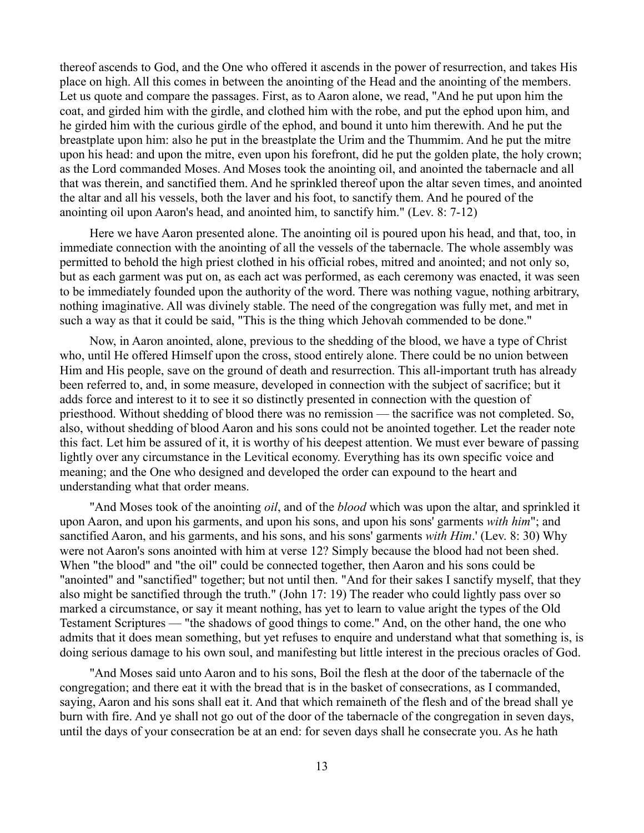thereof ascends to God, and the One who offered it ascends in the power of resurrection, and takes His place on high. All this comes in between the anointing of the Head and the anointing of the members. Let us quote and compare the passages. First, as to Aaron alone, we read, "And he put upon him the coat, and girded him with the girdle, and clothed him with the robe, and put the ephod upon him, and he girded him with the curious girdle of the ephod, and bound it unto him therewith. And he put the breastplate upon him: also he put in the breastplate the Urim and the Thummim. And he put the mitre upon his head: and upon the mitre, even upon his forefront, did he put the golden plate, the holy crown; as the Lord commanded Moses. And Moses took the anointing oil, and anointed the tabernacle and all that was therein, and sanctified them. And he sprinkled thereof upon the altar seven times, and anointed the altar and all his vessels, both the laver and his foot, to sanctify them. And he poured of the anointing oil upon Aaron's head, and anointed him, to sanctify him." (Lev. 8: 7-12)

Here we have Aaron presented alone. The anointing oil is poured upon his head, and that, too, in immediate connection with the anointing of all the vessels of the tabernacle. The whole assembly was permitted to behold the high priest clothed in his official robes, mitred and anointed; and not only so, but as each garment was put on, as each act was performed, as each ceremony was enacted, it was seen to be immediately founded upon the authority of the word. There was nothing vague, nothing arbitrary, nothing imaginative. All was divinely stable. The need of the congregation was fully met, and met in such a way as that it could be said, "This is the thing which Jehovah commended to be done."

Now, in Aaron anointed, alone, previous to the shedding of the blood, we have a type of Christ who, until He offered Himself upon the cross, stood entirely alone. There could be no union between Him and His people, save on the ground of death and resurrection. This all-important truth has already been referred to, and, in some measure, developed in connection with the subject of sacrifice; but it adds force and interest to it to see it so distinctly presented in connection with the question of priesthood. Without shedding of blood there was no remission — the sacrifice was not completed. So, also, without shedding of blood Aaron and his sons could not be anointed together. Let the reader note this fact. Let him be assured of it, it is worthy of his deepest attention. We must ever beware of passing lightly over any circumstance in the Levitical economy. Everything has its own specific voice and meaning; and the One who designed and developed the order can expound to the heart and understanding what that order means.

"And Moses took of the anointing *oil*, and of the *blood* which was upon the altar, and sprinkled it upon Aaron, and upon his garments, and upon his sons, and upon his sons' garments *with him*"; and sanctified Aaron, and his garments, and his sons, and his sons' garments *with Him*.' (Lev. 8: 30) Why were not Aaron's sons anointed with him at verse 12? Simply because the blood had not been shed. When "the blood" and "the oil" could be connected together, then Aaron and his sons could be "anointed" and "sanctified" together; but not until then. "And for their sakes I sanctify myself, that they also might be sanctified through the truth." (John 17: 19) The reader who could lightly pass over so marked a circumstance, or say it meant nothing, has yet to learn to value aright the types of the Old Testament Scriptures — "the shadows of good things to come." And, on the other hand, the one who admits that it does mean something, but yet refuses to enquire and understand what that something is, is doing serious damage to his own soul, and manifesting but little interest in the precious oracles of God.

"And Moses said unto Aaron and to his sons, Boil the flesh at the door of the tabernacle of the congregation; and there eat it with the bread that is in the basket of consecrations, as I commanded, saying, Aaron and his sons shall eat it. And that which remaineth of the flesh and of the bread shall ye burn with fire. And ye shall not go out of the door of the tabernacle of the congregation in seven days, until the days of your consecration be at an end: for seven days shall he consecrate you. As he hath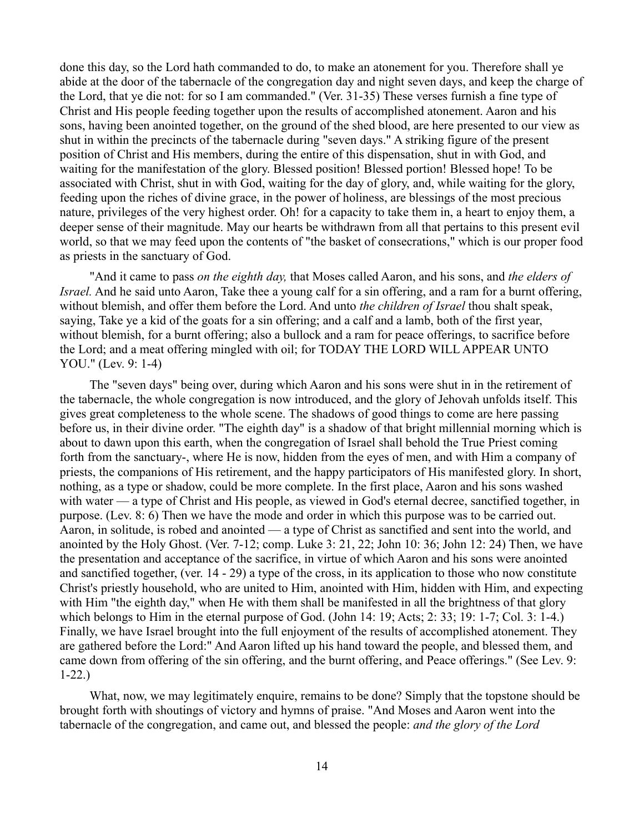done this day, so the Lord hath commanded to do, to make an atonement for you. Therefore shall ye abide at the door of the tabernacle of the congregation day and night seven days, and keep the charge of the Lord, that ye die not: for so I am commanded." (Ver. 31-35) These verses furnish a fine type of Christ and His people feeding together upon the results of accomplished atonement. Aaron and his sons, having been anointed together, on the ground of the shed blood, are here presented to our view as shut in within the precincts of the tabernacle during "seven days." A striking figure of the present position of Christ and His members, during the entire of this dispensation, shut in with God, and waiting for the manifestation of the glory. Blessed position! Blessed portion! Blessed hope! To be associated with Christ, shut in with God, waiting for the day of glory, and, while waiting for the glory, feeding upon the riches of divine grace, in the power of holiness, are blessings of the most precious nature, privileges of the very highest order. Oh! for a capacity to take them in, a heart to enjoy them, a deeper sense of their magnitude. May our hearts be withdrawn from all that pertains to this present evil world, so that we may feed upon the contents of "the basket of consecrations," which is our proper food as priests in the sanctuary of God.

"And it came to pass *on the eighth day,* that Moses called Aaron, and his sons, and *the elders of Israel.* And he said unto Aaron, Take thee a young calf for a sin offering, and a ram for a burnt offering, without blemish, and offer them before the Lord. And unto *the children of Israel* thou shalt speak, saying, Take ye a kid of the goats for a sin offering; and a calf and a lamb, both of the first year, without blemish, for a burnt offering; also a bullock and a ram for peace offerings, to sacrifice before the Lord; and a meat offering mingled with oil; for TODAY THE LORD WILL APPEAR UNTO YOU." (Lev. 9: 1-4)

The "seven days" being over, during which Aaron and his sons were shut in in the retirement of the tabernacle, the whole congregation is now introduced, and the glory of Jehovah unfolds itself. This gives great completeness to the whole scene. The shadows of good things to come are here passing before us, in their divine order. "The eighth day" is a shadow of that bright millennial morning which is about to dawn upon this earth, when the congregation of Israel shall behold the True Priest coming forth from the sanctuary-, where He is now, hidden from the eyes of men, and with Him a company of priests, the companions of His retirement, and the happy participators of His manifested glory. In short, nothing, as a type or shadow, could be more complete. In the first place, Aaron and his sons washed with water — a type of Christ and His people, as viewed in God's eternal decree, sanctified together, in purpose. (Lev. 8: 6) Then we have the mode and order in which this purpose was to be carried out. Aaron, in solitude, is robed and anointed — a type of Christ as sanctified and sent into the world, and anointed by the Holy Ghost. (Ver. 7-12; comp. Luke 3: 21, 22; John 10: 36; John 12: 24) Then, we have the presentation and acceptance of the sacrifice, in virtue of which Aaron and his sons were anointed and sanctified together, (ver. 14 - 29) a type of the cross, in its application to those who now constitute Christ's priestly household, who are united to Him, anointed with Him, hidden with Him, and expecting with Him "the eighth day," when He with them shall be manifested in all the brightness of that glory which belongs to Him in the eternal purpose of God. (John 14: 19; Acts; 2: 33; 19: 1-7; Col. 3: 1-4.) Finally, we have Israel brought into the full enjoyment of the results of accomplished atonement. They are gathered before the Lord:" And Aaron lifted up his hand toward the people, and blessed them, and came down from offering of the sin offering, and the burnt offering, and Peace offerings." (See Lev. 9: 1-22.)

What, now, we may legitimately enquire, remains to be done? Simply that the topstone should be brought forth with shoutings of victory and hymns of praise. "And Moses and Aaron went into the tabernacle of the congregation, and came out, and blessed the people: *and the glory of the Lord*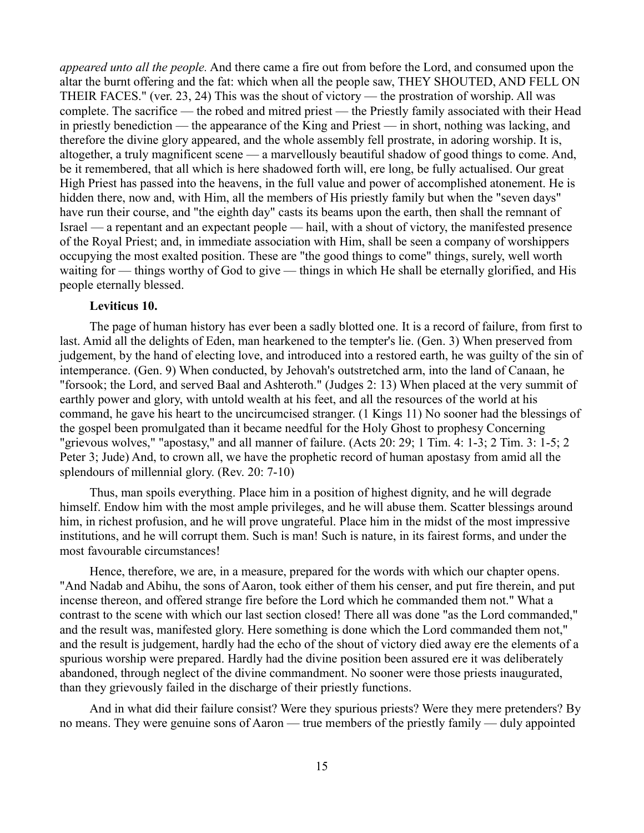*appeared unto all the people.* And there came a fire out from before the Lord, and consumed upon the altar the burnt offering and the fat: which when all the people saw, THEY SHOUTED, AND FELL ON THEIR FACES." (ver. 23, 24) This was the shout of victory — the prostration of worship. All was complete. The sacrifice — the robed and mitred priest — the Priestly family associated with their Head in priestly benediction — the appearance of the King and Priest — in short, nothing was lacking, and therefore the divine glory appeared, and the whole assembly fell prostrate, in adoring worship. It is, altogether, a truly magnificent scene — a marvellously beautiful shadow of good things to come. And, be it remembered, that all which is here shadowed forth will, ere long, be fully actualised. Our great High Priest has passed into the heavens, in the full value and power of accomplished atonement. He is hidden there, now and, with Him, all the members of His priestly family but when the "seven days" have run their course, and "the eighth day" casts its beams upon the earth, then shall the remnant of Israel — a repentant and an expectant people — hail, with a shout of victory, the manifested presence of the Royal Priest; and, in immediate association with Him, shall be seen a company of worshippers occupying the most exalted position. These are "the good things to come" things, surely, well worth waiting for — things worthy of God to give — things in which He shall be eternally glorified, and His people eternally blessed.

## **Leviticus 10.**

The page of human history has ever been a sadly blotted one. It is a record of failure, from first to last. Amid all the delights of Eden, man hearkened to the tempter's lie. (Gen. 3) When preserved from judgement, by the hand of electing love, and introduced into a restored earth, he was guilty of the sin of intemperance. (Gen. 9) When conducted, by Jehovah's outstretched arm, into the land of Canaan, he "forsook; the Lord, and served Baal and Ashteroth." (Judges 2: 13) When placed at the very summit of earthly power and glory, with untold wealth at his feet, and all the resources of the world at his command, he gave his heart to the uncircumcised stranger. (1 Kings 11) No sooner had the blessings of the gospel been promulgated than it became needful for the Holy Ghost to prophesy Concerning "grievous wolves," "apostasy," and all manner of failure. (Acts 20: 29; 1 Tim. 4: 1-3; 2 Tim. 3: 1-5; 2 Peter 3; Jude) And, to crown all, we have the prophetic record of human apostasy from amid all the splendours of millennial glory. (Rev. 20: 7-10)

Thus, man spoils everything. Place him in a position of highest dignity, and he will degrade himself. Endow him with the most ample privileges, and he will abuse them. Scatter blessings around him, in richest profusion, and he will prove ungrateful. Place him in the midst of the most impressive institutions, and he will corrupt them. Such is man! Such is nature, in its fairest forms, and under the most favourable circumstances!

Hence, therefore, we are, in a measure, prepared for the words with which our chapter opens. "And Nadab and Abihu, the sons of Aaron, took either of them his censer, and put fire therein, and put incense thereon, and offered strange fire before the Lord which he commanded them not." What a contrast to the scene with which our last section closed! There all was done "as the Lord commanded," and the result was, manifested glory. Here something is done which the Lord commanded them not," and the result is judgement, hardly had the echo of the shout of victory died away ere the elements of a spurious worship were prepared. Hardly had the divine position been assured ere it was deliberately abandoned, through neglect of the divine commandment. No sooner were those priests inaugurated, than they grievously failed in the discharge of their priestly functions.

And in what did their failure consist? Were they spurious priests? Were they mere pretenders? By no means. They were genuine sons of Aaron — true members of the priestly family — duly appointed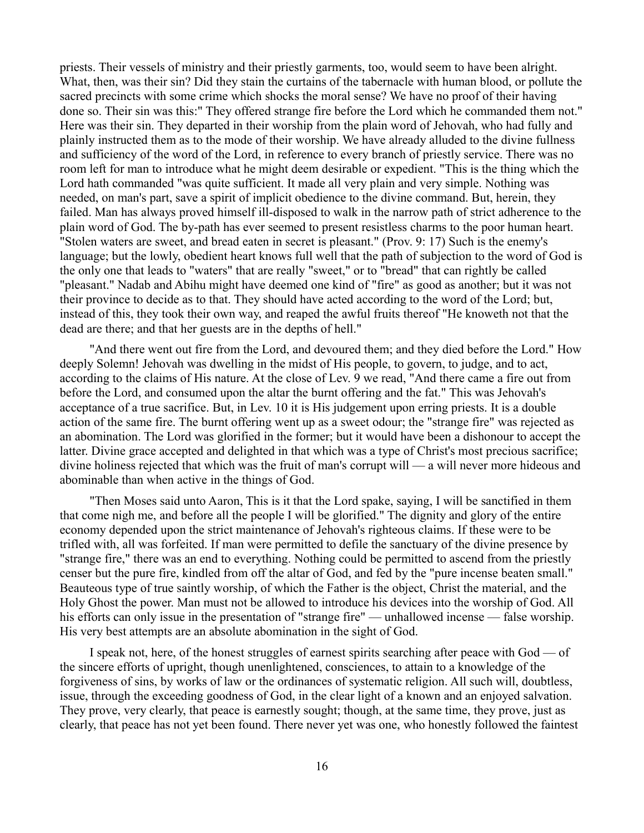priests. Their vessels of ministry and their priestly garments, too, would seem to have been alright. What, then, was their sin? Did they stain the curtains of the tabernacle with human blood, or pollute the sacred precincts with some crime which shocks the moral sense? We have no proof of their having done so. Their sin was this:" They offered strange fire before the Lord which he commanded them not." Here was their sin. They departed in their worship from the plain word of Jehovah, who had fully and plainly instructed them as to the mode of their worship. We have already alluded to the divine fullness and sufficiency of the word of the Lord, in reference to every branch of priestly service. There was no room left for man to introduce what he might deem desirable or expedient. "This is the thing which the Lord hath commanded "was quite sufficient. It made all very plain and very simple. Nothing was needed, on man's part, save a spirit of implicit obedience to the divine command. But, herein, they failed. Man has always proved himself ill-disposed to walk in the narrow path of strict adherence to the plain word of God. The by-path has ever seemed to present resistless charms to the poor human heart. "Stolen waters are sweet, and bread eaten in secret is pleasant." (Prov. 9: 17) Such is the enemy's language; but the lowly, obedient heart knows full well that the path of subjection to the word of God is the only one that leads to "waters" that are really "sweet," or to "bread" that can rightly be called "pleasant." Nadab and Abihu might have deemed one kind of "fire" as good as another; but it was not their province to decide as to that. They should have acted according to the word of the Lord; but, instead of this, they took their own way, and reaped the awful fruits thereof "He knoweth not that the dead are there; and that her guests are in the depths of hell."

"And there went out fire from the Lord, and devoured them; and they died before the Lord." How deeply Solemn! Jehovah was dwelling in the midst of His people, to govern, to judge, and to act, according to the claims of His nature. At the close of Lev. 9 we read, "And there came a fire out from before the Lord, and consumed upon the altar the burnt offering and the fat." This was Jehovah's acceptance of a true sacrifice. But, in Lev. 10 it is His judgement upon erring priests. It is a double action of the same fire. The burnt offering went up as a sweet odour; the "strange fire" was rejected as an abomination. The Lord was glorified in the former; but it would have been a dishonour to accept the latter. Divine grace accepted and delighted in that which was a type of Christ's most precious sacrifice; divine holiness rejected that which was the fruit of man's corrupt will — a will never more hideous and abominable than when active in the things of God.

"Then Moses said unto Aaron, This is it that the Lord spake, saying, I will be sanctified in them that come nigh me, and before all the people I will be glorified." The dignity and glory of the entire economy depended upon the strict maintenance of Jehovah's righteous claims. If these were to be trifled with, all was forfeited. If man were permitted to defile the sanctuary of the divine presence by "strange fire," there was an end to everything. Nothing could be permitted to ascend from the priestly censer but the pure fire, kindled from off the altar of God, and fed by the "pure incense beaten small." Beauteous type of true saintly worship, of which the Father is the object, Christ the material, and the Holy Ghost the power. Man must not be allowed to introduce his devices into the worship of God. All his efforts can only issue in the presentation of "strange fire" — unhallowed incense — false worship. His very best attempts are an absolute abomination in the sight of God.

I speak not, here, of the honest struggles of earnest spirits searching after peace with God — of the sincere efforts of upright, though unenlightened, consciences, to attain to a knowledge of the forgiveness of sins, by works of law or the ordinances of systematic religion. All such will, doubtless, issue, through the exceeding goodness of God, in the clear light of a known and an enjoyed salvation. They prove, very clearly, that peace is earnestly sought; though, at the same time, they prove, just as clearly, that peace has not yet been found. There never yet was one, who honestly followed the faintest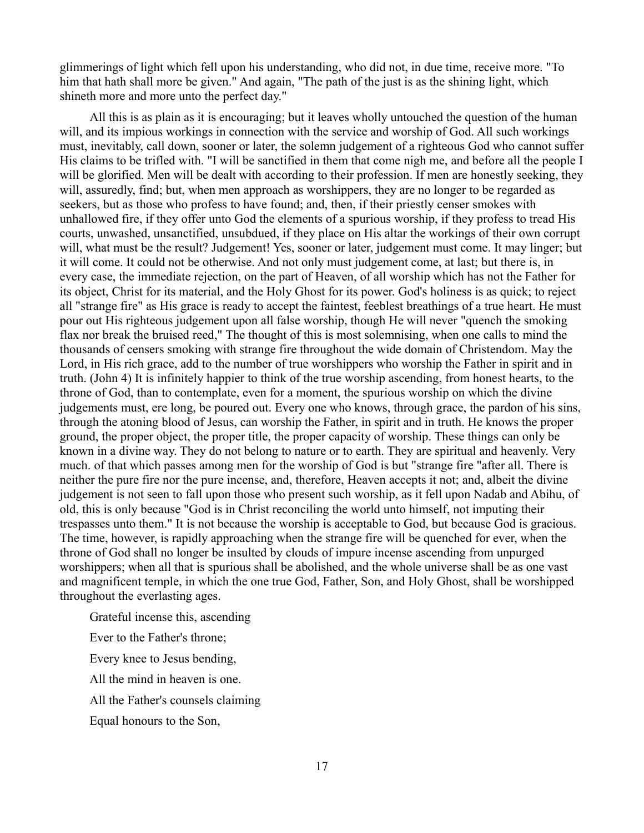glimmerings of light which fell upon his understanding, who did not, in due time, receive more. "To him that hath shall more be given." And again, "The path of the just is as the shining light, which shineth more and more unto the perfect day."

All this is as plain as it is encouraging; but it leaves wholly untouched the question of the human will, and its impious workings in connection with the service and worship of God. All such workings must, inevitably, call down, sooner or later, the solemn judgement of a righteous God who cannot suffer His claims to be trifled with. "I will be sanctified in them that come nigh me, and before all the people I will be glorified. Men will be dealt with according to their profession. If men are honestly seeking, they will, assuredly, find; but, when men approach as worshippers, they are no longer to be regarded as seekers, but as those who profess to have found; and, then, if their priestly censer smokes with unhallowed fire, if they offer unto God the elements of a spurious worship, if they profess to tread His courts, unwashed, unsanctified, unsubdued, if they place on His altar the workings of their own corrupt will, what must be the result? Judgement! Yes, sooner or later, judgement must come. It may linger; but it will come. It could not be otherwise. And not only must judgement come, at last; but there is, in every case, the immediate rejection, on the part of Heaven, of all worship which has not the Father for its object, Christ for its material, and the Holy Ghost for its power. God's holiness is as quick; to reject all "strange fire" as His grace is ready to accept the faintest, feeblest breathings of a true heart. He must pour out His righteous judgement upon all false worship, though He will never "quench the smoking flax nor break the bruised reed," The thought of this is most solemnising, when one calls to mind the thousands of censers smoking with strange fire throughout the wide domain of Christendom. May the Lord, in His rich grace, add to the number of true worshippers who worship the Father in spirit and in truth. (John 4) It is infinitely happier to think of the true worship ascending, from honest hearts, to the throne of God, than to contemplate, even for a moment, the spurious worship on which the divine judgements must, ere long, be poured out. Every one who knows, through grace, the pardon of his sins, through the atoning blood of Jesus, can worship the Father, in spirit and in truth. He knows the proper ground, the proper object, the proper title, the proper capacity of worship. These things can only be known in a divine way. They do not belong to nature or to earth. They are spiritual and heavenly. Very much. of that which passes among men for the worship of God is but "strange fire "after all. There is neither the pure fire nor the pure incense, and, therefore, Heaven accepts it not; and, albeit the divine judgement is not seen to fall upon those who present such worship, as it fell upon Nadab and Abihu, of old, this is only because "God is in Christ reconciling the world unto himself, not imputing their trespasses unto them." It is not because the worship is acceptable to God, but because God is gracious. The time, however, is rapidly approaching when the strange fire will be quenched for ever, when the throne of God shall no longer be insulted by clouds of impure incense ascending from unpurged worshippers; when all that is spurious shall be abolished, and the whole universe shall be as one vast and magnificent temple, in which the one true God, Father, Son, and Holy Ghost, shall be worshipped throughout the everlasting ages.

Grateful incense this, ascending

Ever to the Father's throne;

Every knee to Jesus bending,

All the mind in heaven is one.

All the Father's counsels claiming

Equal honours to the Son,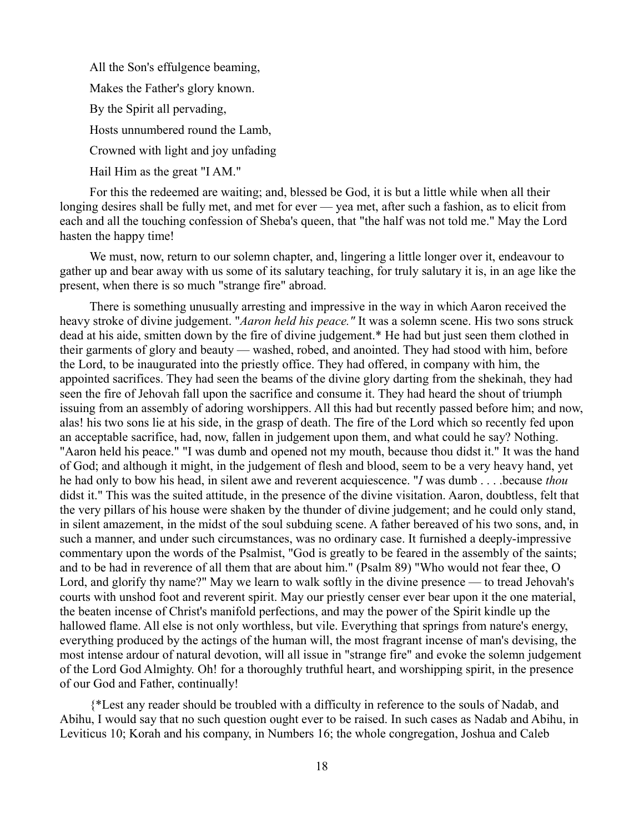All the Son's effulgence beaming,

Makes the Father's glory known.

By the Spirit all pervading,

Hosts unnumbered round the Lamb,

Crowned with light and joy unfading

Hail Him as the great "I AM."

For this the redeemed are waiting; and, blessed be God, it is but a little while when all their longing desires shall be fully met, and met for ever — yea met, after such a fashion, as to elicit from each and all the touching confession of Sheba's queen, that "the half was not told me." May the Lord hasten the happy time!

We must, now, return to our solemn chapter, and, lingering a little longer over it, endeavour to gather up and bear away with us some of its salutary teaching, for truly salutary it is, in an age like the present, when there is so much "strange fire" abroad.

There is something unusually arresting and impressive in the way in which Aaron received the heavy stroke of divine judgement. "*Aaron held his peace."* It was a solemn scene. His two sons struck dead at his aide, smitten down by the fire of divine judgement.\* He had but just seen them clothed in their garments of glory and beauty — washed, robed, and anointed. They had stood with him, before the Lord, to be inaugurated into the priestly office. They had offered, in company with him, the appointed sacrifices. They had seen the beams of the divine glory darting from the shekinah, they had seen the fire of Jehovah fall upon the sacrifice and consume it. They had heard the shout of triumph issuing from an assembly of adoring worshippers. All this had but recently passed before him; and now, alas! his two sons lie at his side, in the grasp of death. The fire of the Lord which so recently fed upon an acceptable sacrifice, had, now, fallen in judgement upon them, and what could he say? Nothing. "Aaron held his peace." "I was dumb and opened not my mouth, because thou didst it." It was the hand of God; and although it might, in the judgement of flesh and blood, seem to be a very heavy hand, yet he had only to bow his head, in silent awe and reverent acquiescence. "*I* was dumb . . . .because *thou* didst it." This was the suited attitude, in the presence of the divine visitation. Aaron, doubtless, felt that the very pillars of his house were shaken by the thunder of divine judgement; and he could only stand, in silent amazement, in the midst of the soul subduing scene. A father bereaved of his two sons, and, in such a manner, and under such circumstances, was no ordinary case. It furnished a deeply-impressive commentary upon the words of the Psalmist, "God is greatly to be feared in the assembly of the saints; and to be had in reverence of all them that are about him." (Psalm 89) "Who would not fear thee, O Lord, and glorify thy name?" May we learn to walk softly in the divine presence — to tread Jehovah's courts with unshod foot and reverent spirit. May our priestly censer ever bear upon it the one material, the beaten incense of Christ's manifold perfections, and may the power of the Spirit kindle up the hallowed flame. All else is not only worthless, but vile. Everything that springs from nature's energy, everything produced by the actings of the human will, the most fragrant incense of man's devising, the most intense ardour of natural devotion, will all issue in "strange fire" and evoke the solemn judgement of the Lord God Almighty. Oh! for a thoroughly truthful heart, and worshipping spirit, in the presence of our God and Father, continually!

{\*Lest any reader should be troubled with a difficulty in reference to the souls of Nadab, and Abihu, I would say that no such question ought ever to be raised. In such cases as Nadab and Abihu, in Leviticus 10; Korah and his company, in Numbers 16; the whole congregation, Joshua and Caleb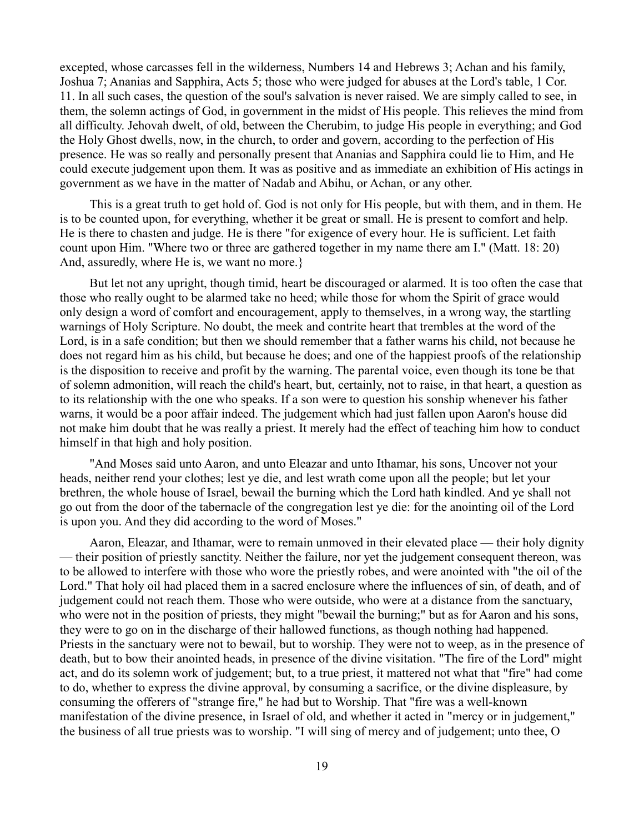excepted, whose carcasses fell in the wilderness, Numbers 14 and Hebrews 3; Achan and his family, Joshua 7; Ananias and Sapphira, Acts 5; those who were judged for abuses at the Lord's table, 1 Cor. 11. In all such cases, the question of the soul's salvation is never raised. We are simply called to see, in them, the solemn actings of God, in government in the midst of His people. This relieves the mind from all difficulty. Jehovah dwelt, of old, between the Cherubim, to judge His people in everything; and God the Holy Ghost dwells, now, in the church, to order and govern, according to the perfection of His presence. He was so really and personally present that Ananias and Sapphira could lie to Him, and He could execute judgement upon them. It was as positive and as immediate an exhibition of His actings in government as we have in the matter of Nadab and Abihu, or Achan, or any other.

This is a great truth to get hold of. God is not only for His people, but with them, and in them. He is to be counted upon, for everything, whether it be great or small. He is present to comfort and help. He is there to chasten and judge. He is there "for exigence of every hour. He is sufficient. Let faith count upon Him. "Where two or three are gathered together in my name there am I." (Matt. 18: 20) And, assuredly, where He is, we want no more.}

But let not any upright, though timid, heart be discouraged or alarmed. It is too often the case that those who really ought to be alarmed take no heed; while those for whom the Spirit of grace would only design a word of comfort and encouragement, apply to themselves, in a wrong way, the startling warnings of Holy Scripture. No doubt, the meek and contrite heart that trembles at the word of the Lord, is in a safe condition; but then we should remember that a father warns his child, not because he does not regard him as his child, but because he does; and one of the happiest proofs of the relationship is the disposition to receive and profit by the warning. The parental voice, even though its tone be that of solemn admonition, will reach the child's heart, but, certainly, not to raise, in that heart, a question as to its relationship with the one who speaks. If a son were to question his sonship whenever his father warns, it would be a poor affair indeed. The judgement which had just fallen upon Aaron's house did not make him doubt that he was really a priest. It merely had the effect of teaching him how to conduct himself in that high and holy position.

"And Moses said unto Aaron, and unto Eleazar and unto Ithamar, his sons, Uncover not your heads, neither rend your clothes; lest ye die, and lest wrath come upon all the people; but let your brethren, the whole house of Israel, bewail the burning which the Lord hath kindled. And ye shall not go out from the door of the tabernacle of the congregation lest ye die: for the anointing oil of the Lord is upon you. And they did according to the word of Moses."

Aaron, Eleazar, and Ithamar, were to remain unmoved in their elevated place — their holy dignity — their position of priestly sanctity. Neither the failure, nor yet the judgement consequent thereon, was to be allowed to interfere with those who wore the priestly robes, and were anointed with "the oil of the Lord." That holy oil had placed them in a sacred enclosure where the influences of sin, of death, and of judgement could not reach them. Those who were outside, who were at a distance from the sanctuary, who were not in the position of priests, they might "bewail the burning;" but as for Aaron and his sons, they were to go on in the discharge of their hallowed functions, as though nothing had happened. Priests in the sanctuary were not to bewail, but to worship. They were not to weep, as in the presence of death, but to bow their anointed heads, in presence of the divine visitation. "The fire of the Lord" might act, and do its solemn work of judgement; but, to a true priest, it mattered not what that "fire" had come to do, whether to express the divine approval, by consuming a sacrifice, or the divine displeasure, by consuming the offerers of "strange fire," he had but to Worship. That "fire was a well-known manifestation of the divine presence, in Israel of old, and whether it acted in "mercy or in judgement," the business of all true priests was to worship. "I will sing of mercy and of judgement; unto thee, O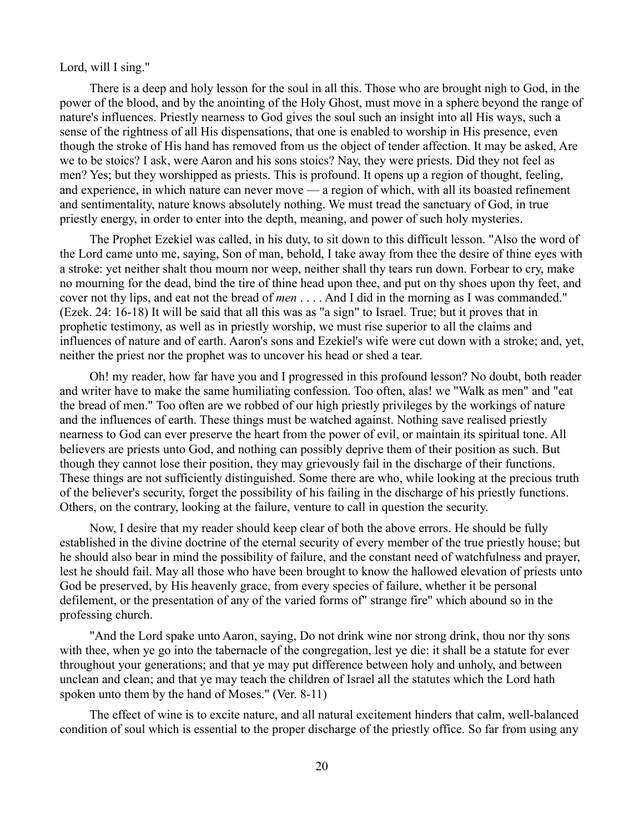Lord, will I sing."

There is a deep and holy lesson for the soul in all this. Those who are brought nigh to God, in the power of the blood, and by the anointing of the Holy Ghost, must move in a sphere beyond the range of nature's influences. Priestly nearness to God gives the soul such an insight into all His ways, such a sense of the rightness of all His dispensations, that one is enabled to worship in His presence, even though the stroke of His hand has removed from us the object of tender affection. It may be asked, Are we to be stoics? I ask, were Aaron and his sons stoics? Nay, they were priests. Did they not feel as men? Yes; but they worshipped as priests. This is profound. It opens up a region of thought, feeling, and experience, in which nature can never move — a region of which, with all its boasted refinement and sentimentality, nature knows absolutely nothing. We must tread the sanctuary of God, in true priestly energy, in order to enter into the depth, meaning, and power of such holy mysteries.

The Prophet Ezekiel was called, in his duty, to sit down to this difficult lesson. "Also the word of the Lord came unto me, saying, Son of man, behold, I take away from thee the desire of thine eyes with a stroke: yet neither shalt thou mourn nor weep, neither shall thy tears run down. Forbear to cry, make no mourning for the dead, bind the tire of thine head upon thee, and put on thy shoes upon thy feet, and cover not thy lips, and eat not the bread of *men* . . . . And I did in the morning as I was commanded." (Ezek. 24: 16-18) It will be said that all this was as "a sign" to Israel. True; but it proves that in prophetic testimony, as well as in priestly worship, we must rise superior to all the claims and influences of nature and of earth. Aaron's sons and Ezekiel's wife were cut down with a stroke; and, yet, neither the priest nor the prophet was to uncover his head or shed a tear.

Oh! my reader, how far have you and I progressed in this profound lesson? No doubt, both reader and writer have to make the same humiliating confession. Too often, alas! we "Walk as men" and "eat the bread of men." Too often are we robbed of our high priestly privileges by the workings of nature and the influences of earth. These things must be watched against. Nothing save realised priestly nearness to God can ever preserve the heart from the power of evil, or maintain its spiritual tone. All believers are priests unto God, and nothing can possibly deprive them of their position as such. But though they cannot lose their position, they may grievously fail in the discharge of their functions. These things are not sufficiently distinguished. Some there are who, while looking at the precious truth of the believer's security, forget the possibility of his failing in the discharge of his priestly functions. Others, on the contrary, looking at the failure, venture to call in question the security.

Now, I desire that my reader should keep clear of both the above errors. He should be fully established in the divine doctrine of the eternal security of every member of the true priestly house; but he should also bear in mind the possibility of failure, and the constant need of watchfulness and prayer, lest he should fail. May all those who have been brought to know the hallowed elevation of priests unto God be preserved, by His heavenly grace, from every species of failure, whether it be personal defilement, or the presentation of any of the varied forms of" strange fire" which abound so in the professing church.

"And the Lord spake unto Aaron, saying, Do not drink wine nor strong drink, thou nor thy sons with thee, when ye go into the tabernacle of the congregation, lest ye die: it shall be a statute for ever throughout your generations; and that ye may put difference between holy and unholy, and between unclean and clean; and that ye may teach the children of Israel all the statutes which the Lord hath spoken unto them by the hand of Moses." (Ver. 8-11)

The effect of wine is to excite nature, and all natural excitement hinders that calm, well-balanced condition of soul which is essential to the proper discharge of the priestly office. So far from using any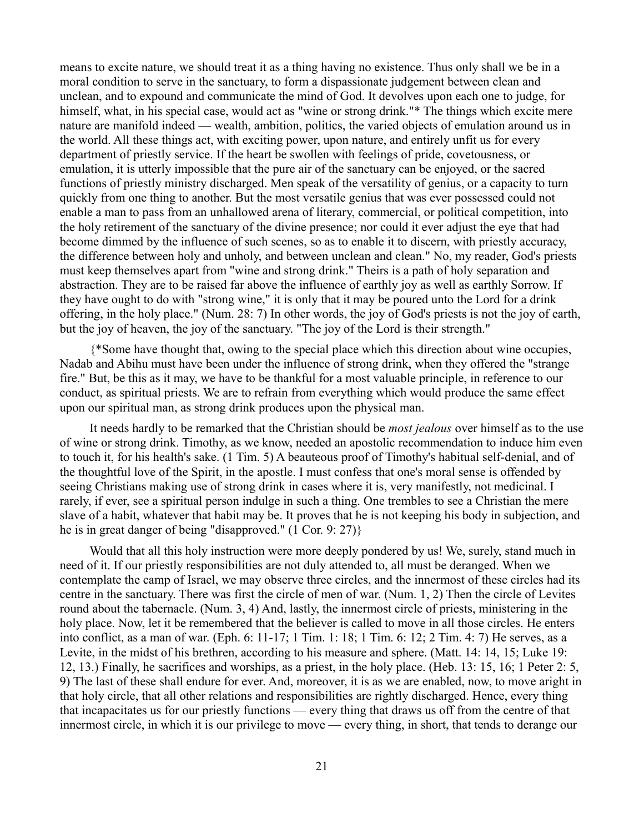means to excite nature, we should treat it as a thing having no existence. Thus only shall we be in a moral condition to serve in the sanctuary, to form a dispassionate judgement between clean and unclean, and to expound and communicate the mind of God. It devolves upon each one to judge, for himself, what, in his special case, would act as "wine or strong drink."\* The things which excite mere nature are manifold indeed — wealth, ambition, politics, the varied objects of emulation around us in the world. All these things act, with exciting power, upon nature, and entirely unfit us for every department of priestly service. If the heart be swollen with feelings of pride, covetousness, or emulation, it is utterly impossible that the pure air of the sanctuary can be enjoyed, or the sacred functions of priestly ministry discharged. Men speak of the versatility of genius, or a capacity to turn quickly from one thing to another. But the most versatile genius that was ever possessed could not enable a man to pass from an unhallowed arena of literary, commercial, or political competition, into the holy retirement of the sanctuary of the divine presence; nor could it ever adjust the eye that had become dimmed by the influence of such scenes, so as to enable it to discern, with priestly accuracy, the difference between holy and unholy, and between unclean and clean." No, my reader, God's priests must keep themselves apart from "wine and strong drink." Theirs is a path of holy separation and abstraction. They are to be raised far above the influence of earthly joy as well as earthly Sorrow. If they have ought to do with "strong wine," it is only that it may be poured unto the Lord for a drink offering, in the holy place." (Num. 28: 7) In other words, the joy of God's priests is not the joy of earth, but the joy of heaven, the joy of the sanctuary. "The joy of the Lord is their strength."

{\*Some have thought that, owing to the special place which this direction about wine occupies, Nadab and Abihu must have been under the influence of strong drink, when they offered the "strange fire." But, be this as it may, we have to be thankful for a most valuable principle, in reference to our conduct, as spiritual priests. We are to refrain from everything which would produce the same effect upon our spiritual man, as strong drink produces upon the physical man.

It needs hardly to be remarked that the Christian should be *most jealous* over himself as to the use of wine or strong drink. Timothy, as we know, needed an apostolic recommendation to induce him even to touch it, for his health's sake. (1 Tim. 5) A beauteous proof of Timothy's habitual self-denial, and of the thoughtful love of the Spirit, in the apostle. I must confess that one's moral sense is offended by seeing Christians making use of strong drink in cases where it is, very manifestly, not medicinal. I rarely, if ever, see a spiritual person indulge in such a thing. One trembles to see a Christian the mere slave of a habit, whatever that habit may be. It proves that he is not keeping his body in subjection, and he is in great danger of being "disapproved." (1 Cor. 9: 27)}

Would that all this holy instruction were more deeply pondered by us! We, surely, stand much in need of it. If our priestly responsibilities are not duly attended to, all must be deranged. When we contemplate the camp of Israel, we may observe three circles, and the innermost of these circles had its centre in the sanctuary. There was first the circle of men of war. (Num. 1, 2) Then the circle of Levites round about the tabernacle. (Num. 3, 4) And, lastly, the innermost circle of priests, ministering in the holy place. Now, let it be remembered that the believer is called to move in all those circles. He enters into conflict, as a man of war. (Eph. 6: 11-17; 1 Tim. 1: 18; 1 Tim. 6: 12; 2 Tim. 4: 7) He serves, as a Levite, in the midst of his brethren, according to his measure and sphere. (Matt. 14: 14, 15; Luke 19: 12, 13.) Finally, he sacrifices and worships, as a priest, in the holy place. (Heb. 13: 15, 16; 1 Peter 2: 5, 9) The last of these shall endure for ever. And, moreover, it is as we are enabled, now, to move aright in that holy circle, that all other relations and responsibilities are rightly discharged. Hence, every thing that incapacitates us for our priestly functions — every thing that draws us off from the centre of that innermost circle, in which it is our privilege to move — every thing, in short, that tends to derange our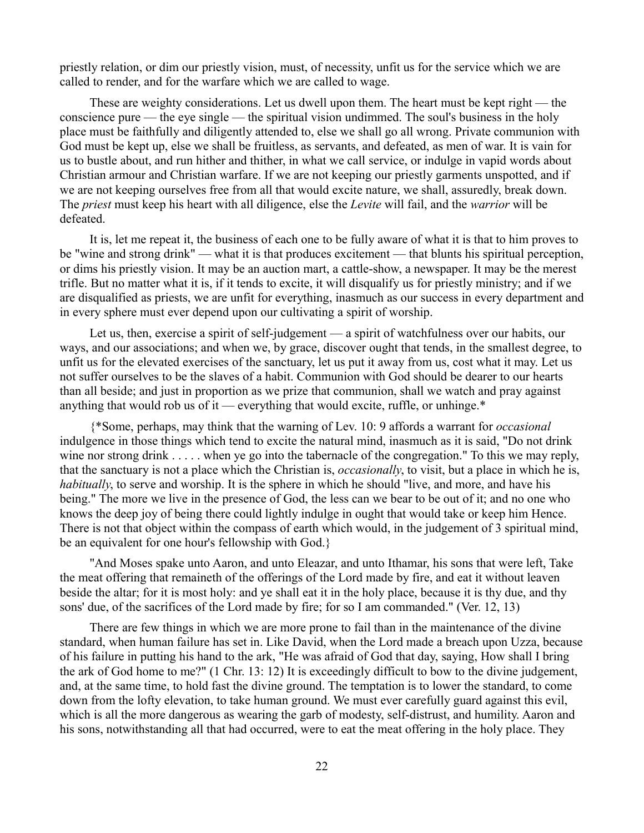priestly relation, or dim our priestly vision, must, of necessity, unfit us for the service which we are called to render, and for the warfare which we are called to wage.

These are weighty considerations. Let us dwell upon them. The heart must be kept right — the conscience pure — the eye single — the spiritual vision undimmed. The soul's business in the holy place must be faithfully and diligently attended to, else we shall go all wrong. Private communion with God must be kept up, else we shall be fruitless, as servants, and defeated, as men of war. It is vain for us to bustle about, and run hither and thither, in what we call service, or indulge in vapid words about Christian armour and Christian warfare. If we are not keeping our priestly garments unspotted, and if we are not keeping ourselves free from all that would excite nature, we shall, assuredly, break down. The *priest* must keep his heart with all diligence, else the *Levite* will fail, and the *warrior* will be defeated.

It is, let me repeat it, the business of each one to be fully aware of what it is that to him proves to be "wine and strong drink" — what it is that produces excitement — that blunts his spiritual perception, or dims his priestly vision. It may be an auction mart, a cattle-show, a newspaper. It may be the merest trifle. But no matter what it is, if it tends to excite, it will disqualify us for priestly ministry; and if we are disqualified as priests, we are unfit for everything, inasmuch as our success in every department and in every sphere must ever depend upon our cultivating a spirit of worship.

Let us, then, exercise a spirit of self-judgement — a spirit of watchfulness over our habits, our ways, and our associations; and when we, by grace, discover ought that tends, in the smallest degree, to unfit us for the elevated exercises of the sanctuary, let us put it away from us, cost what it may. Let us not suffer ourselves to be the slaves of a habit. Communion with God should be dearer to our hearts than all beside; and just in proportion as we prize that communion, shall we watch and pray against anything that would rob us of it — everything that would excite, ruffle, or unhinge.\*

{\*Some, perhaps, may think that the warning of Lev. 10: 9 affords a warrant for *occasional* indulgence in those things which tend to excite the natural mind, inasmuch as it is said, "Do not drink wine nor strong drink . . . . . when ye go into the tabernacle of the congregation." To this we may reply, that the sanctuary is not a place which the Christian is, *occasionally*, to visit, but a place in which he is, *habitually*, to serve and worship. It is the sphere in which he should "live, and more, and have his being." The more we live in the presence of God, the less can we bear to be out of it; and no one who knows the deep joy of being there could lightly indulge in ought that would take or keep him Hence. There is not that object within the compass of earth which would, in the judgement of 3 spiritual mind, be an equivalent for one hour's fellowship with God.}

"And Moses spake unto Aaron, and unto Eleazar, and unto Ithamar, his sons that were left, Take the meat offering that remaineth of the offerings of the Lord made by fire, and eat it without leaven beside the altar; for it is most holy: and ye shall eat it in the holy place, because it is thy due, and thy sons' due, of the sacrifices of the Lord made by fire; for so I am commanded." (Ver. 12, 13)

There are few things in which we are more prone to fail than in the maintenance of the divine standard, when human failure has set in. Like David, when the Lord made a breach upon Uzza, because of his failure in putting his hand to the ark, "He was afraid of God that day, saying, How shall I bring the ark of God home to me?" (1 Chr. 13: 12) It is exceedingly difficult to bow to the divine judgement, and, at the same time, to hold fast the divine ground. The temptation is to lower the standard, to come down from the lofty elevation, to take human ground. We must ever carefully guard against this evil, which is all the more dangerous as wearing the garb of modesty, self-distrust, and humility. Aaron and his sons, notwithstanding all that had occurred, were to eat the meat offering in the holy place. They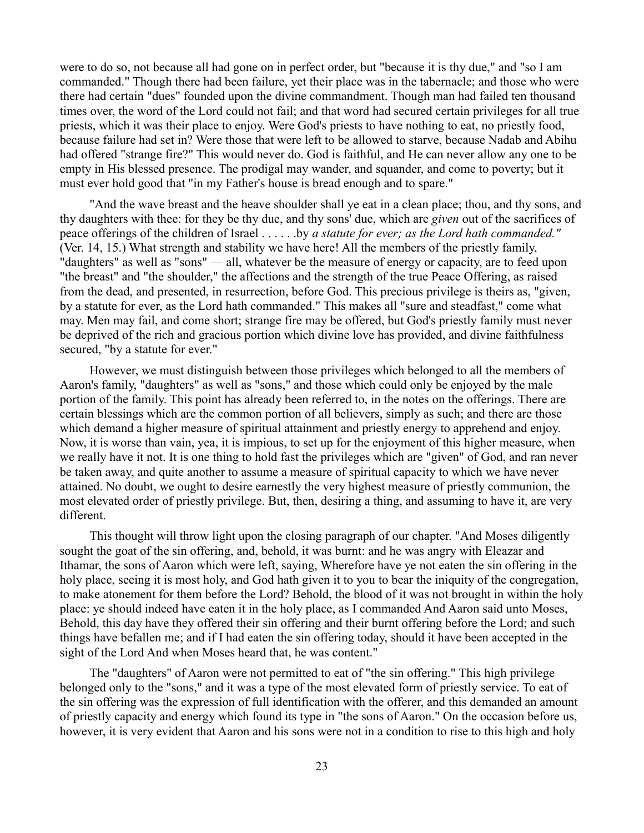were to do so, not because all had gone on in perfect order, but "because it is thy due," and "so I am commanded." Though there had been failure, yet their place was in the tabernacle; and those who were there had certain "dues" founded upon the divine commandment. Though man had failed ten thousand times over, the word of the Lord could not fail; and that word had secured certain privileges for all true priests, which it was their place to enjoy. Were God's priests to have nothing to eat, no priestly food, because failure had set in? Were those that were left to be allowed to starve, because Nadab and Abihu had offered "strange fire?" This would never do. God is faithful, and He can never allow any one to be empty in His blessed presence. The prodigal may wander, and squander, and come to poverty; but it must ever hold good that "in my Father's house is bread enough and to spare."

"And the wave breast and the heave shoulder shall ye eat in a clean place; thou, and thy sons, and thy daughters with thee: for they be thy due, and thy sons' due, which are *given* out of the sacrifices of peace offerings of the children of Israel . . . . . .by *a statute for ever; as the Lord hath commanded."* (Ver. 14, 15.) What strength and stability we have here! All the members of the priestly family, "daughters" as well as "sons" — all, whatever be the measure of energy or capacity, are to feed upon "the breast" and "the shoulder," the affections and the strength of the true Peace Offering, as raised from the dead, and presented, in resurrection, before God. This precious privilege is theirs as, "given, by a statute for ever, as the Lord hath commanded." This makes all "sure and steadfast," come what may. Men may fail, and come short; strange fire may be offered, but God's priestly family must never be deprived of the rich and gracious portion which divine love has provided, and divine faithfulness secured, "by a statute for ever."

However, we must distinguish between those privileges which belonged to all the members of Aaron's family, "daughters" as well as "sons," and those which could only be enjoyed by the male portion of the family. This point has already been referred to, in the notes on the offerings. There are certain blessings which are the common portion of all believers, simply as such; and there are those which demand a higher measure of spiritual attainment and priestly energy to apprehend and enjoy. Now, it is worse than vain, yea, it is impious, to set up for the enjoyment of this higher measure, when we really have it not. It is one thing to hold fast the privileges which are "given" of God, and ran never be taken away, and quite another to assume a measure of spiritual capacity to which we have never attained. No doubt, we ought to desire earnestly the very highest measure of priestly communion, the most elevated order of priestly privilege. But, then, desiring a thing, and assuming to have it, are very different.

This thought will throw light upon the closing paragraph of our chapter. "And Moses diligently sought the goat of the sin offering, and, behold, it was burnt: and he was angry with Eleazar and Ithamar, the sons of Aaron which were left, saying, Wherefore have ye not eaten the sin offering in the holy place, seeing it is most holy, and God hath given it to you to bear the iniquity of the congregation, to make atonement for them before the Lord? Behold, the blood of it was not brought in within the holy place: ye should indeed have eaten it in the holy place, as I commanded And Aaron said unto Moses, Behold, this day have they offered their sin offering and their burnt offering before the Lord; and such things have befallen me; and if I had eaten the sin offering today, should it have been accepted in the sight of the Lord And when Moses heard that, he was content."

The "daughters" of Aaron were not permitted to eat of "the sin offering." This high privilege belonged only to the "sons," and it was a type of the most elevated form of priestly service. To eat of the sin offering was the expression of full identification with the offerer, and this demanded an amount of priestly capacity and energy which found its type in "the sons of Aaron." On the occasion before us, however, it is very evident that Aaron and his sons were not in a condition to rise to this high and holy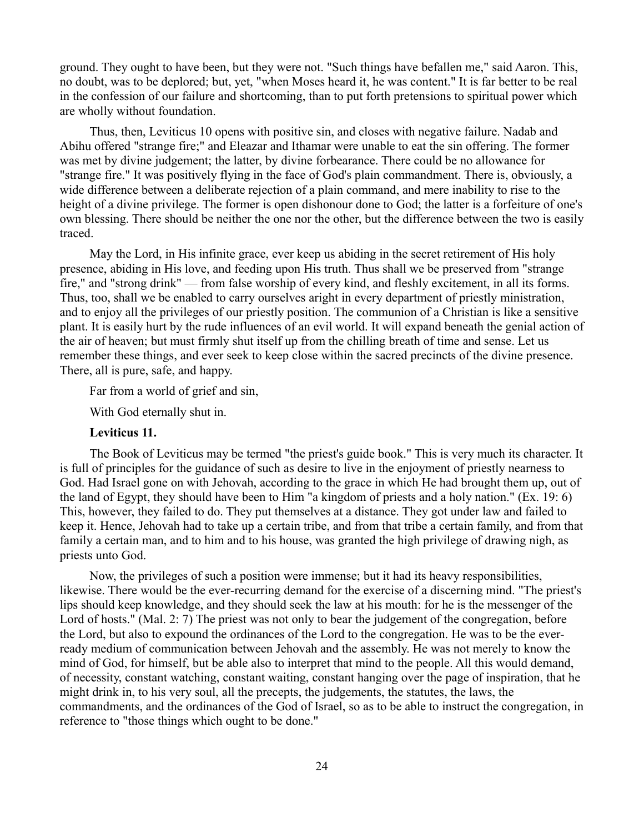ground. They ought to have been, but they were not. "Such things have befallen me," said Aaron. This, no doubt, was to be deplored; but, yet, "when Moses heard it, he was content." It is far better to be real in the confession of our failure and shortcoming, than to put forth pretensions to spiritual power which are wholly without foundation.

Thus, then, Leviticus 10 opens with positive sin, and closes with negative failure. Nadab and Abihu offered "strange fire;" and Eleazar and Ithamar were unable to eat the sin offering. The former was met by divine judgement; the latter, by divine forbearance. There could be no allowance for "strange fire." It was positively flying in the face of God's plain commandment. There is, obviously, a wide difference between a deliberate rejection of a plain command, and mere inability to rise to the height of a divine privilege. The former is open dishonour done to God; the latter is a forfeiture of one's own blessing. There should be neither the one nor the other, but the difference between the two is easily traced.

May the Lord, in His infinite grace, ever keep us abiding in the secret retirement of His holy presence, abiding in His love, and feeding upon His truth. Thus shall we be preserved from "strange fire," and "strong drink" — from false worship of every kind, and fleshly excitement, in all its forms. Thus, too, shall we be enabled to carry ourselves aright in every department of priestly ministration, and to enjoy all the privileges of our priestly position. The communion of a Christian is like a sensitive plant. It is easily hurt by the rude influences of an evil world. It will expand beneath the genial action of the air of heaven; but must firmly shut itself up from the chilling breath of time and sense. Let us remember these things, and ever seek to keep close within the sacred precincts of the divine presence. There, all is pure, safe, and happy.

Far from a world of grief and sin,

With God eternally shut in.

## **Leviticus 11.**

The Book of Leviticus may be termed "the priest's guide book." This is very much its character. It is full of principles for the guidance of such as desire to live in the enjoyment of priestly nearness to God. Had Israel gone on with Jehovah, according to the grace in which He had brought them up, out of the land of Egypt, they should have been to Him "a kingdom of priests and a holy nation." (Ex. 19: 6) This, however, they failed to do. They put themselves at a distance. They got under law and failed to keep it. Hence, Jehovah had to take up a certain tribe, and from that tribe a certain family, and from that family a certain man, and to him and to his house, was granted the high privilege of drawing nigh, as priests unto God.

Now, the privileges of such a position were immense; but it had its heavy responsibilities, likewise. There would be the ever-recurring demand for the exercise of a discerning mind. "The priest's lips should keep knowledge, and they should seek the law at his mouth: for he is the messenger of the Lord of hosts." (Mal. 2: 7) The priest was not only to bear the judgement of the congregation, before the Lord, but also to expound the ordinances of the Lord to the congregation. He was to be the everready medium of communication between Jehovah and the assembly. He was not merely to know the mind of God, for himself, but be able also to interpret that mind to the people. All this would demand, of necessity, constant watching, constant waiting, constant hanging over the page of inspiration, that he might drink in, to his very soul, all the precepts, the judgements, the statutes, the laws, the commandments, and the ordinances of the God of Israel, so as to be able to instruct the congregation, in reference to "those things which ought to be done."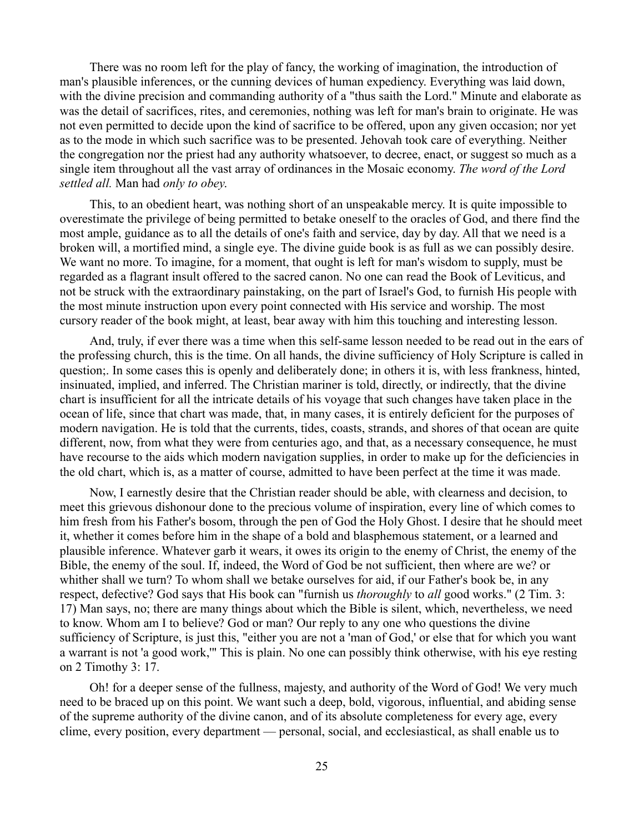There was no room left for the play of fancy, the working of imagination, the introduction of man's plausible inferences, or the cunning devices of human expediency. Everything was laid down, with the divine precision and commanding authority of a "thus saith the Lord." Minute and elaborate as was the detail of sacrifices, rites, and ceremonies, nothing was left for man's brain to originate. He was not even permitted to decide upon the kind of sacrifice to be offered, upon any given occasion; nor yet as to the mode in which such sacrifice was to be presented. Jehovah took care of everything. Neither the congregation nor the priest had any authority whatsoever, to decree, enact, or suggest so much as a single item throughout all the vast array of ordinances in the Mosaic economy. *The word of the Lord settled all.* Man had *only to obey*.

This, to an obedient heart, was nothing short of an unspeakable mercy. It is quite impossible to overestimate the privilege of being permitted to betake oneself to the oracles of God, and there find the most ample, guidance as to all the details of one's faith and service, day by day. All that we need is a broken will, a mortified mind, a single eye. The divine guide book is as full as we can possibly desire. We want no more. To imagine, for a moment, that ought is left for man's wisdom to supply, must be regarded as a flagrant insult offered to the sacred canon. No one can read the Book of Leviticus, and not be struck with the extraordinary painstaking, on the part of Israel's God, to furnish His people with the most minute instruction upon every point connected with His service and worship. The most cursory reader of the book might, at least, bear away with him this touching and interesting lesson.

And, truly, if ever there was a time when this self-same lesson needed to be read out in the ears of the professing church, this is the time. On all hands, the divine sufficiency of Holy Scripture is called in question;. In some cases this is openly and deliberately done; in others it is, with less frankness, hinted, insinuated, implied, and inferred. The Christian mariner is told, directly, or indirectly, that the divine chart is insufficient for all the intricate details of his voyage that such changes have taken place in the ocean of life, since that chart was made, that, in many cases, it is entirely deficient for the purposes of modern navigation. He is told that the currents, tides, coasts, strands, and shores of that ocean are quite different, now, from what they were from centuries ago, and that, as a necessary consequence, he must have recourse to the aids which modern navigation supplies, in order to make up for the deficiencies in the old chart, which is, as a matter of course, admitted to have been perfect at the time it was made.

Now, I earnestly desire that the Christian reader should be able, with clearness and decision, to meet this grievous dishonour done to the precious volume of inspiration, every line of which comes to him fresh from his Father's bosom, through the pen of God the Holy Ghost. I desire that he should meet it, whether it comes before him in the shape of a bold and blasphemous statement, or a learned and plausible inference. Whatever garb it wears, it owes its origin to the enemy of Christ, the enemy of the Bible, the enemy of the soul. If, indeed, the Word of God be not sufficient, then where are we? or whither shall we turn? To whom shall we betake ourselves for aid, if our Father's book be, in any respect, defective? God says that His book can "furnish us *thoroughly* to *all* good works." (2 Tim. 3: 17) Man says, no; there are many things about which the Bible is silent, which, nevertheless, we need to know. Whom am I to believe? God or man? Our reply to any one who questions the divine sufficiency of Scripture, is just this, "either you are not a 'man of God,' or else that for which you want a warrant is not 'a good work,'" This is plain. No one can possibly think otherwise, with his eye resting on 2 Timothy 3: 17.

Oh! for a deeper sense of the fullness, majesty, and authority of the Word of God! We very much need to be braced up on this point. We want such a deep, bold, vigorous, influential, and abiding sense of the supreme authority of the divine canon, and of its absolute completeness for every age, every clime, every position, every department — personal, social, and ecclesiastical, as shall enable us to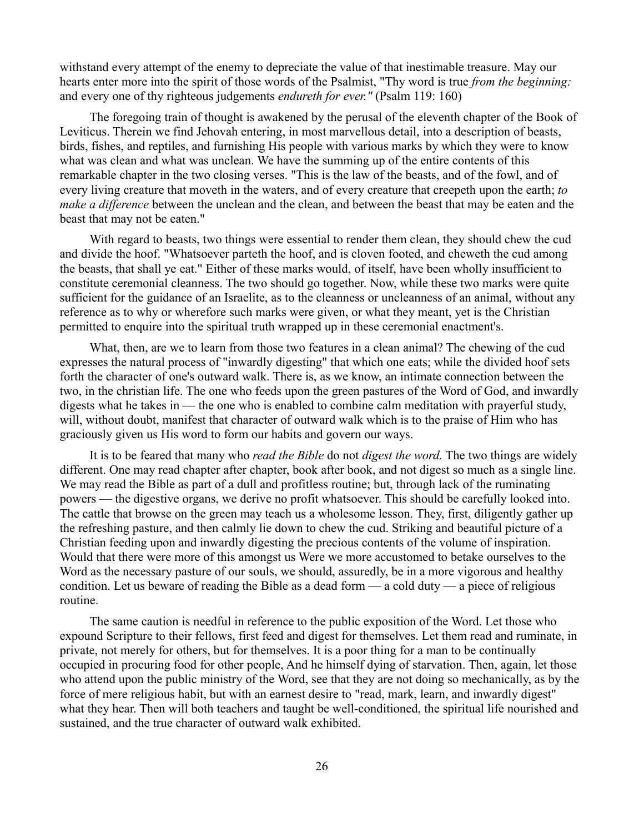withstand every attempt of the enemy to depreciate the value of that inestimable treasure. May our hearts enter more into the spirit of those words of the Psalmist, "Thy word is true *from the beginning:* and every one of thy righteous judgements *endureth for ever."* (Psalm 119: 160)

The foregoing train of thought is awakened by the perusal of the eleventh chapter of the Book of Leviticus. Therein we find Jehovah entering, in most marvellous detail, into a description of beasts, birds, fishes, and reptiles, and furnishing His people with various marks by which they were to know what was clean and what was unclean. We have the summing up of the entire contents of this remarkable chapter in the two closing verses. "This is the law of the beasts, and of the fowl, and of every living creature that moveth in the waters, and of every creature that creepeth upon the earth; *to make a difference* between the unclean and the clean, and between the beast that may be eaten and the beast that may not be eaten."

With regard to beasts, two things were essential to render them clean, they should chew the cud and divide the hoof. "Whatsoever parteth the hoof, and is cloven footed, and cheweth the cud among the beasts, that shall ye eat." Either of these marks would, of itself, have been wholly insufficient to constitute ceremonial cleanness. The two should go together. Now, while these two marks were quite sufficient for the guidance of an Israelite, as to the cleanness or uncleanness of an animal, without any reference as to why or wherefore such marks were given, or what they meant, yet is the Christian permitted to enquire into the spiritual truth wrapped up in these ceremonial enactment's.

What, then, are we to learn from those two features in a clean animal? The chewing of the cud expresses the natural process of "inwardly digesting" that which one eats; while the divided hoof sets forth the character of one's outward walk. There is, as we know, an intimate connection between the two, in the christian life. The one who feeds upon the green pastures of the Word of God, and inwardly digests what he takes in — the one who is enabled to combine calm meditation with prayerful study, will, without doubt, manifest that character of outward walk which is to the praise of Him who has graciously given us His word to form our habits and govern our ways.

It is to be feared that many who *read the Bible* do not *digest the word.* The two things are widely different. One may read chapter after chapter, book after book, and not digest so much as a single line. We may read the Bible as part of a dull and profitless routine; but, through lack of the ruminating powers — the digestive organs, we derive no profit whatsoever. This should be carefully looked into. The cattle that browse on the green may teach us a wholesome lesson. They, first, diligently gather up the refreshing pasture, and then calmly lie down to chew the cud. Striking and beautiful picture of a Christian feeding upon and inwardly digesting the precious contents of the volume of inspiration. Would that there were more of this amongst us Were we more accustomed to betake ourselves to the Word as the necessary pasture of our souls, we should, assuredly, be in a more vigorous and healthy condition. Let us beware of reading the Bible as a dead form — a cold duty — a piece of religious routine.

The same caution is needful in reference to the public exposition of the Word. Let those who expound Scripture to their fellows, first feed and digest for themselves. Let them read and ruminate, in private, not merely for others, but for themselves. It is a poor thing for a man to be continually occupied in procuring food for other people, And he himself dying of starvation. Then, again, let those who attend upon the public ministry of the Word, see that they are not doing so mechanically, as by the force of mere religious habit, but with an earnest desire to "read, mark, learn, and inwardly digest" what they hear. Then will both teachers and taught be well-conditioned, the spiritual life nourished and sustained, and the true character of outward walk exhibited.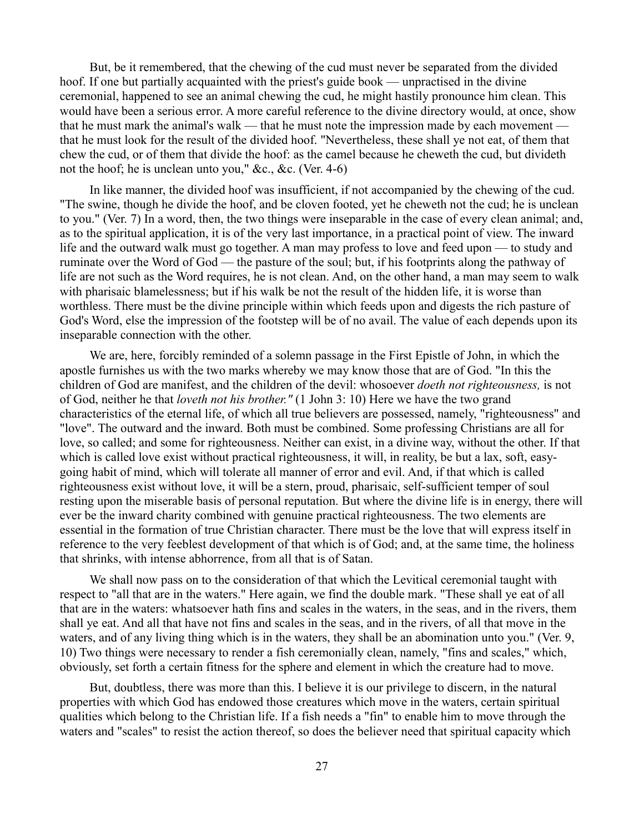But, be it remembered, that the chewing of the cud must never be separated from the divided hoof. If one but partially acquainted with the priest's guide book — unpractised in the divine ceremonial, happened to see an animal chewing the cud, he might hastily pronounce him clean. This would have been a serious error. A more careful reference to the divine directory would, at once, show that he must mark the animal's walk — that he must note the impression made by each movement that he must look for the result of the divided hoof. "Nevertheless, these shall ye not eat, of them that chew the cud, or of them that divide the hoof: as the camel because he cheweth the cud, but divideth not the hoof; he is unclean unto you," &c., &c. (Ver. 4-6)

In like manner, the divided hoof was insufficient, if not accompanied by the chewing of the cud. "The swine, though he divide the hoof, and be cloven footed, yet he cheweth not the cud; he is unclean to you." (Ver. 7) In a word, then, the two things were inseparable in the case of every clean animal; and, as to the spiritual application, it is of the very last importance, in a practical point of view. The inward life and the outward walk must go together. A man may profess to love and feed upon — to study and ruminate over the Word of God — the pasture of the soul; but, if his footprints along the pathway of life are not such as the Word requires, he is not clean. And, on the other hand, a man may seem to walk with pharisaic blamelessness; but if his walk be not the result of the hidden life, it is worse than worthless. There must be the divine principle within which feeds upon and digests the rich pasture of God's Word, else the impression of the footstep will be of no avail. The value of each depends upon its inseparable connection with the other.

We are, here, forcibly reminded of a solemn passage in the First Epistle of John, in which the apostle furnishes us with the two marks whereby we may know those that are of God. "In this the children of God are manifest, and the children of the devil: whosoever *doeth not righteousness,* is not of God, neither he that *loveth not his brother."* (1 John 3: 10) Here we have the two grand characteristics of the eternal life, of which all true believers are possessed, namely, "righteousness" and "love". The outward and the inward. Both must be combined. Some professing Christians are all for love, so called; and some for righteousness. Neither can exist, in a divine way, without the other. If that which is called love exist without practical righteousness, it will, in reality, be but a lax, soft, easygoing habit of mind, which will tolerate all manner of error and evil. And, if that which is called righteousness exist without love, it will be a stern, proud, pharisaic, self-sufficient temper of soul resting upon the miserable basis of personal reputation. But where the divine life is in energy, there will ever be the inward charity combined with genuine practical righteousness. The two elements are essential in the formation of true Christian character. There must be the love that will express itself in reference to the very feeblest development of that which is of God; and, at the same time, the holiness that shrinks, with intense abhorrence, from all that is of Satan.

We shall now pass on to the consideration of that which the Levitical ceremonial taught with respect to "all that are in the waters." Here again, we find the double mark. "These shall ye eat of all that are in the waters: whatsoever hath fins and scales in the waters, in the seas, and in the rivers, them shall ye eat. And all that have not fins and scales in the seas, and in the rivers, of all that move in the waters, and of any living thing which is in the waters, they shall be an abomination unto you." (Ver. 9, 10) Two things were necessary to render a fish ceremonially clean, namely, "fins and scales," which, obviously, set forth a certain fitness for the sphere and element in which the creature had to move.

But, doubtless, there was more than this. I believe it is our privilege to discern, in the natural properties with which God has endowed those creatures which move in the waters, certain spiritual qualities which belong to the Christian life. If a fish needs a "fin" to enable him to move through the waters and "scales" to resist the action thereof, so does the believer need that spiritual capacity which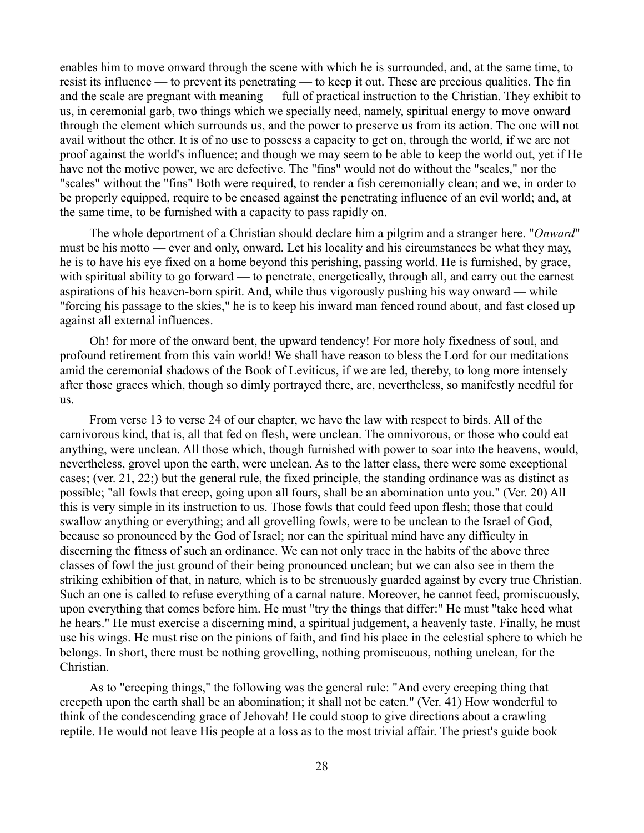enables him to move onward through the scene with which he is surrounded, and, at the same time, to resist its influence — to prevent its penetrating — to keep it out. These are precious qualities. The fin and the scale are pregnant with meaning — full of practical instruction to the Christian. They exhibit to us, in ceremonial garb, two things which we specially need, namely, spiritual energy to move onward through the element which surrounds us, and the power to preserve us from its action. The one will not avail without the other. It is of no use to possess a capacity to get on, through the world, if we are not proof against the world's influence; and though we may seem to be able to keep the world out, yet if He have not the motive power, we are defective. The "fins" would not do without the "scales," nor the "scales" without the "fins" Both were required, to render a fish ceremonially clean; and we, in order to be properly equipped, require to be encased against the penetrating influence of an evil world; and, at the same time, to be furnished with a capacity to pass rapidly on.

The whole deportment of a Christian should declare him a pilgrim and a stranger here. "*Onward*" must be his motto — ever and only, onward. Let his locality and his circumstances be what they may, he is to have his eye fixed on a home beyond this perishing, passing world. He is furnished, by grace, with spiritual ability to go forward — to penetrate, energetically, through all, and carry out the earnest aspirations of his heaven-born spirit. And, while thus vigorously pushing his way onward — while "forcing his passage to the skies," he is to keep his inward man fenced round about, and fast closed up against all external influences.

Oh! for more of the onward bent, the upward tendency! For more holy fixedness of soul, and profound retirement from this vain world! We shall have reason to bless the Lord for our meditations amid the ceremonial shadows of the Book of Leviticus, if we are led, thereby, to long more intensely after those graces which, though so dimly portrayed there, are, nevertheless, so manifestly needful for us.

From verse 13 to verse 24 of our chapter, we have the law with respect to birds. All of the carnivorous kind, that is, all that fed on flesh, were unclean. The omnivorous, or those who could eat anything, were unclean. All those which, though furnished with power to soar into the heavens, would, nevertheless, grovel upon the earth, were unclean. As to the latter class, there were some exceptional cases; (ver. 21, 22;) but the general rule, the fixed principle, the standing ordinance was as distinct as possible; "all fowls that creep, going upon all fours, shall be an abomination unto you." (Ver. 20) All this is very simple in its instruction to us. Those fowls that could feed upon flesh; those that could swallow anything or everything; and all grovelling fowls, were to be unclean to the Israel of God, because so pronounced by the God of Israel; nor can the spiritual mind have any difficulty in discerning the fitness of such an ordinance. We can not only trace in the habits of the above three classes of fowl the just ground of their being pronounced unclean; but we can also see in them the striking exhibition of that, in nature, which is to be strenuously guarded against by every true Christian. Such an one is called to refuse everything of a carnal nature. Moreover, he cannot feed, promiscuously, upon everything that comes before him. He must "try the things that differ:" He must "take heed what he hears." He must exercise a discerning mind, a spiritual judgement, a heavenly taste. Finally, he must use his wings. He must rise on the pinions of faith, and find his place in the celestial sphere to which he belongs. In short, there must be nothing grovelling, nothing promiscuous, nothing unclean, for the Christian.

As to "creeping things," the following was the general rule: "And every creeping thing that creepeth upon the earth shall be an abomination; it shall not be eaten." (Ver. 41) How wonderful to think of the condescending grace of Jehovah! He could stoop to give directions about a crawling reptile. He would not leave His people at a loss as to the most trivial affair. The priest's guide book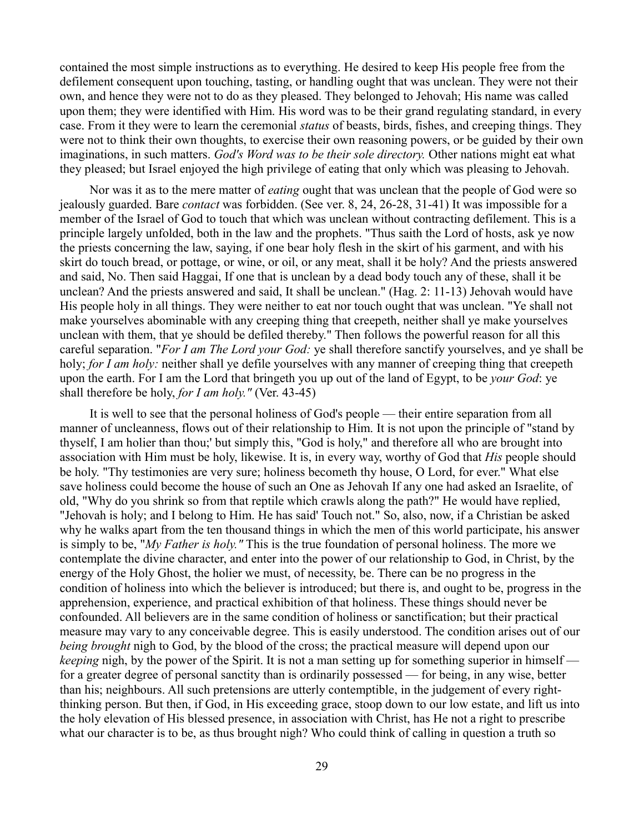contained the most simple instructions as to everything. He desired to keep His people free from the defilement consequent upon touching, tasting, or handling ought that was unclean. They were not their own, and hence they were not to do as they pleased. They belonged to Jehovah; His name was called upon them; they were identified with Him. His word was to be their grand regulating standard, in every case. From it they were to learn the ceremonial *status* of beasts, birds, fishes, and creeping things. They were not to think their own thoughts, to exercise their own reasoning powers, or be guided by their own imaginations, in such matters. *God's Word was to be their sole directory.* Other nations might eat what they pleased; but Israel enjoyed the high privilege of eating that only which was pleasing to Jehovah.

Nor was it as to the mere matter of *eating* ought that was unclean that the people of God were so jealously guarded. Bare *contact* was forbidden. (See ver. 8, 24, 26-28, 31-41) It was impossible for a member of the Israel of God to touch that which was unclean without contracting defilement. This is a principle largely unfolded, both in the law and the prophets. "Thus saith the Lord of hosts, ask ye now the priests concerning the law, saying, if one bear holy flesh in the skirt of his garment, and with his skirt do touch bread, or pottage, or wine, or oil, or any meat, shall it be holy? And the priests answered and said, No. Then said Haggai, If one that is unclean by a dead body touch any of these, shall it be unclean? And the priests answered and said, It shall be unclean." (Hag. 2: 11-13) Jehovah would have His people holy in all things. They were neither to eat nor touch ought that was unclean. "Ye shall not make yourselves abominable with any creeping thing that creepeth, neither shall ye make yourselves unclean with them, that ye should be defiled thereby." Then follows the powerful reason for all this careful separation. "*For I am The Lord your God:* ye shall therefore sanctify yourselves, and ye shall be holy; *for I am holy*: neither shall ye defile yourselves with any manner of creeping thing that creepeth upon the earth. For I am the Lord that bringeth you up out of the land of Egypt, to be *your God*: ye shall therefore be holy, *for I am holy."* (Ver. 43-45)

It is well to see that the personal holiness of God's people — their entire separation from all manner of uncleanness, flows out of their relationship to Him. It is not upon the principle of "stand by thyself, I am holier than thou;' but simply this, "God is holy," and therefore all who are brought into association with Him must be holy, likewise. It is, in every way, worthy of God that *His* people should be holy. "Thy testimonies are very sure; holiness becometh thy house, O Lord, for ever." What else save holiness could become the house of such an One as Jehovah If any one had asked an Israelite, of old, "Why do you shrink so from that reptile which crawls along the path?" He would have replied, "Jehovah is holy; and I belong to Him. He has said' Touch not." So, also, now, if a Christian be asked why he walks apart from the ten thousand things in which the men of this world participate, his answer is simply to be, "*My Father is holy."* This is the true foundation of personal holiness. The more we contemplate the divine character, and enter into the power of our relationship to God, in Christ, by the energy of the Holy Ghost, the holier we must, of necessity, be. There can be no progress in the condition of holiness into which the believer is introduced; but there is, and ought to be, progress in the apprehension, experience, and practical exhibition of that holiness. These things should never be confounded. All believers are in the same condition of holiness or sanctification; but their practical measure may vary to any conceivable degree. This is easily understood. The condition arises out of our *being brought* nigh to God, by the blood of the cross; the practical measure will depend upon our *keeping* nigh, by the power of the Spirit. It is not a man setting up for something superior in himself for a greater degree of personal sanctity than is ordinarily possessed — for being, in any wise, better than his; neighbours. All such pretensions are utterly contemptible, in the judgement of every rightthinking person. But then, if God, in His exceeding grace, stoop down to our low estate, and lift us into the holy elevation of His blessed presence, in association with Christ, has He not a right to prescribe what our character is to be, as thus brought nigh? Who could think of calling in question a truth so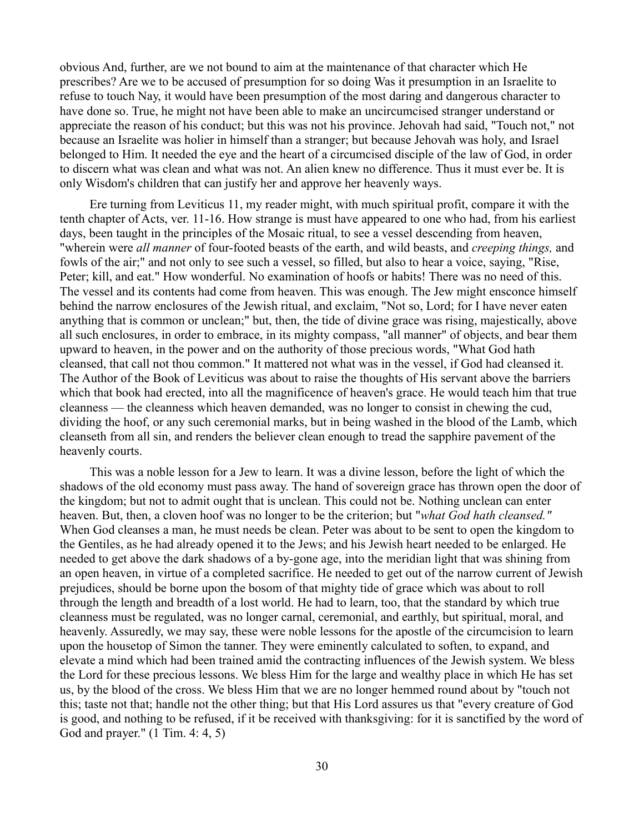obvious And, further, are we not bound to aim at the maintenance of that character which He prescribes? Are we to be accused of presumption for so doing Was it presumption in an Israelite to refuse to touch Nay, it would have been presumption of the most daring and dangerous character to have done so. True, he might not have been able to make an uncircumcised stranger understand or appreciate the reason of his conduct; but this was not his province. Jehovah had said, "Touch not," not because an Israelite was holier in himself than a stranger; but because Jehovah was holy, and Israel belonged to Him. It needed the eye and the heart of a circumcised disciple of the law of God, in order to discern what was clean and what was not. An alien knew no difference. Thus it must ever be. It is only Wisdom's children that can justify her and approve her heavenly ways.

Ere turning from Leviticus 11, my reader might, with much spiritual profit, compare it with the tenth chapter of Acts, ver. 11-16. How strange is must have appeared to one who had, from his earliest days, been taught in the principles of the Mosaic ritual, to see a vessel descending from heaven, "wherein were *all manner* of four-footed beasts of the earth, and wild beasts, and *creeping things,* and fowls of the air;" and not only to see such a vessel, so filled, but also to hear a voice, saying, "Rise, Peter; kill, and eat." How wonderful. No examination of hoofs or habits! There was no need of this. The vessel and its contents had come from heaven. This was enough. The Jew might ensconce himself behind the narrow enclosures of the Jewish ritual, and exclaim, "Not so, Lord; for I have never eaten anything that is common or unclean;" but, then, the tide of divine grace was rising, majestically, above all such enclosures, in order to embrace, in its mighty compass, "all manner" of objects, and bear them upward to heaven, in the power and on the authority of those precious words, "What God hath cleansed, that call not thou common." It mattered not what was in the vessel, if God had cleansed it. The Author of the Book of Leviticus was about to raise the thoughts of His servant above the barriers which that book had erected, into all the magnificence of heaven's grace. He would teach him that true cleanness — the cleanness which heaven demanded, was no longer to consist in chewing the cud, dividing the hoof, or any such ceremonial marks, but in being washed in the blood of the Lamb, which cleanseth from all sin, and renders the believer clean enough to tread the sapphire pavement of the heavenly courts.

This was a noble lesson for a Jew to learn. It was a divine lesson, before the light of which the shadows of the old economy must pass away. The hand of sovereign grace has thrown open the door of the kingdom; but not to admit ought that is unclean. This could not be. Nothing unclean can enter heaven. But, then, a cloven hoof was no longer to be the criterion; but "*what God hath cleansed."* When God cleanses a man, he must needs be clean. Peter was about to be sent to open the kingdom to the Gentiles, as he had already opened it to the Jews; and his Jewish heart needed to be enlarged. He needed to get above the dark shadows of a by-gone age, into the meridian light that was shining from an open heaven, in virtue of a completed sacrifice. He needed to get out of the narrow current of Jewish prejudices, should be borne upon the bosom of that mighty tide of grace which was about to roll through the length and breadth of a lost world. He had to learn, too, that the standard by which true cleanness must be regulated, was no longer carnal, ceremonial, and earthly, but spiritual, moral, and heavenly. Assuredly, we may say, these were noble lessons for the apostle of the circumcision to learn upon the housetop of Simon the tanner. They were eminently calculated to soften, to expand, and elevate a mind which had been trained amid the contracting influences of the Jewish system. We bless the Lord for these precious lessons. We bless Him for the large and wealthy place in which He has set us, by the blood of the cross. We bless Him that we are no longer hemmed round about by "touch not this; taste not that; handle not the other thing; but that His Lord assures us that "every creature of God is good, and nothing to be refused, if it be received with thanksgiving: for it is sanctified by the word of God and prayer." (1 Tim. 4: 4, 5)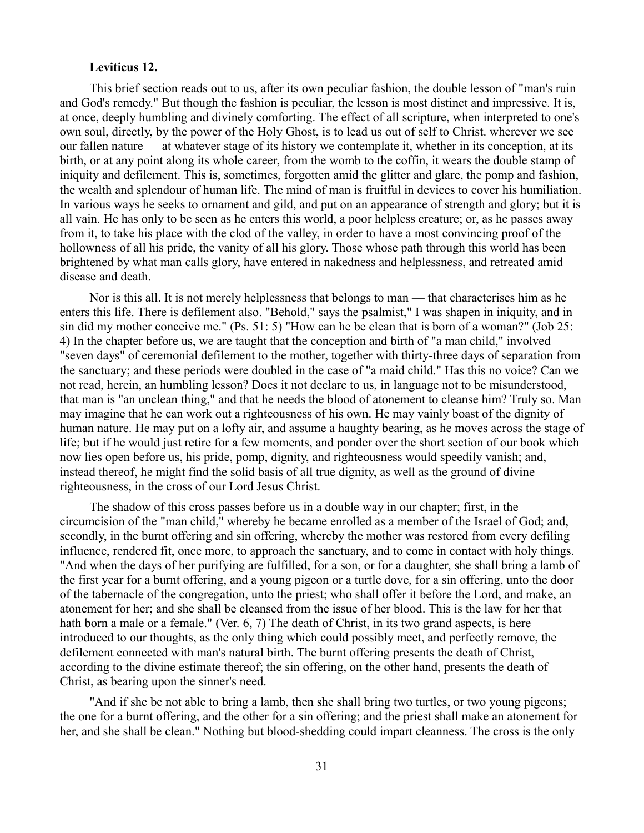### **Leviticus 12.**

This brief section reads out to us, after its own peculiar fashion, the double lesson of "man's ruin and God's remedy." But though the fashion is peculiar, the lesson is most distinct and impressive. It is, at once, deeply humbling and divinely comforting. The effect of all scripture, when interpreted to one's own soul, directly, by the power of the Holy Ghost, is to lead us out of self to Christ. wherever we see our fallen nature — at whatever stage of its history we contemplate it, whether in its conception, at its birth, or at any point along its whole career, from the womb to the coffin, it wears the double stamp of iniquity and defilement. This is, sometimes, forgotten amid the glitter and glare, the pomp and fashion, the wealth and splendour of human life. The mind of man is fruitful in devices to cover his humiliation. In various ways he seeks to ornament and gild, and put on an appearance of strength and glory; but it is all vain. He has only to be seen as he enters this world, a poor helpless creature; or, as he passes away from it, to take his place with the clod of the valley, in order to have a most convincing proof of the hollowness of all his pride, the vanity of all his glory. Those whose path through this world has been brightened by what man calls glory, have entered in nakedness and helplessness, and retreated amid disease and death.

Nor is this all. It is not merely helplessness that belongs to man — that characterises him as he enters this life. There is defilement also. "Behold," says the psalmist," I was shapen in iniquity, and in sin did my mother conceive me." (Ps. 51: 5) "How can he be clean that is born of a woman?" (Job 25: 4) In the chapter before us, we are taught that the conception and birth of "a man child," involved "seven days" of ceremonial defilement to the mother, together with thirty-three days of separation from the sanctuary; and these periods were doubled in the case of "a maid child." Has this no voice? Can we not read, herein, an humbling lesson? Does it not declare to us, in language not to be misunderstood, that man is "an unclean thing," and that he needs the blood of atonement to cleanse him? Truly so. Man may imagine that he can work out a righteousness of his own. He may vainly boast of the dignity of human nature. He may put on a lofty air, and assume a haughty bearing, as he moves across the stage of life; but if he would just retire for a few moments, and ponder over the short section of our book which now lies open before us, his pride, pomp, dignity, and righteousness would speedily vanish; and, instead thereof, he might find the solid basis of all true dignity, as well as the ground of divine righteousness, in the cross of our Lord Jesus Christ.

The shadow of this cross passes before us in a double way in our chapter; first, in the circumcision of the "man child," whereby he became enrolled as a member of the Israel of God; and, secondly, in the burnt offering and sin offering, whereby the mother was restored from every defiling influence, rendered fit, once more, to approach the sanctuary, and to come in contact with holy things. "And when the days of her purifying are fulfilled, for a son, or for a daughter, she shall bring a lamb of the first year for a burnt offering, and a young pigeon or a turtle dove, for a sin offering, unto the door of the tabernacle of the congregation, unto the priest; who shall offer it before the Lord, and make, an atonement for her; and she shall be cleansed from the issue of her blood. This is the law for her that hath born a male or a female." (Ver. 6, 7) The death of Christ, in its two grand aspects, is here introduced to our thoughts, as the only thing which could possibly meet, and perfectly remove, the defilement connected with man's natural birth. The burnt offering presents the death of Christ, according to the divine estimate thereof; the sin offering, on the other hand, presents the death of Christ, as bearing upon the sinner's need.

"And if she be not able to bring a lamb, then she shall bring two turtles, or two young pigeons; the one for a burnt offering, and the other for a sin offering; and the priest shall make an atonement for her, and she shall be clean." Nothing but blood-shedding could impart cleanness. The cross is the only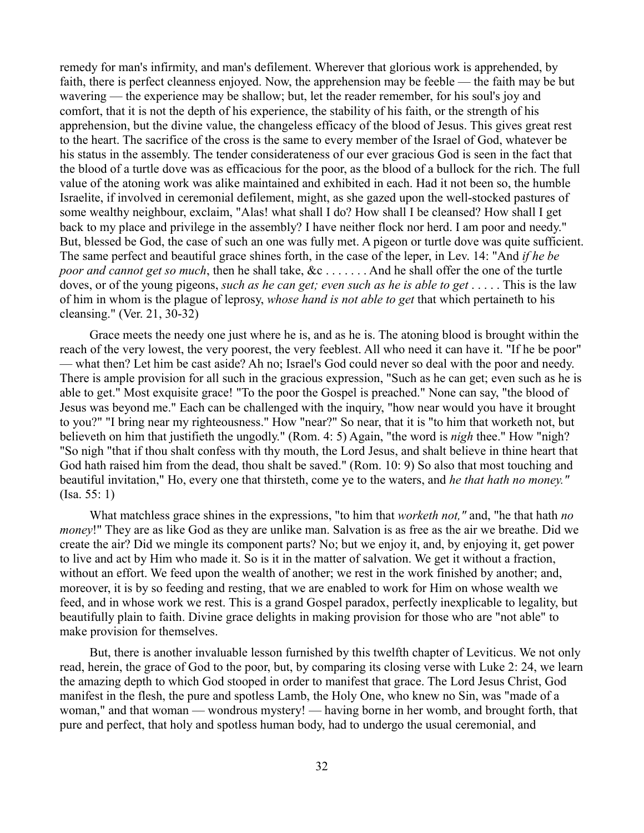remedy for man's infirmity, and man's defilement. Wherever that glorious work is apprehended, by faith, there is perfect cleanness enjoyed. Now, the apprehension may be feeble — the faith may be but wavering — the experience may be shallow; but, let the reader remember, for his soul's joy and comfort, that it is not the depth of his experience, the stability of his faith, or the strength of his apprehension, but the divine value, the changeless efficacy of the blood of Jesus. This gives great rest to the heart. The sacrifice of the cross is the same to every member of the Israel of God, whatever be his status in the assembly. The tender considerateness of our ever gracious God is seen in the fact that the blood of a turtle dove was as efficacious for the poor, as the blood of a bullock for the rich. The full value of the atoning work was alike maintained and exhibited in each. Had it not been so, the humble Israelite, if involved in ceremonial defilement, might, as she gazed upon the well-stocked pastures of some wealthy neighbour, exclaim, "Alas! what shall I do? How shall I be cleansed? How shall I get back to my place and privilege in the assembly? I have neither flock nor herd. I am poor and needy." But, blessed be God, the case of such an one was fully met. A pigeon or turtle dove was quite sufficient. The same perfect and beautiful grace shines forth, in the case of the leper, in Lev. 14: "And *if he be poor and cannot get so much*, then he shall take, &c . . . . . . . And he shall offer the one of the turtle doves, or of the young pigeons, *such as he can get; even such as he is able to get* . . . . . This is the law of him in whom is the plague of leprosy, *whose hand is not able to get* that which pertaineth to his cleansing." (Ver. 21, 30-32)

Grace meets the needy one just where he is, and as he is. The atoning blood is brought within the reach of the very lowest, the very poorest, the very feeblest. All who need it can have it. "If he be poor" — what then? Let him be cast aside? Ah no; Israel's God could never so deal with the poor and needy. There is ample provision for all such in the gracious expression, "Such as he can get; even such as he is able to get." Most exquisite grace! "To the poor the Gospel is preached." None can say, "the blood of Jesus was beyond me." Each can be challenged with the inquiry, "how near would you have it brought to you?" "I bring near my righteousness." How "near?" So near, that it is "to him that worketh not, but believeth on him that justifieth the ungodly." (Rom. 4: 5) Again, "the word is *nigh* thee." How "nigh? "So nigh "that if thou shalt confess with thy mouth, the Lord Jesus, and shalt believe in thine heart that God hath raised him from the dead, thou shalt be saved." (Rom. 10: 9) So also that most touching and beautiful invitation," Ho, every one that thirsteth, come ye to the waters, and *he that hath no money."* (Isa. 55: 1)

What matchless grace shines in the expressions, "to him that *worketh not,"* and, "he that hath *no money*!" They are as like God as they are unlike man. Salvation is as free as the air we breathe. Did we create the air? Did we mingle its component parts? No; but we enjoy it, and, by enjoying it, get power to live and act by Him who made it. So is it in the matter of salvation. We get it without a fraction, without an effort. We feed upon the wealth of another; we rest in the work finished by another; and, moreover, it is by so feeding and resting, that we are enabled to work for Him on whose wealth we feed, and in whose work we rest. This is a grand Gospel paradox, perfectly inexplicable to legality, but beautifully plain to faith. Divine grace delights in making provision for those who are "not able" to make provision for themselves.

But, there is another invaluable lesson furnished by this twelfth chapter of Leviticus. We not only read, herein, the grace of God to the poor, but, by comparing its closing verse with Luke 2: 24, we learn the amazing depth to which God stooped in order to manifest that grace. The Lord Jesus Christ, God manifest in the flesh, the pure and spotless Lamb, the Holy One, who knew no Sin, was "made of a woman," and that woman — wondrous mystery! — having borne in her womb, and brought forth, that pure and perfect, that holy and spotless human body, had to undergo the usual ceremonial, and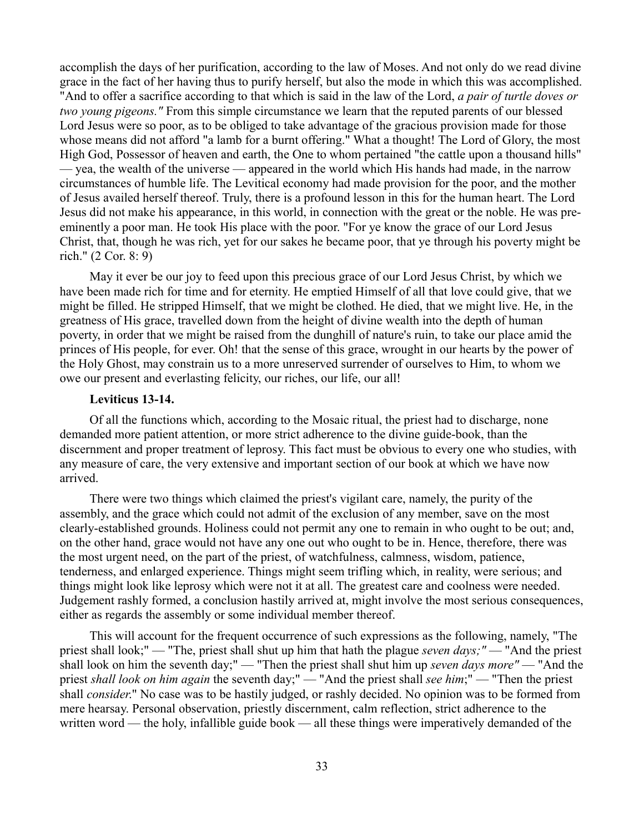accomplish the days of her purification, according to the law of Moses. And not only do we read divine grace in the fact of her having thus to purify herself, but also the mode in which this was accomplished. "And to offer a sacrifice according to that which is said in the law of the Lord, *a pair of turtle doves or two young pigeons."* From this simple circumstance we learn that the reputed parents of our blessed Lord Jesus were so poor, as to be obliged to take advantage of the gracious provision made for those whose means did not afford "a lamb for a burnt offering." What a thought! The Lord of Glory, the most High God, Possessor of heaven and earth, the One to whom pertained "the cattle upon a thousand hills" — yea, the wealth of the universe — appeared in the world which His hands had made, in the narrow circumstances of humble life. The Levitical economy had made provision for the poor, and the mother of Jesus availed herself thereof. Truly, there is a profound lesson in this for the human heart. The Lord Jesus did not make his appearance, in this world, in connection with the great or the noble. He was preeminently a poor man. He took His place with the poor. "For ye know the grace of our Lord Jesus Christ, that, though he was rich, yet for our sakes he became poor, that ye through his poverty might be rich." (2 Cor. 8: 9)

May it ever be our joy to feed upon this precious grace of our Lord Jesus Christ, by which we have been made rich for time and for eternity. He emptied Himself of all that love could give, that we might be filled. He stripped Himself, that we might be clothed. He died, that we might live. He, in the greatness of His grace, travelled down from the height of divine wealth into the depth of human poverty, in order that we might be raised from the dunghill of nature's ruin, to take our place amid the princes of His people, for ever. Oh! that the sense of this grace, wrought in our hearts by the power of the Holy Ghost, may constrain us to a more unreserved surrender of ourselves to Him, to whom we owe our present and everlasting felicity, our riches, our life, our all!

## **Leviticus 13-14.**

Of all the functions which, according to the Mosaic ritual, the priest had to discharge, none demanded more patient attention, or more strict adherence to the divine guide-book, than the discernment and proper treatment of leprosy. This fact must be obvious to every one who studies, with any measure of care, the very extensive and important section of our book at which we have now arrived.

There were two things which claimed the priest's vigilant care, namely, the purity of the assembly, and the grace which could not admit of the exclusion of any member, save on the most clearly-established grounds. Holiness could not permit any one to remain in who ought to be out; and, on the other hand, grace would not have any one out who ought to be in. Hence, therefore, there was the most urgent need, on the part of the priest, of watchfulness, calmness, wisdom, patience, tenderness, and enlarged experience. Things might seem trifling which, in reality, were serious; and things might look like leprosy which were not it at all. The greatest care and coolness were needed. Judgement rashly formed, a conclusion hastily arrived at, might involve the most serious consequences, either as regards the assembly or some individual member thereof.

This will account for the frequent occurrence of such expressions as the following, namely, "The priest shall look;" — "The, priest shall shut up him that hath the plague *seven days;"* — "And the priest shall look on him the seventh day;" — "Then the priest shall shut him up *seven days more"* — "And the priest *shall look on him again* the seventh day;" — "And the priest shall *see him*;" — "Then the priest shall *consider*." No case was to be hastily judged, or rashly decided. No opinion was to be formed from mere hearsay. Personal observation, priestly discernment, calm reflection, strict adherence to the written word — the holy, infallible guide book — all these things were imperatively demanded of the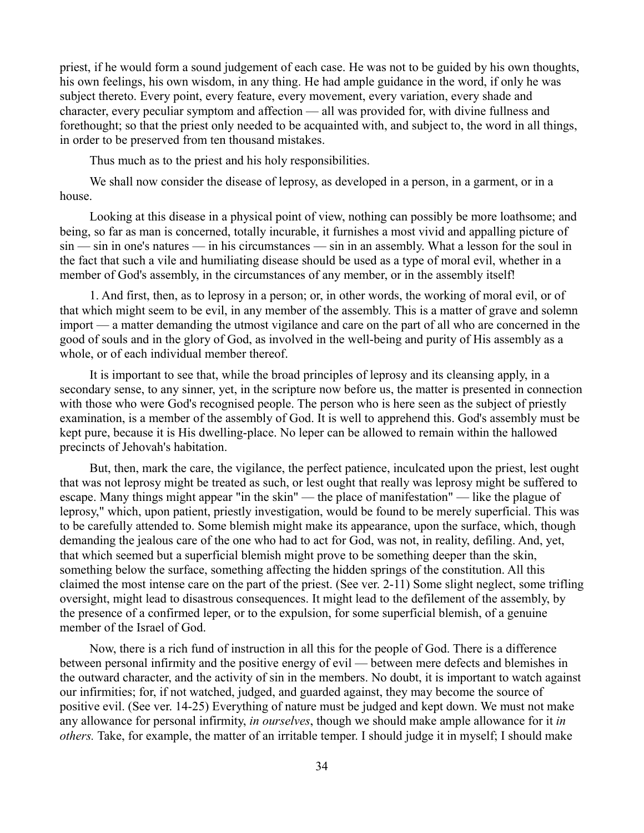priest, if he would form a sound judgement of each case. He was not to be guided by his own thoughts, his own feelings, his own wisdom, in any thing. He had ample guidance in the word, if only he was subject thereto. Every point, every feature, every movement, every variation, every shade and character, every peculiar symptom and affection — all was provided for, with divine fullness and forethought; so that the priest only needed to be acquainted with, and subject to, the word in all things, in order to be preserved from ten thousand mistakes.

Thus much as to the priest and his holy responsibilities.

We shall now consider the disease of leprosy, as developed in a person, in a garment, or in a house.

Looking at this disease in a physical point of view, nothing can possibly be more loathsome; and being, so far as man is concerned, totally incurable, it furnishes a most vivid and appalling picture of sin — sin in one's natures — in his circumstances — sin in an assembly. What a lesson for the soul in the fact that such a vile and humiliating disease should be used as a type of moral evil, whether in a member of God's assembly, in the circumstances of any member, or in the assembly itself!

1. And first, then, as to leprosy in a person; or, in other words, the working of moral evil, or of that which might seem to be evil, in any member of the assembly. This is a matter of grave and solemn import — a matter demanding the utmost vigilance and care on the part of all who are concerned in the good of souls and in the glory of God, as involved in the well-being and purity of His assembly as a whole, or of each individual member thereof.

It is important to see that, while the broad principles of leprosy and its cleansing apply, in a secondary sense, to any sinner, yet, in the scripture now before us, the matter is presented in connection with those who were God's recognised people. The person who is here seen as the subject of priestly examination, is a member of the assembly of God. It is well to apprehend this. God's assembly must be kept pure, because it is His dwelling-place. No leper can be allowed to remain within the hallowed precincts of Jehovah's habitation.

But, then, mark the care, the vigilance, the perfect patience, inculcated upon the priest, lest ought that was not leprosy might be treated as such, or lest ought that really was leprosy might be suffered to escape. Many things might appear "in the skin" — the place of manifestation" — like the plague of leprosy," which, upon patient, priestly investigation, would be found to be merely superficial. This was to be carefully attended to. Some blemish might make its appearance, upon the surface, which, though demanding the jealous care of the one who had to act for God, was not, in reality, defiling. And, yet, that which seemed but a superficial blemish might prove to be something deeper than the skin, something below the surface, something affecting the hidden springs of the constitution. All this claimed the most intense care on the part of the priest. (See ver. 2-11) Some slight neglect, some trifling oversight, might lead to disastrous consequences. It might lead to the defilement of the assembly, by the presence of a confirmed leper, or to the expulsion, for some superficial blemish, of a genuine member of the Israel of God.

Now, there is a rich fund of instruction in all this for the people of God. There is a difference between personal infirmity and the positive energy of evil — between mere defects and blemishes in the outward character, and the activity of sin in the members. No doubt, it is important to watch against our infirmities; for, if not watched, judged, and guarded against, they may become the source of positive evil. (See ver. 14-25) Everything of nature must be judged and kept down. We must not make any allowance for personal infirmity, *in ourselves*, though we should make ample allowance for it *in others.* Take, for example, the matter of an irritable temper. I should judge it in myself; I should make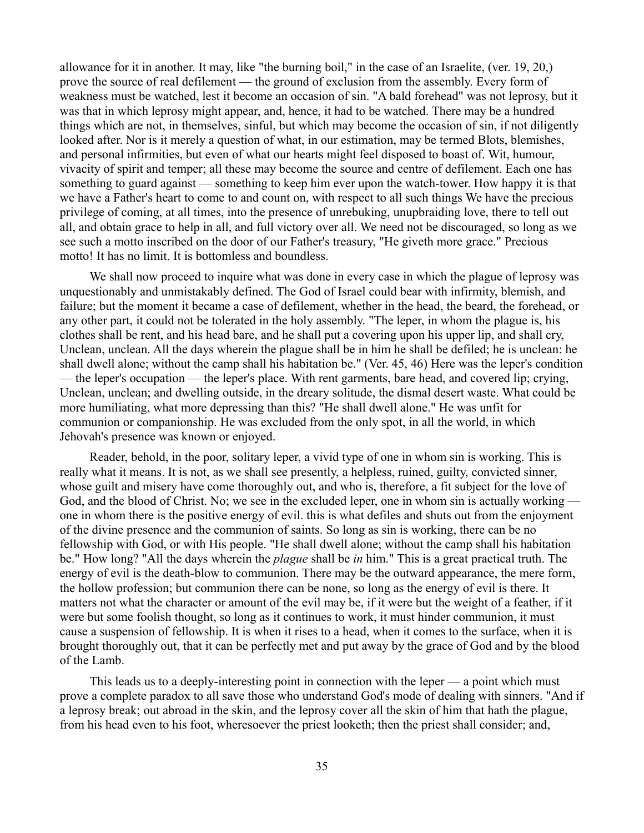allowance for it in another. It may, like "the burning boil," in the case of an Israelite, (ver. 19, 20,) prove the source of real defilement — the ground of exclusion from the assembly. Every form of weakness must be watched, lest it become an occasion of sin. "A bald forehead" was not leprosy, but it was that in which leprosy might appear, and, hence, it had to be watched. There may be a hundred things which are not, in themselves, sinful, but which may become the occasion of sin, if not diligently looked after. Nor is it merely a question of what, in our estimation, may be termed Blots, blemishes, and personal infirmities, but even of what our hearts might feel disposed to boast of. Wit, humour, vivacity of spirit and temper; all these may become the source and centre of defilement. Each one has something to guard against — something to keep him ever upon the watch-tower. How happy it is that we have a Father's heart to come to and count on, with respect to all such things We have the precious privilege of coming, at all times, into the presence of unrebuking, unupbraiding love, there to tell out all, and obtain grace to help in all, and full victory over all. We need not be discouraged, so long as we see such a motto inscribed on the door of our Father's treasury, "He giveth more grace." Precious motto! It has no limit. It is bottomless and boundless.

We shall now proceed to inquire what was done in every case in which the plague of leprosy was unquestionably and unmistakably defined. The God of Israel could bear with infirmity, blemish, and failure; but the moment it became a case of defilement, whether in the head, the beard, the forehead, or any other part, it could not be tolerated in the holy assembly. "The leper, in whom the plague is, his clothes shall be rent, and his head bare, and he shall put a covering upon his upper lip, and shall cry, Unclean, unclean. All the days wherein the plague shall be in him he shall be defiled; he is unclean: he shall dwell alone; without the camp shall his habitation be." (Ver. 45, 46) Here was the leper's condition — the leper's occupation — the leper's place. With rent garments, bare head, and covered lip; crying, Unclean, unclean; and dwelling outside, in the dreary solitude, the dismal desert waste. What could be more humiliating, what more depressing than this? "He shall dwell alone." He was unfit for communion or companionship. He was excluded from the only spot, in all the world, in which Jehovah's presence was known or enjoyed.

Reader, behold, in the poor, solitary leper, a vivid type of one in whom sin is working. This is really what it means. It is not, as we shall see presently, a helpless, ruined, guilty, convicted sinner, whose guilt and misery have come thoroughly out, and who is, therefore, a fit subject for the love of God, and the blood of Christ. No; we see in the excluded leper, one in whom sin is actually working one in whom there is the positive energy of evil. this is what defiles and shuts out from the enjoyment of the divine presence and the communion of saints. So long as sin is working, there can be no fellowship with God, or with His people. "He shall dwell alone; without the camp shall his habitation be." How long? "All the days wherein the *plague* shall be *in* him." This is a great practical truth. The energy of evil is the death-blow to communion. There may be the outward appearance, the mere form, the hollow profession; but communion there can be none, so long as the energy of evil is there. It matters not what the character or amount of the evil may be, if it were but the weight of a feather, if it were but some foolish thought, so long as it continues to work, it must hinder communion, it must cause a suspension of fellowship. It is when it rises to a head, when it comes to the surface, when it is brought thoroughly out, that it can be perfectly met and put away by the grace of God and by the blood of the Lamb.

This leads us to a deeply-interesting point in connection with the leper — a point which must prove a complete paradox to all save those who understand God's mode of dealing with sinners. "And if a leprosy break; out abroad in the skin, and the leprosy cover all the skin of him that hath the plague, from his head even to his foot, wheresoever the priest looketh; then the priest shall consider; and,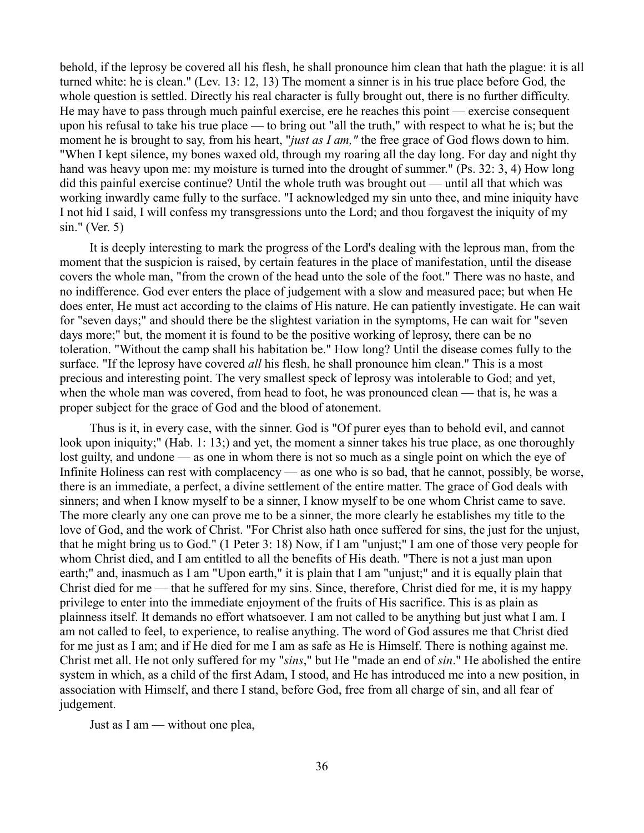behold, if the leprosy be covered all his flesh, he shall pronounce him clean that hath the plague: it is all turned white: he is clean." (Lev. 13: 12, 13) The moment a sinner is in his true place before God, the whole question is settled. Directly his real character is fully brought out, there is no further difficulty. He may have to pass through much painful exercise, ere he reaches this point — exercise consequent upon his refusal to take his true place — to bring out "all the truth," with respect to what he is; but the moment he is brought to say, from his heart, "*just as I am,"* the free grace of God flows down to him. "When I kept silence, my bones waxed old, through my roaring all the day long. For day and night thy hand was heavy upon me: my moisture is turned into the drought of summer." (Ps. 32: 3, 4) How long did this painful exercise continue? Until the whole truth was brought out — until all that which was working inwardly came fully to the surface. "I acknowledged my sin unto thee, and mine iniquity have I not hid I said, I will confess my transgressions unto the Lord; and thou forgavest the iniquity of my sin." (Ver. 5)

It is deeply interesting to mark the progress of the Lord's dealing with the leprous man, from the moment that the suspicion is raised, by certain features in the place of manifestation, until the disease covers the whole man, "from the crown of the head unto the sole of the foot." There was no haste, and no indifference. God ever enters the place of judgement with a slow and measured pace; but when He does enter, He must act according to the claims of His nature. He can patiently investigate. He can wait for "seven days;" and should there be the slightest variation in the symptoms, He can wait for "seven days more;" but, the moment it is found to be the positive working of leprosy, there can be no toleration. "Without the camp shall his habitation be." How long? Until the disease comes fully to the surface. "If the leprosy have covered *all* his flesh, he shall pronounce him clean." This is a most precious and interesting point. The very smallest speck of leprosy was intolerable to God; and yet, when the whole man was covered, from head to foot, he was pronounced clean — that is, he was a proper subject for the grace of God and the blood of atonement.

Thus is it, in every case, with the sinner. God is "Of purer eyes than to behold evil, and cannot look upon iniquity;" (Hab. 1: 13;) and yet, the moment a sinner takes his true place, as one thoroughly lost guilty, and undone — as one in whom there is not so much as a single point on which the eye of Infinite Holiness can rest with complacency — as one who is so bad, that he cannot, possibly, be worse, there is an immediate, a perfect, a divine settlement of the entire matter. The grace of God deals with sinners; and when I know myself to be a sinner, I know myself to be one whom Christ came to save. The more clearly any one can prove me to be a sinner, the more clearly he establishes my title to the love of God, and the work of Christ. "For Christ also hath once suffered for sins, the just for the unjust, that he might bring us to God." (1 Peter 3: 18) Now, if I am "unjust;" I am one of those very people for whom Christ died, and I am entitled to all the benefits of His death. "There is not a just man upon earth;" and, inasmuch as I am "Upon earth," it is plain that I am "unjust;" and it is equally plain that Christ died for me — that he suffered for my sins. Since, therefore, Christ died for me, it is my happy privilege to enter into the immediate enjoyment of the fruits of His sacrifice. This is as plain as plainness itself. It demands no effort whatsoever. I am not called to be anything but just what I am. I am not called to feel, to experience, to realise anything. The word of God assures me that Christ died for me just as I am; and if He died for me I am as safe as He is Himself. There is nothing against me. Christ met all. He not only suffered for my "*sins*," but He "made an end of *sin*." He abolished the entire system in which, as a child of the first Adam, I stood, and He has introduced me into a new position, in association with Himself, and there I stand, before God, free from all charge of sin, and all fear of judgement.

Just as I am — without one plea,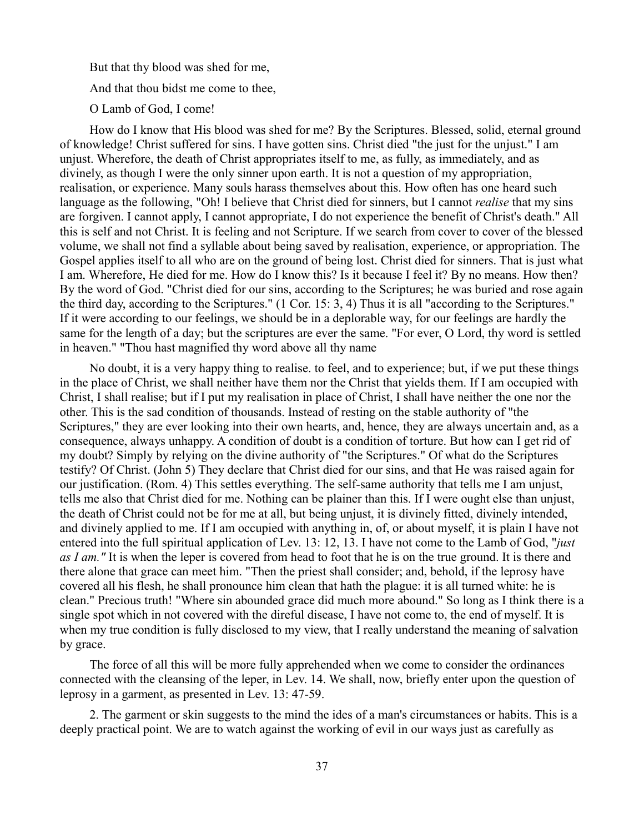But that thy blood was shed for me, And that thou bidst me come to thee, O Lamb of God, I come!

How do I know that His blood was shed for me? By the Scriptures. Blessed, solid, eternal ground of knowledge! Christ suffered for sins. I have gotten sins. Christ died "the just for the unjust." I am unjust. Wherefore, the death of Christ appropriates itself to me, as fully, as immediately, and as divinely, as though I were the only sinner upon earth. It is not a question of my appropriation, realisation, or experience. Many souls harass themselves about this. How often has one heard such language as the following, "Oh! I believe that Christ died for sinners, but I cannot *realise* that my sins are forgiven. I cannot apply, I cannot appropriate, I do not experience the benefit of Christ's death." All this is self and not Christ. It is feeling and not Scripture. If we search from cover to cover of the blessed volume, we shall not find a syllable about being saved by realisation, experience, or appropriation. The Gospel applies itself to all who are on the ground of being lost. Christ died for sinners. That is just what I am. Wherefore, He died for me. How do I know this? Is it because I feel it? By no means. How then? By the word of God. "Christ died for our sins, according to the Scriptures; he was buried and rose again the third day, according to the Scriptures." (1 Cor. 15: 3, 4) Thus it is all "according to the Scriptures." If it were according to our feelings, we should be in a deplorable way, for our feelings are hardly the same for the length of a day; but the scriptures are ever the same. "For ever, O Lord, thy word is settled in heaven." "Thou hast magnified thy word above all thy name

No doubt, it is a very happy thing to realise. to feel, and to experience; but, if we put these things in the place of Christ, we shall neither have them nor the Christ that yields them. If I am occupied with Christ, I shall realise; but if I put my realisation in place of Christ, I shall have neither the one nor the other. This is the sad condition of thousands. Instead of resting on the stable authority of "the Scriptures," they are ever looking into their own hearts, and, hence, they are always uncertain and, as a consequence, always unhappy. A condition of doubt is a condition of torture. But how can I get rid of my doubt? Simply by relying on the divine authority of "the Scriptures." Of what do the Scriptures testify? Of Christ. (John 5) They declare that Christ died for our sins, and that He was raised again for our justification. (Rom. 4) This settles everything. The self-same authority that tells me I am unjust, tells me also that Christ died for me. Nothing can be plainer than this. If I were ought else than unjust, the death of Christ could not be for me at all, but being unjust, it is divinely fitted, divinely intended, and divinely applied to me. If I am occupied with anything in, of, or about myself, it is plain I have not entered into the full spiritual application of Lev. 13: 12, 13. I have not come to the Lamb of God, "*just as I am."* It is when the leper is covered from head to foot that he is on the true ground. It is there and there alone that grace can meet him. "Then the priest shall consider; and, behold, if the leprosy have covered all his flesh, he shall pronounce him clean that hath the plague: it is all turned white: he is clean." Precious truth! "Where sin abounded grace did much more abound." So long as I think there is a single spot which in not covered with the direful disease, I have not come to, the end of myself. It is when my true condition is fully disclosed to my view, that I really understand the meaning of salvation by grace.

The force of all this will be more fully apprehended when we come to consider the ordinances connected with the cleansing of the leper, in Lev. 14. We shall, now, briefly enter upon the question of leprosy in a garment, as presented in Lev. 13: 47-59.

2. The garment or skin suggests to the mind the ides of a man's circumstances or habits. This is a deeply practical point. We are to watch against the working of evil in our ways just as carefully as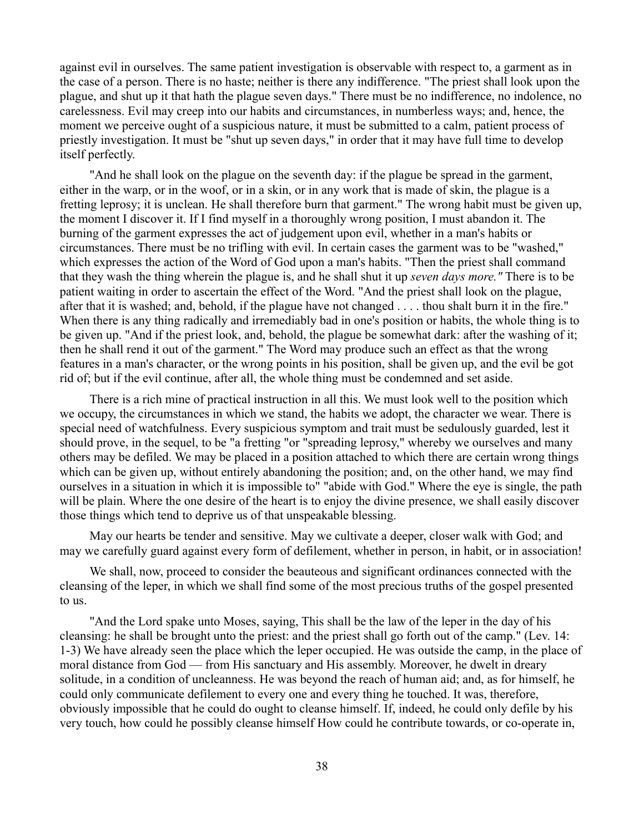against evil in ourselves. The same patient investigation is observable with respect to, a garment as in the case of a person. There is no haste; neither is there any indifference. "The priest shall look upon the plague, and shut up it that hath the plague seven days." There must be no indifference, no indolence, no carelessness. Evil may creep into our habits and circumstances, in numberless ways; and, hence, the moment we perceive ought of a suspicious nature, it must be submitted to a calm, patient process of priestly investigation. It must be "shut up seven days," in order that it may have full time to develop itself perfectly.

"And he shall look on the plague on the seventh day: if the plague be spread in the garment, either in the warp, or in the woof, or in a skin, or in any work that is made of skin, the plague is a fretting leprosy; it is unclean. He shall therefore burn that garment." The wrong habit must be given up, the moment I discover it. If I find myself in a thoroughly wrong position, I must abandon it. The burning of the garment expresses the act of judgement upon evil, whether in a man's habits or circumstances. There must be no trifling with evil. In certain cases the garment was to be "washed," which expresses the action of the Word of God upon a man's habits. "Then the priest shall command that they wash the thing wherein the plague is, and he shall shut it up *seven days more."* There is to be patient waiting in order to ascertain the effect of the Word. "And the priest shall look on the plague, after that it is washed; and, behold, if the plague have not changed . . . . thou shalt burn it in the fire." When there is any thing radically and irremediably bad in one's position or habits, the whole thing is to be given up. "And if the priest look, and, behold, the plague be somewhat dark: after the washing of it; then he shall rend it out of the garment." The Word may produce such an effect as that the wrong features in a man's character, or the wrong points in his position, shall be given up, and the evil be got rid of; but if the evil continue, after all, the whole thing must be condemned and set aside.

There is a rich mine of practical instruction in all this. We must look well to the position which we occupy, the circumstances in which we stand, the habits we adopt, the character we wear. There is special need of watchfulness. Every suspicious symptom and trait must be sedulously guarded, lest it should prove, in the sequel, to be "a fretting "or "spreading leprosy," whereby we ourselves and many others may be defiled. We may be placed in a position attached to which there are certain wrong things which can be given up, without entirely abandoning the position; and, on the other hand, we may find ourselves in a situation in which it is impossible to" "abide with God." Where the eye is single, the path will be plain. Where the one desire of the heart is to enjoy the divine presence, we shall easily discover those things which tend to deprive us of that unspeakable blessing.

May our hearts be tender and sensitive. May we cultivate a deeper, closer walk with God; and may we carefully guard against every form of defilement, whether in person, in habit, or in association!

We shall, now, proceed to consider the beauteous and significant ordinances connected with the cleansing of the leper, in which we shall find some of the most precious truths of the gospel presented to us.

"And the Lord spake unto Moses, saying, This shall be the law of the leper in the day of his cleansing: he shall be brought unto the priest: and the priest shall go forth out of the camp." (Lev. 14: 1-3) We have already seen the place which the leper occupied. He was outside the camp, in the place of moral distance from God — from His sanctuary and His assembly. Moreover, he dwelt in dreary solitude, in a condition of uncleanness. He was beyond the reach of human aid; and, as for himself, he could only communicate defilement to every one and every thing he touched. It was, therefore, obviously impossible that he could do ought to cleanse himself. If, indeed, he could only defile by his very touch, how could he possibly cleanse himself How could he contribute towards, or co-operate in,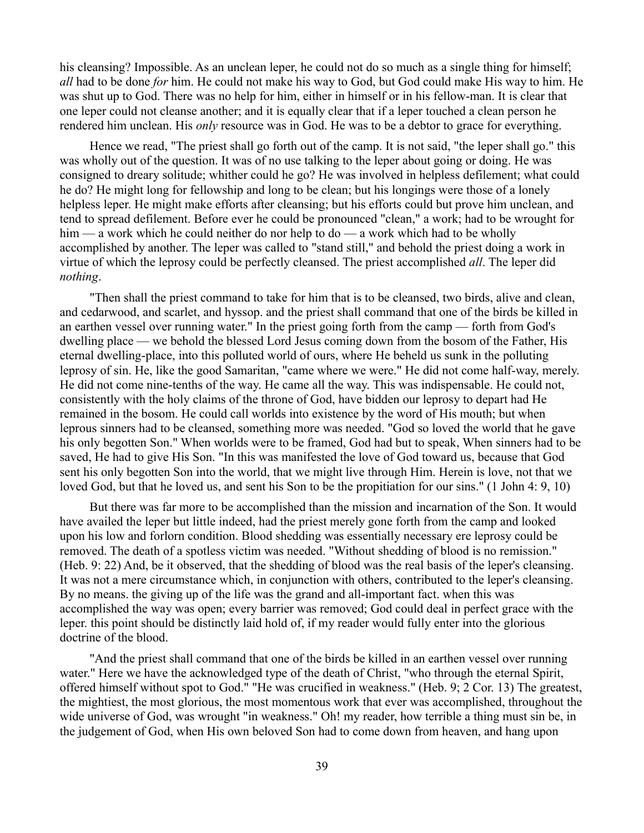his cleansing? Impossible. As an unclean leper, he could not do so much as a single thing for himself; *all* had to be done *for* him. He could not make his way to God, but God could make His way to him. He was shut up to God. There was no help for him, either in himself or in his fellow-man. It is clear that one leper could not cleanse another; and it is equally clear that if a leper touched a clean person he rendered him unclean. His *only* resource was in God. He was to be a debtor to grace for everything.

Hence we read, "The priest shall go forth out of the camp. It is not said, "the leper shall go." this was wholly out of the question. It was of no use talking to the leper about going or doing. He was consigned to dreary solitude; whither could he go? He was involved in helpless defilement; what could he do? He might long for fellowship and long to be clean; but his longings were those of a lonely helpless leper. He might make efforts after cleansing; but his efforts could but prove him unclean, and tend to spread defilement. Before ever he could be pronounced "clean," a work; had to be wrought for him — a work which he could neither do nor help to do — a work which had to be wholly accomplished by another. The leper was called to "stand still," and behold the priest doing a work in virtue of which the leprosy could be perfectly cleansed. The priest accomplished *all*. The leper did *nothing*.

"Then shall the priest command to take for him that is to be cleansed, two birds, alive and clean, and cedarwood, and scarlet, and hyssop. and the priest shall command that one of the birds be killed in an earthen vessel over running water." In the priest going forth from the camp — forth from God's dwelling place — we behold the blessed Lord Jesus coming down from the bosom of the Father, His eternal dwelling-place, into this polluted world of ours, where He beheld us sunk in the polluting leprosy of sin. He, like the good Samaritan, "came where we were." He did not come half-way, merely. He did not come nine-tenths of the way. He came all the way. This was indispensable. He could not, consistently with the holy claims of the throne of God, have bidden our leprosy to depart had He remained in the bosom. He could call worlds into existence by the word of His mouth; but when leprous sinners had to be cleansed, something more was needed. "God so loved the world that he gave his only begotten Son." When worlds were to be framed, God had but to speak, When sinners had to be saved, He had to give His Son. "In this was manifested the love of God toward us, because that God sent his only begotten Son into the world, that we might live through Him. Herein is love, not that we loved God, but that he loved us, and sent his Son to be the propitiation for our sins." (1 John 4: 9, 10)

But there was far more to be accomplished than the mission and incarnation of the Son. It would have availed the leper but little indeed, had the priest merely gone forth from the camp and looked upon his low and forlorn condition. Blood shedding was essentially necessary ere leprosy could be removed. The death of a spotless victim was needed. "Without shedding of blood is no remission." (Heb. 9: 22) And, be it observed, that the shedding of blood was the real basis of the leper's cleansing. It was not a mere circumstance which, in conjunction with others, contributed to the leper's cleansing. By no means. the giving up of the life was the grand and all-important fact. when this was accomplished the way was open; every barrier was removed; God could deal in perfect grace with the leper. this point should be distinctly laid hold of, if my reader would fully enter into the glorious doctrine of the blood.

"And the priest shall command that one of the birds be killed in an earthen vessel over running water." Here we have the acknowledged type of the death of Christ, "who through the eternal Spirit, offered himself without spot to God." "He was crucified in weakness." (Heb. 9; 2 Cor. 13) The greatest, the mightiest, the most glorious, the most momentous work that ever was accomplished, throughout the wide universe of God, was wrought "in weakness." Oh! my reader, how terrible a thing must sin be, in the judgement of God, when His own beloved Son had to come down from heaven, and hang upon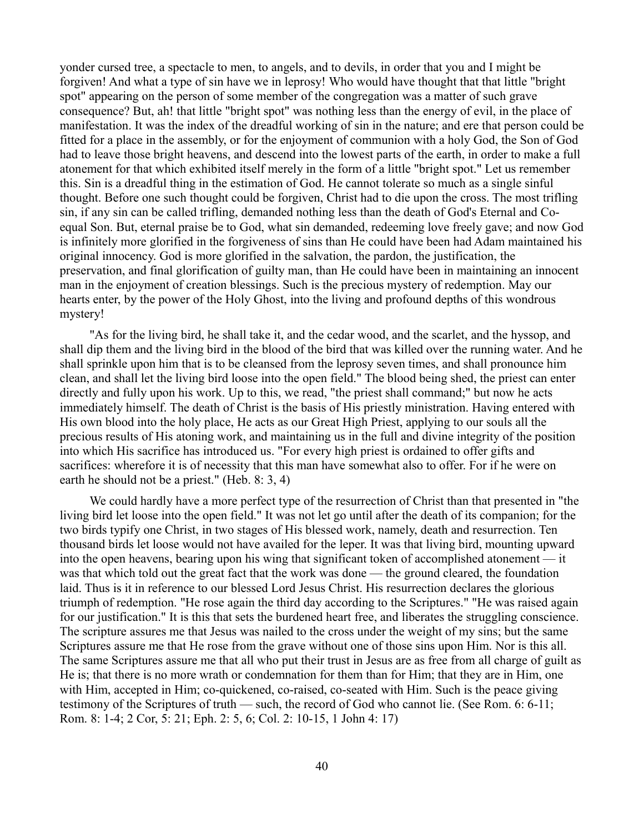yonder cursed tree, a spectacle to men, to angels, and to devils, in order that you and I might be forgiven! And what a type of sin have we in leprosy! Who would have thought that that little "bright spot" appearing on the person of some member of the congregation was a matter of such grave consequence? But, ah! that little "bright spot" was nothing less than the energy of evil, in the place of manifestation. It was the index of the dreadful working of sin in the nature; and ere that person could be fitted for a place in the assembly, or for the enjoyment of communion with a holy God, the Son of God had to leave those bright heavens, and descend into the lowest parts of the earth, in order to make a full atonement for that which exhibited itself merely in the form of a little "bright spot." Let us remember this. Sin is a dreadful thing in the estimation of God. He cannot tolerate so much as a single sinful thought. Before one such thought could be forgiven, Christ had to die upon the cross. The most trifling sin, if any sin can be called trifling, demanded nothing less than the death of God's Eternal and Coequal Son. But, eternal praise be to God, what sin demanded, redeeming love freely gave; and now God is infinitely more glorified in the forgiveness of sins than He could have been had Adam maintained his original innocency. God is more glorified in the salvation, the pardon, the justification, the preservation, and final glorification of guilty man, than He could have been in maintaining an innocent man in the enjoyment of creation blessings. Such is the precious mystery of redemption. May our hearts enter, by the power of the Holy Ghost, into the living and profound depths of this wondrous mystery!

"As for the living bird, he shall take it, and the cedar wood, and the scarlet, and the hyssop, and shall dip them and the living bird in the blood of the bird that was killed over the running water. And he shall sprinkle upon him that is to be cleansed from the leprosy seven times, and shall pronounce him clean, and shall let the living bird loose into the open field." The blood being shed, the priest can enter directly and fully upon his work. Up to this, we read, "the priest shall command;" but now he acts immediately himself. The death of Christ is the basis of His priestly ministration. Having entered with His own blood into the holy place, He acts as our Great High Priest, applying to our souls all the precious results of His atoning work, and maintaining us in the full and divine integrity of the position into which His sacrifice has introduced us. "For every high priest is ordained to offer gifts and sacrifices: wherefore it is of necessity that this man have somewhat also to offer. For if he were on earth he should not be a priest." (Heb. 8: 3, 4)

We could hardly have a more perfect type of the resurrection of Christ than that presented in "the living bird let loose into the open field." It was not let go until after the death of its companion; for the two birds typify one Christ, in two stages of His blessed work, namely, death and resurrection. Ten thousand birds let loose would not have availed for the leper. It was that living bird, mounting upward into the open heavens, bearing upon his wing that significant token of accomplished atonement — it was that which told out the great fact that the work was done — the ground cleared, the foundation laid. Thus is it in reference to our blessed Lord Jesus Christ. His resurrection declares the glorious triumph of redemption. "He rose again the third day according to the Scriptures." "He was raised again for our justification." It is this that sets the burdened heart free, and liberates the struggling conscience. The scripture assures me that Jesus was nailed to the cross under the weight of my sins; but the same Scriptures assure me that He rose from the grave without one of those sins upon Him. Nor is this all. The same Scriptures assure me that all who put their trust in Jesus are as free from all charge of guilt as He is; that there is no more wrath or condemnation for them than for Him; that they are in Him, one with Him, accepted in Him; co-quickened, co-raised, co-seated with Him. Such is the peace giving testimony of the Scriptures of truth — such, the record of God who cannot lie. (See Rom. 6: 6-11; Rom. 8: 1-4; 2 Cor, 5: 21; Eph. 2: 5, 6; Col. 2: 10-15, 1 John 4: 17)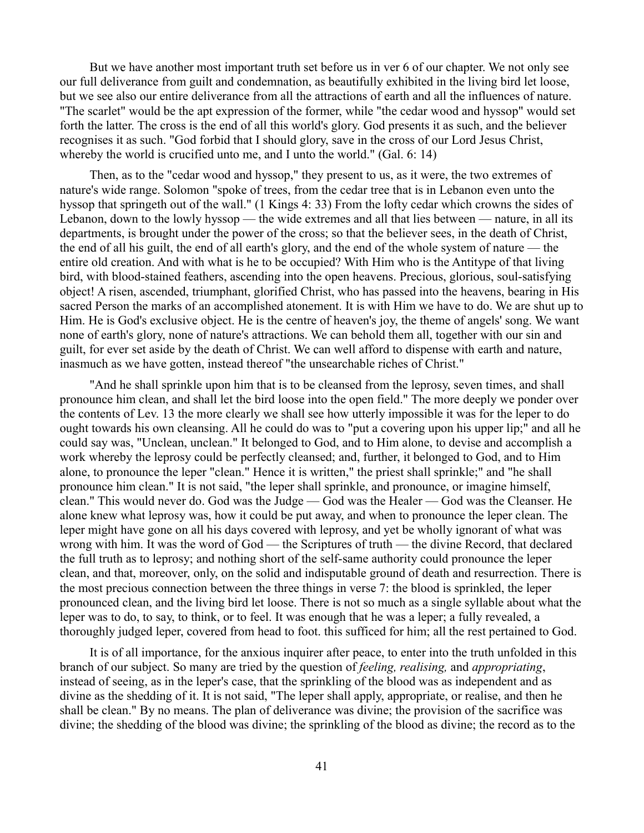But we have another most important truth set before us in ver 6 of our chapter. We not only see our full deliverance from guilt and condemnation, as beautifully exhibited in the living bird let loose, but we see also our entire deliverance from all the attractions of earth and all the influences of nature. "The scarlet" would be the apt expression of the former, while "the cedar wood and hyssop" would set forth the latter. The cross is the end of all this world's glory. God presents it as such, and the believer recognises it as such. "God forbid that I should glory, save in the cross of our Lord Jesus Christ, whereby the world is crucified unto me, and I unto the world." (Gal. 6: 14)

Then, as to the "cedar wood and hyssop," they present to us, as it were, the two extremes of nature's wide range. Solomon "spoke of trees, from the cedar tree that is in Lebanon even unto the hyssop that springeth out of the wall." (1 Kings 4: 33) From the lofty cedar which crowns the sides of Lebanon, down to the lowly hyssop — the wide extremes and all that lies between — nature, in all its departments, is brought under the power of the cross; so that the believer sees, in the death of Christ, the end of all his guilt, the end of all earth's glory, and the end of the whole system of nature — the entire old creation. And with what is he to be occupied? With Him who is the Antitype of that living bird, with blood-stained feathers, ascending into the open heavens. Precious, glorious, soul-satisfying object! A risen, ascended, triumphant, glorified Christ, who has passed into the heavens, bearing in His sacred Person the marks of an accomplished atonement. It is with Him we have to do. We are shut up to Him. He is God's exclusive object. He is the centre of heaven's joy, the theme of angels' song. We want none of earth's glory, none of nature's attractions. We can behold them all, together with our sin and guilt, for ever set aside by the death of Christ. We can well afford to dispense with earth and nature, inasmuch as we have gotten, instead thereof "the unsearchable riches of Christ."

"And he shall sprinkle upon him that is to be cleansed from the leprosy, seven times, and shall pronounce him clean, and shall let the bird loose into the open field." The more deeply we ponder over the contents of Lev. 13 the more clearly we shall see how utterly impossible it was for the leper to do ought towards his own cleansing. All he could do was to "put a covering upon his upper lip;" and all he could say was, "Unclean, unclean." It belonged to God, and to Him alone, to devise and accomplish a work whereby the leprosy could be perfectly cleansed; and, further, it belonged to God, and to Him alone, to pronounce the leper "clean." Hence it is written," the priest shall sprinkle;" and "he shall pronounce him clean." It is not said, "the leper shall sprinkle, and pronounce, or imagine himself, clean." This would never do. God was the Judge — God was the Healer — God was the Cleanser. He alone knew what leprosy was, how it could be put away, and when to pronounce the leper clean. The leper might have gone on all his days covered with leprosy, and yet be wholly ignorant of what was wrong with him. It was the word of God — the Scriptures of truth — the divine Record, that declared the full truth as to leprosy; and nothing short of the self-same authority could pronounce the leper clean, and that, moreover, only, on the solid and indisputable ground of death and resurrection. There is the most precious connection between the three things in verse 7: the blood is sprinkled, the leper pronounced clean, and the living bird let loose. There is not so much as a single syllable about what the leper was to do, to say, to think, or to feel. It was enough that he was a leper; a fully revealed, a thoroughly judged leper, covered from head to foot. this sufficed for him; all the rest pertained to God.

It is of all importance, for the anxious inquirer after peace, to enter into the truth unfolded in this branch of our subject. So many are tried by the question of *feeling, realising,* and *appropriating*, instead of seeing, as in the leper's case, that the sprinkling of the blood was as independent and as divine as the shedding of it. It is not said, "The leper shall apply, appropriate, or realise, and then he shall be clean." By no means. The plan of deliverance was divine; the provision of the sacrifice was divine; the shedding of the blood was divine; the sprinkling of the blood as divine; the record as to the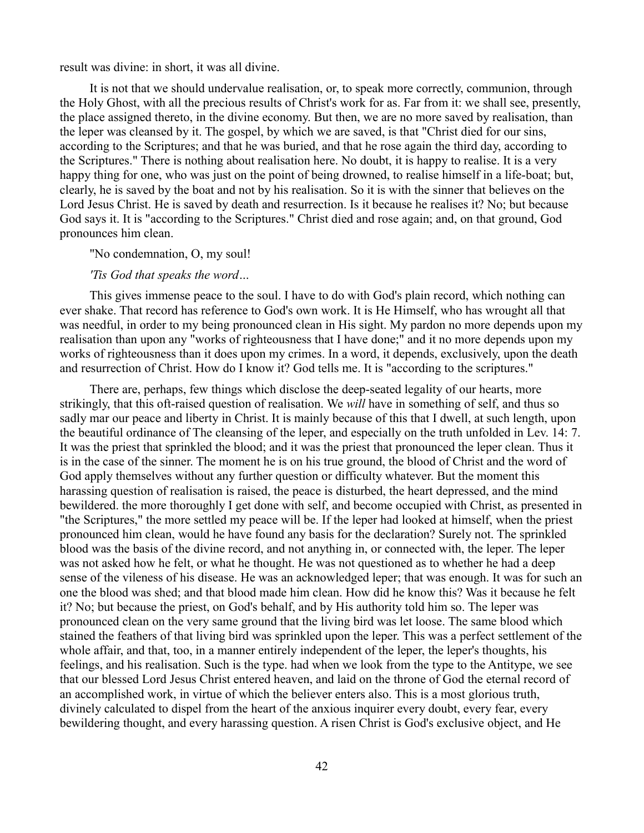result was divine: in short, it was all divine.

It is not that we should undervalue realisation, or, to speak more correctly, communion, through the Holy Ghost, with all the precious results of Christ's work for as. Far from it: we shall see, presently, the place assigned thereto, in the divine economy. But then, we are no more saved by realisation, than the leper was cleansed by it. The gospel, by which we are saved, is that "Christ died for our sins, according to the Scriptures; and that he was buried, and that he rose again the third day, according to the Scriptures." There is nothing about realisation here. No doubt, it is happy to realise. It is a very happy thing for one, who was just on the point of being drowned, to realise himself in a life-boat; but, clearly, he is saved by the boat and not by his realisation. So it is with the sinner that believes on the Lord Jesus Christ. He is saved by death and resurrection. Is it because he realises it? No; but because God says it. It is "according to the Scriptures." Christ died and rose again; and, on that ground, God pronounces him clean.

### "No condemnation, O, my soul!

#### *'Tis God that speaks the word…*

This gives immense peace to the soul. I have to do with God's plain record, which nothing can ever shake. That record has reference to God's own work. It is He Himself, who has wrought all that was needful, in order to my being pronounced clean in His sight. My pardon no more depends upon my realisation than upon any "works of righteousness that I have done;" and it no more depends upon my works of righteousness than it does upon my crimes. In a word, it depends, exclusively, upon the death and resurrection of Christ. How do I know it? God tells me. It is "according to the scriptures."

There are, perhaps, few things which disclose the deep-seated legality of our hearts, more strikingly, that this oft-raised question of realisation. We *will* have in something of self, and thus so sadly mar our peace and liberty in Christ. It is mainly because of this that I dwell, at such length, upon the beautiful ordinance of The cleansing of the leper, and especially on the truth unfolded in Lev. 14: 7. It was the priest that sprinkled the blood; and it was the priest that pronounced the leper clean. Thus it is in the case of the sinner. The moment he is on his true ground, the blood of Christ and the word of God apply themselves without any further question or difficulty whatever. But the moment this harassing question of realisation is raised, the peace is disturbed, the heart depressed, and the mind bewildered. the more thoroughly I get done with self, and become occupied with Christ, as presented in "the Scriptures," the more settled my peace will be. If the leper had looked at himself, when the priest pronounced him clean, would he have found any basis for the declaration? Surely not. The sprinkled blood was the basis of the divine record, and not anything in, or connected with, the leper. The leper was not asked how he felt, or what he thought. He was not questioned as to whether he had a deep sense of the vileness of his disease. He was an acknowledged leper; that was enough. It was for such an one the blood was shed; and that blood made him clean. How did he know this? Was it because he felt it? No; but because the priest, on God's behalf, and by His authority told him so. The leper was pronounced clean on the very same ground that the living bird was let loose. The same blood which stained the feathers of that living bird was sprinkled upon the leper. This was a perfect settlement of the whole affair, and that, too, in a manner entirely independent of the leper, the leper's thoughts, his feelings, and his realisation. Such is the type. had when we look from the type to the Antitype, we see that our blessed Lord Jesus Christ entered heaven, and laid on the throne of God the eternal record of an accomplished work, in virtue of which the believer enters also. This is a most glorious truth, divinely calculated to dispel from the heart of the anxious inquirer every doubt, every fear, every bewildering thought, and every harassing question. A risen Christ is God's exclusive object, and He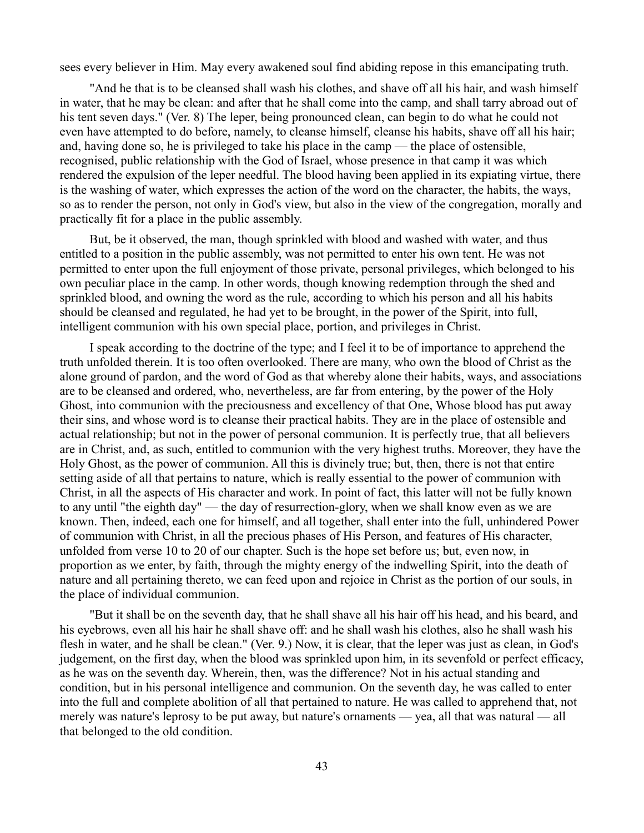sees every believer in Him. May every awakened soul find abiding repose in this emancipating truth.

"And he that is to be cleansed shall wash his clothes, and shave off all his hair, and wash himself in water, that he may be clean: and after that he shall come into the camp, and shall tarry abroad out of his tent seven days." (Ver. 8) The leper, being pronounced clean, can begin to do what he could not even have attempted to do before, namely, to cleanse himself, cleanse his habits, shave off all his hair; and, having done so, he is privileged to take his place in the camp — the place of ostensible, recognised, public relationship with the God of Israel, whose presence in that camp it was which rendered the expulsion of the leper needful. The blood having been applied in its expiating virtue, there is the washing of water, which expresses the action of the word on the character, the habits, the ways, so as to render the person, not only in God's view, but also in the view of the congregation, morally and practically fit for a place in the public assembly.

But, be it observed, the man, though sprinkled with blood and washed with water, and thus entitled to a position in the public assembly, was not permitted to enter his own tent. He was not permitted to enter upon the full enjoyment of those private, personal privileges, which belonged to his own peculiar place in the camp. In other words, though knowing redemption through the shed and sprinkled blood, and owning the word as the rule, according to which his person and all his habits should be cleansed and regulated, he had yet to be brought, in the power of the Spirit, into full, intelligent communion with his own special place, portion, and privileges in Christ.

I speak according to the doctrine of the type; and I feel it to be of importance to apprehend the truth unfolded therein. It is too often overlooked. There are many, who own the blood of Christ as the alone ground of pardon, and the word of God as that whereby alone their habits, ways, and associations are to be cleansed and ordered, who, nevertheless, are far from entering, by the power of the Holy Ghost, into communion with the preciousness and excellency of that One, Whose blood has put away their sins, and whose word is to cleanse their practical habits. They are in the place of ostensible and actual relationship; but not in the power of personal communion. It is perfectly true, that all believers are in Christ, and, as such, entitled to communion with the very highest truths. Moreover, they have the Holy Ghost, as the power of communion. All this is divinely true; but, then, there is not that entire setting aside of all that pertains to nature, which is really essential to the power of communion with Christ, in all the aspects of His character and work. In point of fact, this latter will not be fully known to any until "the eighth day" — the day of resurrection-glory, when we shall know even as we are known. Then, indeed, each one for himself, and all together, shall enter into the full, unhindered Power of communion with Christ, in all the precious phases of His Person, and features of His character, unfolded from verse 10 to 20 of our chapter. Such is the hope set before us; but, even now, in proportion as we enter, by faith, through the mighty energy of the indwelling Spirit, into the death of nature and all pertaining thereto, we can feed upon and rejoice in Christ as the portion of our souls, in the place of individual communion.

"But it shall be on the seventh day, that he shall shave all his hair off his head, and his beard, and his eyebrows, even all his hair he shall shave off: and he shall wash his clothes, also he shall wash his flesh in water, and he shall be clean." (Ver. 9.) Now, it is clear, that the leper was just as clean, in God's judgement, on the first day, when the blood was sprinkled upon him, in its sevenfold or perfect efficacy, as he was on the seventh day. Wherein, then, was the difference? Not in his actual standing and condition, but in his personal intelligence and communion. On the seventh day, he was called to enter into the full and complete abolition of all that pertained to nature. He was called to apprehend that, not merely was nature's leprosy to be put away, but nature's ornaments — yea, all that was natural — all that belonged to the old condition.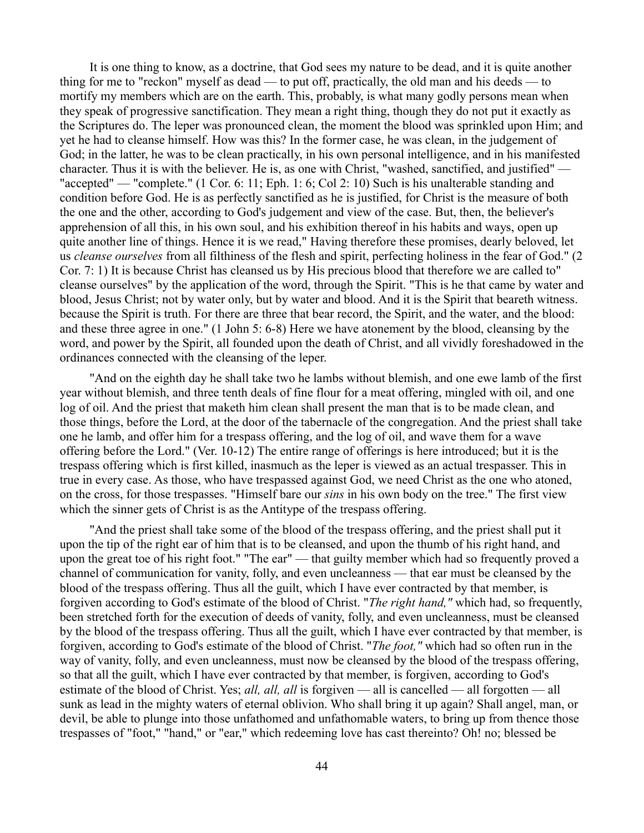It is one thing to know, as a doctrine, that God sees my nature to be dead, and it is quite another thing for me to "reckon" myself as dead — to put off, practically, the old man and his deeds — to mortify my members which are on the earth. This, probably, is what many godly persons mean when they speak of progressive sanctification. They mean a right thing, though they do not put it exactly as the Scriptures do. The leper was pronounced clean, the moment the blood was sprinkled upon Him; and yet he had to cleanse himself. How was this? In the former case, he was clean, in the judgement of God; in the latter, he was to be clean practically, in his own personal intelligence, and in his manifested character. Thus it is with the believer. He is, as one with Christ, "washed, sanctified, and justified" — "accepted" — "complete." (1 Cor. 6: 11; Eph. 1: 6; Col 2: 10) Such is his unalterable standing and condition before God. He is as perfectly sanctified as he is justified, for Christ is the measure of both the one and the other, according to God's judgement and view of the case. But, then, the believer's apprehension of all this, in his own soul, and his exhibition thereof in his habits and ways, open up quite another line of things. Hence it is we read," Having therefore these promises, dearly beloved, let us *cleanse ourselves* from all filthiness of the flesh and spirit, perfecting holiness in the fear of God." (2 Cor. 7: 1) It is because Christ has cleansed us by His precious blood that therefore we are called to" cleanse ourselves" by the application of the word, through the Spirit. "This is he that came by water and blood, Jesus Christ; not by water only, but by water and blood. And it is the Spirit that beareth witness. because the Spirit is truth. For there are three that bear record, the Spirit, and the water, and the blood: and these three agree in one." (1 John 5: 6-8) Here we have atonement by the blood, cleansing by the word, and power by the Spirit, all founded upon the death of Christ, and all vividly foreshadowed in the ordinances connected with the cleansing of the leper.

"And on the eighth day he shall take two he lambs without blemish, and one ewe lamb of the first year without blemish, and three tenth deals of fine flour for a meat offering, mingled with oil, and one log of oil. And the priest that maketh him clean shall present the man that is to be made clean, and those things, before the Lord, at the door of the tabernacle of the congregation. And the priest shall take one he lamb, and offer him for a trespass offering, and the log of oil, and wave them for a wave offering before the Lord." (Ver. 10-12) The entire range of offerings is here introduced; but it is the trespass offering which is first killed, inasmuch as the leper is viewed as an actual trespasser. This in true in every case. As those, who have trespassed against God, we need Christ as the one who atoned, on the cross, for those trespasses. "Himself bare our *sins* in his own body on the tree." The first view which the sinner gets of Christ is as the Antitype of the trespass offering.

"And the priest shall take some of the blood of the trespass offering, and the priest shall put it upon the tip of the right ear of him that is to be cleansed, and upon the thumb of his right hand, and upon the great toe of his right foot." "The ear" — that guilty member which had so frequently proved a channel of communication for vanity, folly, and even uncleanness — that ear must be cleansed by the blood of the trespass offering. Thus all the guilt, which I have ever contracted by that member, is forgiven according to God's estimate of the blood of Christ. "*The right hand,"* which had, so frequently, been stretched forth for the execution of deeds of vanity, folly, and even uncleanness, must be cleansed by the blood of the trespass offering. Thus all the guilt, which I have ever contracted by that member, is forgiven, according to God's estimate of the blood of Christ. "*The foot,"* which had so often run in the way of vanity, folly, and even uncleanness, must now be cleansed by the blood of the trespass offering, so that all the guilt, which I have ever contracted by that member, is forgiven, according to God's estimate of the blood of Christ. Yes; *all, all, all* is forgiven — all is cancelled — all forgotten — all sunk as lead in the mighty waters of eternal oblivion. Who shall bring it up again? Shall angel, man, or devil, be able to plunge into those unfathomed and unfathomable waters, to bring up from thence those trespasses of "foot," "hand," or "ear," which redeeming love has cast thereinto? Oh! no; blessed be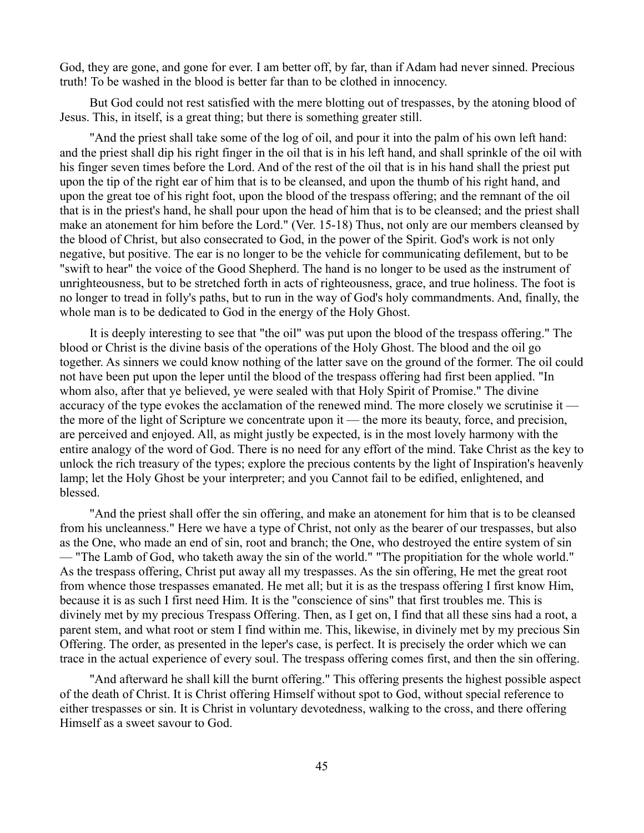God, they are gone, and gone for ever. I am better off, by far, than if Adam had never sinned. Precious truth! To be washed in the blood is better far than to be clothed in innocency.

But God could not rest satisfied with the mere blotting out of trespasses, by the atoning blood of Jesus. This, in itself, is a great thing; but there is something greater still.

"And the priest shall take some of the log of oil, and pour it into the palm of his own left hand: and the priest shall dip his right finger in the oil that is in his left hand, and shall sprinkle of the oil with his finger seven times before the Lord. And of the rest of the oil that is in his hand shall the priest put upon the tip of the right ear of him that is to be cleansed, and upon the thumb of his right hand, and upon the great toe of his right foot, upon the blood of the trespass offering; and the remnant of the oil that is in the priest's hand, he shall pour upon the head of him that is to be cleansed; and the priest shall make an atonement for him before the Lord." (Ver. 15-18) Thus, not only are our members cleansed by the blood of Christ, but also consecrated to God, in the power of the Spirit. God's work is not only negative, but positive. The ear is no longer to be the vehicle for communicating defilement, but to be "swift to hear" the voice of the Good Shepherd. The hand is no longer to be used as the instrument of unrighteousness, but to be stretched forth in acts of righteousness, grace, and true holiness. The foot is no longer to tread in folly's paths, but to run in the way of God's holy commandments. And, finally, the whole man is to be dedicated to God in the energy of the Holy Ghost.

It is deeply interesting to see that "the oil" was put upon the blood of the trespass offering." The blood or Christ is the divine basis of the operations of the Holy Ghost. The blood and the oil go together. As sinners we could know nothing of the latter save on the ground of the former. The oil could not have been put upon the leper until the blood of the trespass offering had first been applied. "In whom also, after that ye believed, ye were sealed with that Holy Spirit of Promise." The divine accuracy of the type evokes the acclamation of the renewed mind. The more closely we scrutinise it the more of the light of Scripture we concentrate upon it — the more its beauty, force, and precision, are perceived and enjoyed. All, as might justly be expected, is in the most lovely harmony with the entire analogy of the word of God. There is no need for any effort of the mind. Take Christ as the key to unlock the rich treasury of the types; explore the precious contents by the light of Inspiration's heavenly lamp; let the Holy Ghost be your interpreter; and you Cannot fail to be edified, enlightened, and blessed.

"And the priest shall offer the sin offering, and make an atonement for him that is to be cleansed from his uncleanness." Here we have a type of Christ, not only as the bearer of our trespasses, but also as the One, who made an end of sin, root and branch; the One, who destroyed the entire system of sin — "The Lamb of God, who taketh away the sin of the world." "The propitiation for the whole world." As the trespass offering, Christ put away all my trespasses. As the sin offering, He met the great root from whence those trespasses emanated. He met all; but it is as the trespass offering I first know Him, because it is as such I first need Him. It is the "conscience of sins" that first troubles me. This is divinely met by my precious Trespass Offering. Then, as I get on, I find that all these sins had a root, a parent stem, and what root or stem I find within me. This, likewise, in divinely met by my precious Sin Offering. The order, as presented in the leper's case, is perfect. It is precisely the order which we can trace in the actual experience of every soul. The trespass offering comes first, and then the sin offering.

"And afterward he shall kill the burnt offering." This offering presents the highest possible aspect of the death of Christ. It is Christ offering Himself without spot to God, without special reference to either trespasses or sin. It is Christ in voluntary devotedness, walking to the cross, and there offering Himself as a sweet savour to God.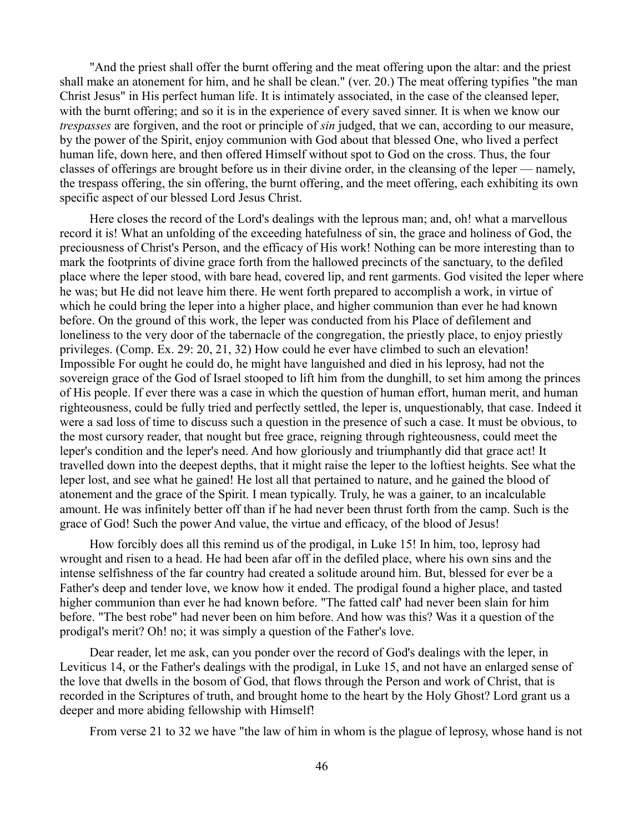"And the priest shall offer the burnt offering and the meat offering upon the altar: and the priest shall make an atonement for him, and he shall be clean." (ver. 20.) The meat offering typifies "the man Christ Jesus" in His perfect human life. It is intimately associated, in the case of the cleansed leper, with the burnt offering; and so it is in the experience of every saved sinner. It is when we know our *trespasses* are forgiven, and the root or principle of *sin* judged, that we can, according to our measure, by the power of the Spirit, enjoy communion with God about that blessed One, who lived a perfect human life, down here, and then offered Himself without spot to God on the cross. Thus, the four classes of offerings are brought before us in their divine order, in the cleansing of the leper — namely, the trespass offering, the sin offering, the burnt offering, and the meet offering, each exhibiting its own specific aspect of our blessed Lord Jesus Christ.

Here closes the record of the Lord's dealings with the leprous man; and, oh! what a marvellous record it is! What an unfolding of the exceeding hatefulness of sin, the grace and holiness of God, the preciousness of Christ's Person, and the efficacy of His work! Nothing can be more interesting than to mark the footprints of divine grace forth from the hallowed precincts of the sanctuary, to the defiled place where the leper stood, with bare head, covered lip, and rent garments. God visited the leper where he was; but He did not leave him there. He went forth prepared to accomplish a work, in virtue of which he could bring the leper into a higher place, and higher communion than ever he had known before. On the ground of this work, the leper was conducted from his Place of defilement and loneliness to the very door of the tabernacle of the congregation, the priestly place, to enjoy priestly privileges. (Comp. Ex. 29: 20, 21, 32) How could he ever have climbed to such an elevation! Impossible For ought he could do, he might have languished and died in his leprosy, had not the sovereign grace of the God of Israel stooped to lift him from the dunghill, to set him among the princes of His people. If ever there was a case in which the question of human effort, human merit, and human righteousness, could be fully tried and perfectly settled, the leper is, unquestionably, that case. Indeed it were a sad loss of time to discuss such a question in the presence of such a case. It must be obvious, to the most cursory reader, that nought but free grace, reigning through righteousness, could meet the leper's condition and the leper's need. And how gloriously and triumphantly did that grace act! It travelled down into the deepest depths, that it might raise the leper to the loftiest heights. See what the leper lost, and see what he gained! He lost all that pertained to nature, and he gained the blood of atonement and the grace of the Spirit. I mean typically. Truly, he was a gainer, to an incalculable amount. He was infinitely better off than if he had never been thrust forth from the camp. Such is the grace of God! Such the power And value, the virtue and efficacy, of the blood of Jesus!

How forcibly does all this remind us of the prodigal, in Luke 15! In him, too, leprosy had wrought and risen to a head. He had been afar off in the defiled place, where his own sins and the intense selfishness of the far country had created a solitude around him. But, blessed for ever be a Father's deep and tender love, we know how it ended. The prodigal found a higher place, and tasted higher communion than ever he had known before. "The fatted calf' had never been slain for him before. "The best robe" had never been on him before. And how was this? Was it a question of the prodigal's merit? Oh! no; it was simply a question of the Father's love.

Dear reader, let me ask, can you ponder over the record of God's dealings with the leper, in Leviticus 14, or the Father's dealings with the prodigal, in Luke 15, and not have an enlarged sense of the love that dwells in the bosom of God, that flows through the Person and work of Christ, that is recorded in the Scriptures of truth, and brought home to the heart by the Holy Ghost? Lord grant us a deeper and more abiding fellowship with Himself!

From verse 21 to 32 we have "the law of him in whom is the plague of leprosy, whose hand is not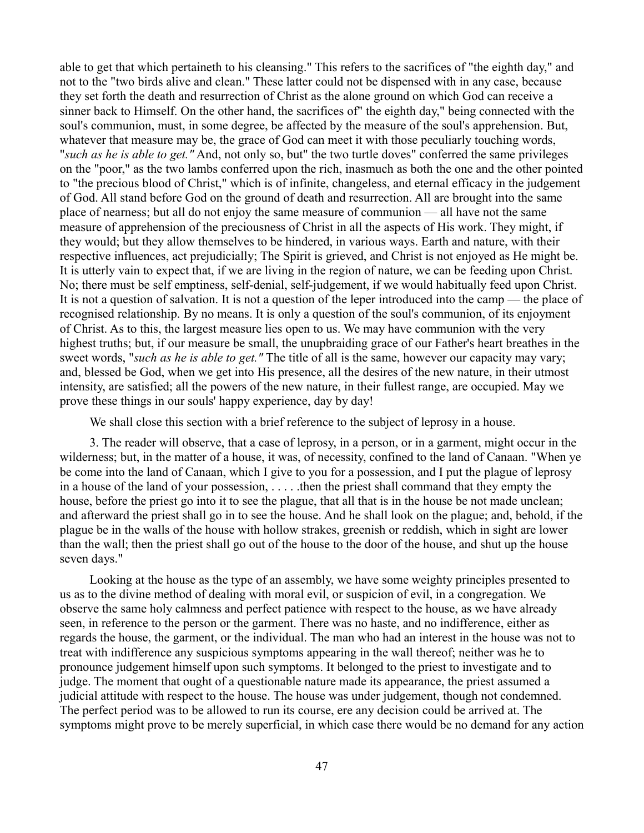able to get that which pertaineth to his cleansing." This refers to the sacrifices of "the eighth day," and not to the "two birds alive and clean." These latter could not be dispensed with in any case, because they set forth the death and resurrection of Christ as the alone ground on which God can receive a sinner back to Himself. On the other hand, the sacrifices of" the eighth day," being connected with the soul's communion, must, in some degree, be affected by the measure of the soul's apprehension. But, whatever that measure may be, the grace of God can meet it with those peculiarly touching words, "*such as he is able to get."* And, not only so, but" the two turtle doves" conferred the same privileges on the "poor," as the two lambs conferred upon the rich, inasmuch as both the one and the other pointed to "the precious blood of Christ," which is of infinite, changeless, and eternal efficacy in the judgement of God. All stand before God on the ground of death and resurrection. All are brought into the same place of nearness; but all do not enjoy the same measure of communion — all have not the same measure of apprehension of the preciousness of Christ in all the aspects of His work. They might, if they would; but they allow themselves to be hindered, in various ways. Earth and nature, with their respective influences, act prejudicially; The Spirit is grieved, and Christ is not enjoyed as He might be. It is utterly vain to expect that, if we are living in the region of nature, we can be feeding upon Christ. No; there must be self emptiness, self-denial, self-judgement, if we would habitually feed upon Christ. It is not a question of salvation. It is not a question of the leper introduced into the camp — the place of recognised relationship. By no means. It is only a question of the soul's communion, of its enjoyment of Christ. As to this, the largest measure lies open to us. We may have communion with the very highest truths; but, if our measure be small, the unupbraiding grace of our Father's heart breathes in the sweet words, "*such as he is able to get."* The title of all is the same, however our capacity may vary; and, blessed be God, when we get into His presence, all the desires of the new nature, in their utmost intensity, are satisfied; all the powers of the new nature, in their fullest range, are occupied. May we prove these things in our souls' happy experience, day by day!

We shall close this section with a brief reference to the subject of leprosy in a house.

3. The reader will observe, that a case of leprosy, in a person, or in a garment, might occur in the wilderness; but, in the matter of a house, it was, of necessity, confined to the land of Canaan. "When ye be come into the land of Canaan, which I give to you for a possession, and I put the plague of leprosy in a house of the land of your possession, . . . . .then the priest shall command that they empty the house, before the priest go into it to see the plague, that all that is in the house be not made unclean; and afterward the priest shall go in to see the house. And he shall look on the plague; and, behold, if the plague be in the walls of the house with hollow strakes, greenish or reddish, which in sight are lower than the wall; then the priest shall go out of the house to the door of the house, and shut up the house seven days."

Looking at the house as the type of an assembly, we have some weighty principles presented to us as to the divine method of dealing with moral evil, or suspicion of evil, in a congregation. We observe the same holy calmness and perfect patience with respect to the house, as we have already seen, in reference to the person or the garment. There was no haste, and no indifference, either as regards the house, the garment, or the individual. The man who had an interest in the house was not to treat with indifference any suspicious symptoms appearing in the wall thereof; neither was he to pronounce judgement himself upon such symptoms. It belonged to the priest to investigate and to judge. The moment that ought of a questionable nature made its appearance, the priest assumed a judicial attitude with respect to the house. The house was under judgement, though not condemned. The perfect period was to be allowed to run its course, ere any decision could be arrived at. The symptoms might prove to be merely superficial, in which case there would be no demand for any action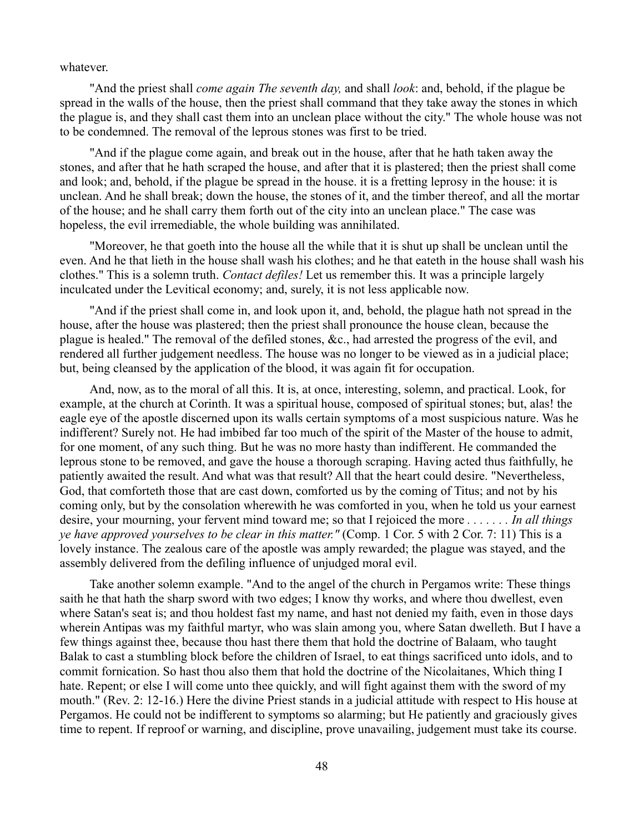whatever.

"And the priest shall *come again The seventh day,* and shall *look*: and, behold, if the plague be spread in the walls of the house, then the priest shall command that they take away the stones in which the plague is, and they shall cast them into an unclean place without the city." The whole house was not to be condemned. The removal of the leprous stones was first to be tried.

"And if the plague come again, and break out in the house, after that he hath taken away the stones, and after that he hath scraped the house, and after that it is plastered; then the priest shall come and look; and, behold, if the plague be spread in the house. it is a fretting leprosy in the house: it is unclean. And he shall break; down the house, the stones of it, and the timber thereof, and all the mortar of the house; and he shall carry them forth out of the city into an unclean place." The case was hopeless, the evil irremediable, the whole building was annihilated.

"Moreover, he that goeth into the house all the while that it is shut up shall be unclean until the even. And he that lieth in the house shall wash his clothes; and he that eateth in the house shall wash his clothes." This is a solemn truth. *Contact defiles!* Let us remember this. It was a principle largely inculcated under the Levitical economy; and, surely, it is not less applicable now.

"And if the priest shall come in, and look upon it, and, behold, the plague hath not spread in the house, after the house was plastered; then the priest shall pronounce the house clean, because the plague is healed." The removal of the defiled stones, &c., had arrested the progress of the evil, and rendered all further judgement needless. The house was no longer to be viewed as in a judicial place; but, being cleansed by the application of the blood, it was again fit for occupation.

And, now, as to the moral of all this. It is, at once, interesting, solemn, and practical. Look, for example, at the church at Corinth. It was a spiritual house, composed of spiritual stones; but, alas! the eagle eye of the apostle discerned upon its walls certain symptoms of a most suspicious nature. Was he indifferent? Surely not. He had imbibed far too much of the spirit of the Master of the house to admit, for one moment, of any such thing. But he was no more hasty than indifferent. He commanded the leprous stone to be removed, and gave the house a thorough scraping. Having acted thus faithfully, he patiently awaited the result. And what was that result? All that the heart could desire. "Nevertheless, God, that comforteth those that are cast down, comforted us by the coming of Titus; and not by his coming only, but by the consolation wherewith he was comforted in you, when he told us your earnest desire, your mourning, your fervent mind toward me; so that I rejoiced the more *. . . . . . . In all things ye have approved yourselves to be clear in this matter."* (Comp. 1 Cor. 5 with 2 Cor. 7: 11) This is a lovely instance. The zealous care of the apostle was amply rewarded; the plague was stayed, and the assembly delivered from the defiling influence of unjudged moral evil.

Take another solemn example. "And to the angel of the church in Pergamos write: These things saith he that hath the sharp sword with two edges; I know thy works, and where thou dwellest, even where Satan's seat is; and thou holdest fast my name, and hast not denied my faith, even in those days wherein Antipas was my faithful martyr, who was slain among you, where Satan dwelleth. But I have a few things against thee, because thou hast there them that hold the doctrine of Balaam, who taught Balak to cast a stumbling block before the children of Israel, to eat things sacrificed unto idols, and to commit fornication. So hast thou also them that hold the doctrine of the Nicolaitanes, Which thing I hate. Repent; or else I will come unto thee quickly, and will fight against them with the sword of my mouth." (Rev. 2: 12-16.) Here the divine Priest stands in a judicial attitude with respect to His house at Pergamos. He could not be indifferent to symptoms so alarming; but He patiently and graciously gives time to repent. If reproof or warning, and discipline, prove unavailing, judgement must take its course.